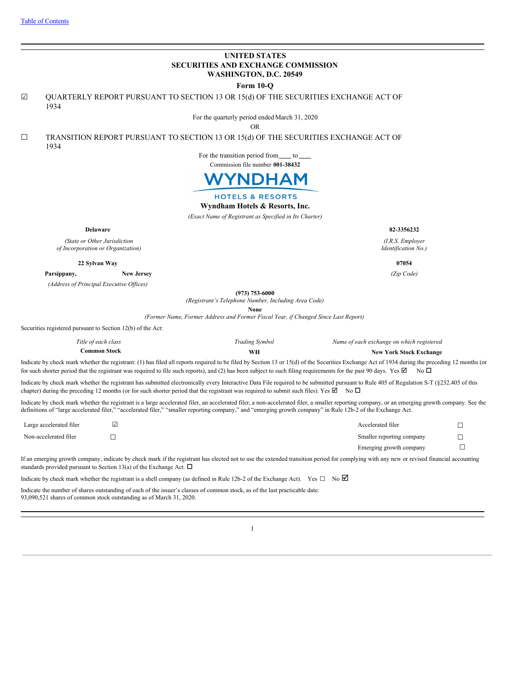# **UNITED STATES SECURITIES AND EXCHANGE COMMISSION WASHINGTON, D.C. 20549**

# **Form 10-Q**

<span id="page-0-0"></span>☑ QUARTERLY REPORT PURSUANT TO SECTION 13 OR 15(d) OF THE SECURITIES EXCHANGE ACT OF 1934

For the quarterly period ended March 31, 2020

OR

☐ TRANSITION REPORT PURSUANT TO SECTION 13 OR 15(d) OF THE SECURITIES EXCHANGE ACT OF 1934

> For the transition period from  $_$ to Commission file number **001-38432**



# **HOTELS & RESORTS**

**Wyndham Hotels & Resorts, Inc.**

*(Exact Name of Registrant as Specified in Its Charter)*

*(State or Other Jurisdiction of Incorporation or Organization)*

**22 Sylvan Way 07054**

#### **Parsippany, New Jersey** *(Zip Code)*

*(Address of Principal Executive Of ices)*

**(973) 753-6000**

*(Registrant's Telephone Number, Including Area Code)*

**None**

*(Former Name, Former Address and Former Fiscal Year, if Changed Since Last Report)*

Securities registered pursuant to Section 12(b) of the Act:

| Title of each class                                                                                                                                                                            | <b>Trading Symbol</b> | Name of each exchange on which registered |
|------------------------------------------------------------------------------------------------------------------------------------------------------------------------------------------------|-----------------------|-------------------------------------------|
| Common Stock                                                                                                                                                                                   | WН                    | <b>New York Stock Exchange</b>            |
| Indicate by check mark whether the registrant: (1) has filed all reports required to be filed by Section 13 or 15(d) of the Securities Exchange Act of 1934 during the preceding 12 months (or |                       |                                           |
| for such shorter period that the registrant was required to file such reports), and (2) has been subject to such filing requirements for the past 90 days. Yes $\boxtimes$                     |                       | No □                                      |

Indicate by check mark whether the registrant has submitted electronically every Interactive Data File required to be submitted pursuant to Rule 405 of Regulation S-T (§232.405 of this chapter) during the preceding 12 months (or for such shorter period that the registrant was required to submit such files). Yes  $\boxtimes$  No  $\Box$ 

Indicate by check mark whether the registrant is a large accelerated filer, an accelerated filer, a non-accelerated filer, a smaller reporting company, or an emerging growth company. See the definitions of "large accelerated filer," "accelerated filer," "smaller reporting company," and "emerging growth company" in Rule 12b-2 of the Exchange Act.

| Large accelerated filer | ∨ | Accelerated filer         |  |
|-------------------------|---|---------------------------|--|
| Non-accelerated filer   |   | Smaller reporting company |  |
|                         |   | Emerging growth company   |  |

If an emerging growth company, indicate by check mark if the registrant has elected not to use the extended transition period for complying with any new or revised financial accounting standards provided pursuant to Section 13(a) of the Exchange Act.  $\Box$ 

Indicate by check mark whether the registrant is a shell company (as defined in Rule 12b-2 of the Exchange Act). Yes  $\Box$  No  $\Box$ 

Indicate the number of shares outstanding of each of the issuer's classes of common stock, as of the last practicable date: 93,090,521 shares of common stock outstanding as of March 31, 2020.

1

**Delaware 82-3356232**

*(I.R.S. Employer Identification No.)*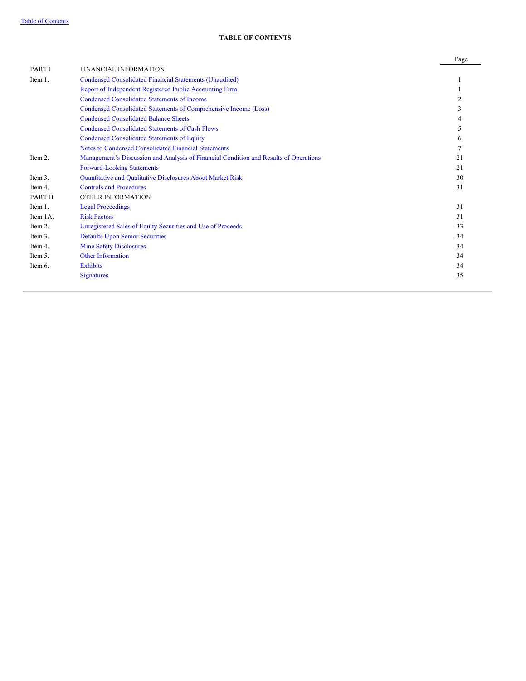# **TABLE OF CONTENTS**

|          |                                                                                       | Page |
|----------|---------------------------------------------------------------------------------------|------|
| PART I   | <b>FINANCIAL INFORMATION</b>                                                          |      |
| Item 1.  | <b>Condensed Consolidated Financial Statements (Unaudited)</b>                        |      |
|          | Report of Independent Registered Public Accounting Firm                               |      |
|          | <b>Condensed Consolidated Statements of Income</b>                                    |      |
|          | Condensed Consolidated Statements of Comprehensive Income (Loss)                      | 3    |
|          | <b>Condensed Consolidated Balance Sheets</b>                                          | 4    |
|          | <b>Condensed Consolidated Statements of Cash Flows</b>                                | 5    |
|          | <b>Condensed Consolidated Statements of Equity</b>                                    | 6    |
|          | <b>Notes to Condensed Consolidated Financial Statements</b>                           |      |
| Item 2.  | Management's Discussion and Analysis of Financial Condition and Results of Operations | 21   |
|          | <b>Forward-Looking Statements</b>                                                     | 21   |
| Item 3.  | Quantitative and Qualitative Disclosures About Market Risk                            | 30   |
| Item 4.  | <b>Controls and Procedures</b>                                                        | 31   |
| PART II  | OTHER INFORMATION                                                                     |      |
| Item 1.  | <b>Legal Proceedings</b>                                                              | 31   |
| Item 1A. | <b>Risk Factors</b>                                                                   | 31   |
| Item 2.  | Unregistered Sales of Equity Securities and Use of Proceeds                           | 33   |
| Item 3.  | <b>Defaults Upon Senior Securities</b>                                                | 34   |
| Item 4.  | <b>Mine Safety Disclosures</b>                                                        | 34   |
| Item 5.  | <b>Other Information</b>                                                              | 34   |
| Item 6.  | <b>Exhibits</b>                                                                       | 34   |
|          | <b>Signatures</b>                                                                     | 35   |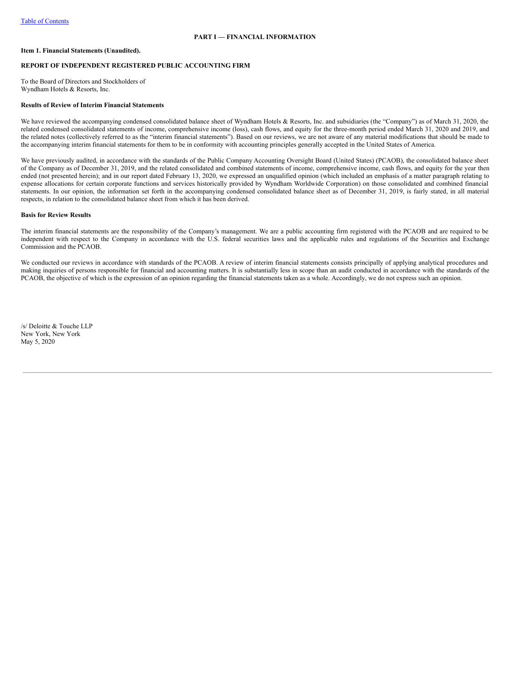# **Item 1. Financial Statements (Unaudited).**

### **REPORT OF INDEPENDENT REGISTERED PUBLIC ACCOUNTING FIRM**

To the Board of Directors and Stockholders of Wyndham Hotels & Resorts, Inc.

#### **Results of Review of Interim Financial Statements**

We have reviewed the accompanying condensed consolidated balance sheet of Wyndham Hotels & Resorts, Inc. and subsidiaries (the "Company") as of March 31, 2020, the related condensed consolidated statements of income, comprehensive income (loss), cash flows, and equity for the three-month period ended March 31, 2020 and 2019, and the related notes (collectively referred to as the "interim financial statements"). Based on our reviews, we are not aware of any material modifications that should be made to the accompanying interim financial statements for them to be in conformity with accounting principles generally accepted in the United States of America.

We have previously audited, in accordance with the standards of the Public Company Accounting Oversight Board (United States) (PCAOB), the consolidated balance sheet of the Company as of December 31, 2019, and the related consolidated and combined statements of income, comprehensive income, cash flows, and equity for the year then ended (not presented herein); and in our report dated February 13, 2020, we expressed an unqualified opinion (which included an emphasis of a matter paragraph relating to expense allocations for certain corporate functions and services historically provided by Wyndham Worldwide Corporation) on those consolidated and combined financial statements. In our opinion, the information set forth in the accompanying condensed consolidated balance sheet as of December 31, 2019, is fairly stated, in all material respects, in relation to the consolidated balance sheet from which it has been derived.

#### **Basis for Review Results**

The interim financial statements are the responsibility of the Company's management. We are a public accounting firm registered with the PCAOB and are required to be independent with respect to the Company in accordance with the U.S. federal securities laws and the applicable rules and regulations of the Securities and Exchange Commission and the PCAOB.

We conducted our reviews in accordance with standards of the PCAOB. A review of interim financial statements consists principally of applying analytical procedures and making inquiries of persons responsible for financial and accounting matters. It is substantially less in scope than an audit conducted in accordance with the standards of the PCAOB, the objective of which is the expression of an opinion regarding the financial statements taken as a whole. Accordingly, we do not express such an opinion.

/s/ Deloitte & Touche LLP New York, New York May 5, 2020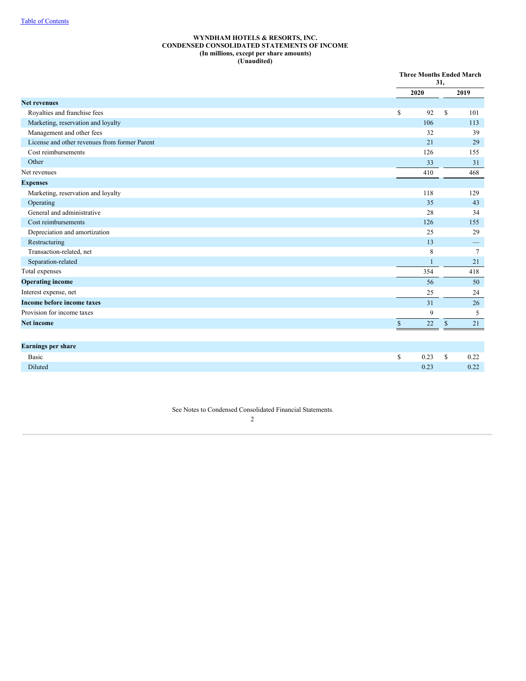#### **WYNDHAM HOTELS & RESORTS, INC. CONDENSED CONSOLIDATED STATEMENTS OF INCOME (In millions, except per share amounts) (Unaudited)**

|                                               |                    | <b>Three Months Ended March</b><br>31. |
|-----------------------------------------------|--------------------|----------------------------------------|
|                                               | 2020               | 2019                                   |
| <b>Net revenues</b>                           |                    |                                        |
| Royalties and franchise fees                  | \$<br>92           | <sup>\$</sup><br>101                   |
| Marketing, reservation and loyalty            | 106                | 113                                    |
| Management and other fees                     | 32                 | 39                                     |
| License and other revenues from former Parent | 21                 | 29                                     |
| Cost reimbursements                           | 126                | 155                                    |
| Other                                         | 33                 | 31                                     |
| Net revenues                                  | 410                | 468                                    |
| <b>Expenses</b>                               |                    |                                        |
| Marketing, reservation and loyalty            | 118                | 129                                    |
| Operating                                     | 35                 | 43                                     |
| General and administrative                    | 28                 | 34                                     |
| Cost reimbursements                           | 126                | 155                                    |
| Depreciation and amortization                 | 25                 | 29                                     |
| Restructuring                                 | 13                 |                                        |
| Transaction-related, net                      | 8                  | $\tau$                                 |
| Separation-related                            | $\mathbf{1}$       | 21                                     |
| Total expenses                                | 354                | 418                                    |
| <b>Operating income</b>                       | 56                 | 50                                     |
| Interest expense, net                         | 25                 | 24                                     |
| Income before income taxes                    | 31                 | 26                                     |
| Provision for income taxes                    | 9                  | 5                                      |
| <b>Net income</b>                             | $\mathbb{S}$<br>22 | 21<br>$\mathbb{S}$                     |
| <b>Earnings per share</b>                     |                    |                                        |
| <b>Basic</b>                                  | \$<br>0.23         | S<br>0.22                              |
| Diluted                                       | 0.23               | 0.22                                   |

See Notes to Condensed Consolidated Financial Statements.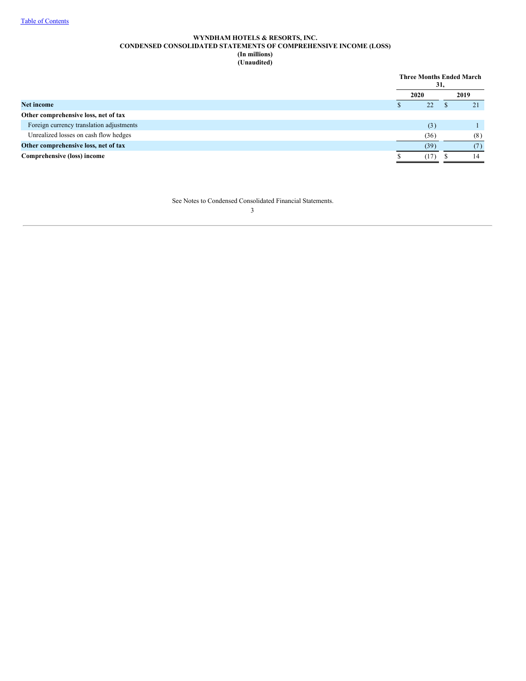### **WYNDHAM HOTELS & RESORTS, INC. CONDENSED CONSOLIDATED STATEMENTS OF COMPREHENSIVE INCOME (LOSS) (In millions) (Unaudited)**

|                                          | <b>Three Months Ended March</b><br>31, |      |  |      |  |  |
|------------------------------------------|----------------------------------------|------|--|------|--|--|
|                                          |                                        | 2020 |  | 2019 |  |  |
| <b>Net income</b>                        |                                        | 22   |  | 21   |  |  |
| Other comprehensive loss, net of tax     |                                        |      |  |      |  |  |
| Foreign currency translation adjustments |                                        | (3)  |  |      |  |  |
| Unrealized losses on cash flow hedges    |                                        | (36) |  | (8)  |  |  |
| Other comprehensive loss, net of tax     |                                        | (39) |  | (7)  |  |  |
| Comprehensive (loss) income              |                                        | (17) |  | 14   |  |  |

See Notes to Condensed Consolidated Financial Statements.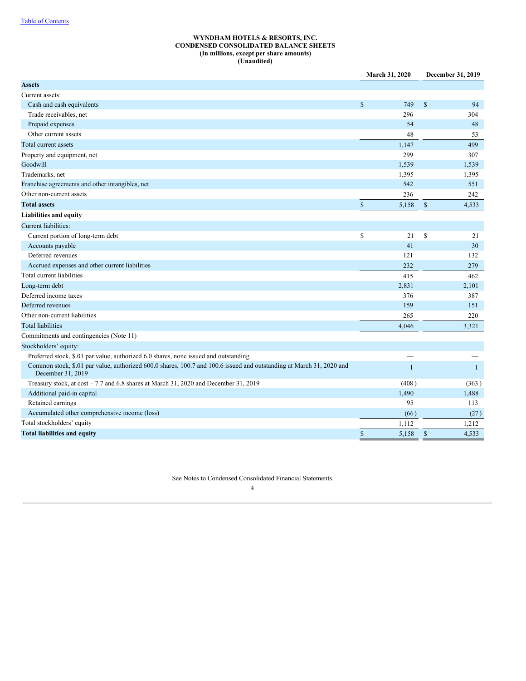# **WYNDHAM HOTELS & RESORTS, INC. CONDENSED CONSOLIDATED BALANCE SHEETS (In millions, except per share amounts) (Unaudited)**

|                                                                                                                                           |               | March 31, 2020 |              | December 31, 2019 |
|-------------------------------------------------------------------------------------------------------------------------------------------|---------------|----------------|--------------|-------------------|
| <b>Assets</b>                                                                                                                             |               |                |              |                   |
| Current assets:                                                                                                                           |               |                |              |                   |
| Cash and cash equivalents                                                                                                                 | $\mathbb{S}$  | 749            | $\mathbb{S}$ | 94                |
| Trade receivables, net                                                                                                                    |               | 296            |              | 304               |
| Prepaid expenses                                                                                                                          |               | 54             |              | 48                |
| Other current assets                                                                                                                      |               | 48             |              | 53                |
| Total current assets                                                                                                                      |               | 1,147          |              | 499               |
| Property and equipment, net                                                                                                               |               | 299            |              | 307               |
| Goodwill                                                                                                                                  |               | 1,539          |              | 1,539             |
| Trademarks, net                                                                                                                           |               | 1,395          |              | 1,395             |
| Franchise agreements and other intangibles, net                                                                                           |               | 542            |              | 551               |
| Other non-current assets                                                                                                                  |               | 236            |              | 242               |
| <b>Total assets</b>                                                                                                                       | $\mathbb S$   | 5,158          | $\mathbb{S}$ | 4,533             |
| Liabilities and equity                                                                                                                    |               |                |              |                   |
| Current liabilities:                                                                                                                      |               |                |              |                   |
| Current portion of long-term debt                                                                                                         | ${\mathbb S}$ | 21             | \$           | 21                |
| Accounts payable                                                                                                                          |               | 41             |              | 30                |
| Deferred revenues                                                                                                                         |               | 121            |              | 132               |
| Accrued expenses and other current liabilities                                                                                            |               | 232            |              | 279               |
| Total current liabilities                                                                                                                 |               | 415            |              | 462               |
| Long-term debt                                                                                                                            |               | 2,831          |              | 2,101             |
| Deferred income taxes                                                                                                                     |               | 376            |              | 387               |
| Deferred revenues                                                                                                                         |               | 159            |              | 151               |
| Other non-current liabilities                                                                                                             |               | 265            |              | 220               |
| <b>Total liabilities</b>                                                                                                                  |               | 4,046          |              | 3,321             |
| Commitments and contingencies (Note 11)                                                                                                   |               |                |              |                   |
| Stockholders' equity:                                                                                                                     |               |                |              |                   |
| Preferred stock, \$.01 par value, authorized 6.0 shares, none issued and outstanding                                                      |               |                |              |                   |
| Common stock, \$.01 par value, authorized 600.0 shares, 100.7 and 100.6 issued and outstanding at March 31, 2020 and<br>December 31, 2019 |               | $\mathbf{1}$   |              | $\mathbf{1}$      |
| Treasury stock, at cost - 7.7 and 6.8 shares at March 31, 2020 and December 31, 2019                                                      |               | (408)          |              | (363)             |
| Additional paid-in capital                                                                                                                |               | 1,490          |              | 1,488             |
| Retained earnings                                                                                                                         |               | 95             |              | 113               |
| Accumulated other comprehensive income (loss)                                                                                             |               | (66)           |              | (27)              |
| Total stockholders' equity                                                                                                                |               | 1,112          |              | 1,212             |
| <b>Total liabilities and equity</b>                                                                                                       | $\mathbb{S}$  | 5,158          | $\mathbb{S}$ | 4,533             |

See Notes to Condensed Consolidated Financial Statements.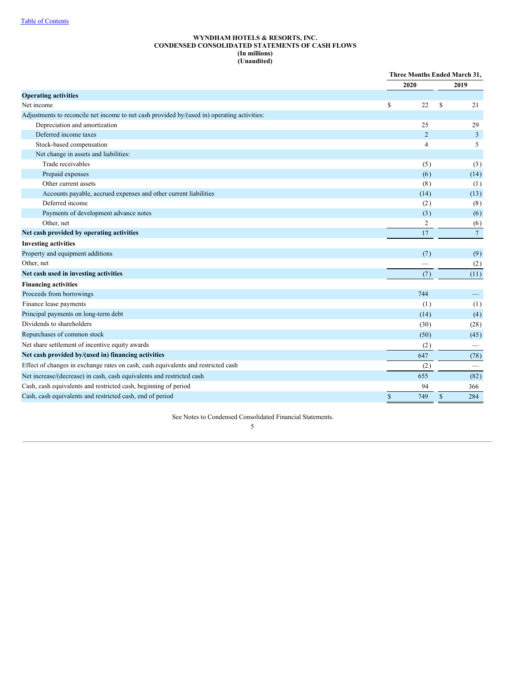### **WYNDHAM HOTELS & RESORTS, INC. CONDENSED CONSOLIDATED STATEMENTS OF CASH FLOWS (In millions) (Unaudited)**

|                                                                                             |                     | Three Months Ended March 31, |  |  |
|---------------------------------------------------------------------------------------------|---------------------|------------------------------|--|--|
|                                                                                             | 2020                | 2019                         |  |  |
| <b>Operating activities</b>                                                                 |                     |                              |  |  |
| Net income                                                                                  | S<br>22             | S<br>21                      |  |  |
| Adjustments to reconcile net income to net cash provided by/(used in) operating activities: |                     |                              |  |  |
| Depreciation and amortization                                                               | 25                  | 29                           |  |  |
| Deferred income taxes                                                                       | $\overline{2}$      | $\overline{3}$               |  |  |
| Stock-based compensation                                                                    | $\overline{4}$      | 5                            |  |  |
| Net change in assets and liabilities:                                                       |                     |                              |  |  |
| Trade receivables                                                                           | (5)                 | (3)                          |  |  |
| Prepaid expenses                                                                            | (6)                 | (14)                         |  |  |
| Other current assets                                                                        | (8)                 | (1)                          |  |  |
| Accounts payable, accrued expenses and other current liabilities                            | (14)                | (13)                         |  |  |
| Deferred income                                                                             | (2)                 | (8)                          |  |  |
| Payments of development advance notes                                                       | (3)                 | (6)                          |  |  |
| Other, net                                                                                  | 2                   | (6)                          |  |  |
| Net cash provided by operating activities                                                   | 17                  | $7\overline{ }$              |  |  |
| <b>Investing activities</b>                                                                 |                     |                              |  |  |
| Property and equipment additions                                                            | (7)                 | (9)                          |  |  |
| Other, net                                                                                  |                     | (2)                          |  |  |
| Net cash used in investing activities                                                       | (7)                 | (11)                         |  |  |
| <b>Financing activities</b>                                                                 |                     |                              |  |  |
| Proceeds from borrowings                                                                    | 744                 |                              |  |  |
| Finance lease payments                                                                      | (1)                 | (1)                          |  |  |
| Principal payments on long-term debt                                                        | (14)                | (4)                          |  |  |
| Dividends to shareholders                                                                   | (30)                | (28)                         |  |  |
| Repurchases of common stock                                                                 | (50)                | (45)                         |  |  |
| Net share settlement of incentive equity awards                                             | (2)                 |                              |  |  |
| Net cash provided by/(used in) financing activities                                         | 647                 | (78)                         |  |  |
| Effect of changes in exchange rates on cash, cash equivalents and restricted cash           | (2)                 | $\overline{\phantom{0}}$     |  |  |
| Net increase/(decrease) in cash, cash equivalents and restricted cash                       | 655                 | (82)                         |  |  |
| Cash, cash equivalents and restricted cash, beginning of period                             | 94                  | 366                          |  |  |
| Cash, cash equivalents and restricted cash, end of period                                   | $\mathbb{S}$<br>749 | $\mathbb{S}$<br>284          |  |  |

See Notes to Condensed Consolidated Financial Statements.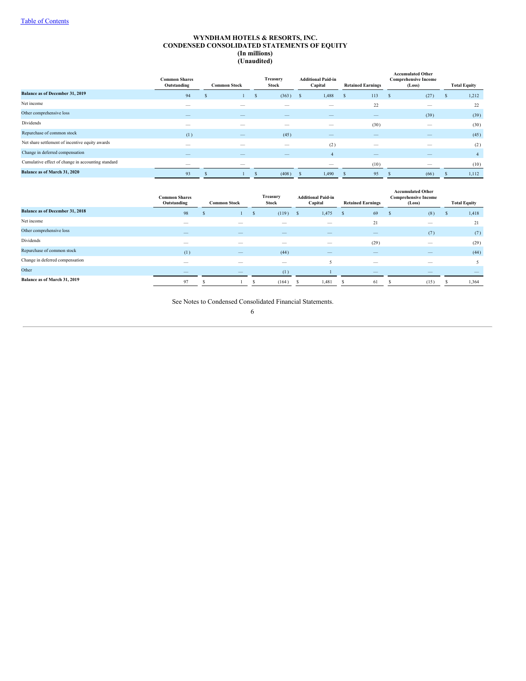### **WYNDHAM HOTELS & RESORTS, INC. CONDENSED CONSOLIDATED STATEMENTS OF EQUITY (In millions) (Unaudited)**

|                                                    | <b>Common Shares</b><br>Outstanding |     | <b>Common Stock</b>      |   | Treasury<br>Stock | <b>Additional Paid-in</b><br>Capital |                          |  |                          |   |      |                |  |  |  |  |  |  |  |  |  |  |  | <b>Retained Earnings</b> |  |  | <b>Accumulated Other</b><br><b>Comprehensive Income</b><br>(Loss) | <b>Total Equity</b> |
|----------------------------------------------------|-------------------------------------|-----|--------------------------|---|-------------------|--------------------------------------|--------------------------|--|--------------------------|---|------|----------------|--|--|--|--|--|--|--|--|--|--|--|--------------------------|--|--|-------------------------------------------------------------------|---------------------|
| <b>Balance as of December 31, 2019</b>             | 94                                  | Э'n |                          | ж | (363)             | - 5                                  | 1,488                    |  | 113                      | S | (27) | 1,212          |  |  |  |  |  |  |  |  |  |  |  |                          |  |  |                                                                   |                     |
| Net income                                         |                                     |     | $-$                      |   | -                 |                                      |                          |  | 22                       |   |      | 22             |  |  |  |  |  |  |  |  |  |  |  |                          |  |  |                                                                   |                     |
| Other comprehensive loss                           |                                     |     | $-$                      |   | $\sim$            |                                      |                          |  | $\overline{\phantom{m}}$ |   | (39) | (39)           |  |  |  |  |  |  |  |  |  |  |  |                          |  |  |                                                                   |                     |
| Dividends                                          | $\overline{\phantom{a}}$            |     |                          |   |                   |                                      |                          |  | (30)                     |   |      | (30)           |  |  |  |  |  |  |  |  |  |  |  |                          |  |  |                                                                   |                     |
| Repurchase of common stock                         | (1)                                 |     | $\overline{\phantom{m}}$ |   | (45)              |                                      | $\qquad \qquad$          |  | $\overline{\phantom{m}}$ |   |      | (45)           |  |  |  |  |  |  |  |  |  |  |  |                          |  |  |                                                                   |                     |
| Net share settlement of incentive equity awards    |                                     |     |                          |   |                   |                                      | (2)                      |  | $\overline{\phantom{a}}$ |   |      | (2)            |  |  |  |  |  |  |  |  |  |  |  |                          |  |  |                                                                   |                     |
| Change in deferred compensation                    |                                     |     |                          |   | _                 |                                      | $\overline{4}$           |  |                          |   |      | $\overline{4}$ |  |  |  |  |  |  |  |  |  |  |  |                          |  |  |                                                                   |                     |
| Cumulative effect of change in accounting standard |                                     |     | $-$                      |   |                   |                                      | $\overline{\phantom{a}}$ |  | (10)                     |   |      | (10)           |  |  |  |  |  |  |  |  |  |  |  |                          |  |  |                                                                   |                     |
| Balance as of March 31, 2020                       | 93                                  |     |                          |   | (408)             |                                      | 1,490                    |  | 95                       |   | (66) | 1,112          |  |  |  |  |  |  |  |  |  |  |  |                          |  |  |                                                                   |                     |

|                                        | <b>Common Shares</b><br>Outstanding |    | <b>Common Stock</b>      |    | Treasury<br>Stock        | <b>Additional Paid-in</b><br>Capital |       |    |                          | <b>Retained Earnings</b> |                          |  | <b>Accumulated Other</b><br><b>Comprehensive Income</b><br>(Loss) | <b>Total Equity</b> |  |  |
|----------------------------------------|-------------------------------------|----|--------------------------|----|--------------------------|--------------------------------------|-------|----|--------------------------|--------------------------|--------------------------|--|-------------------------------------------------------------------|---------------------|--|--|
| <b>Balance as of December 31, 2018</b> | 98                                  | ъ. |                          | S. | (119)                    | $^{\circ}$                           | 1,475 | -S | 69                       | -8                       | (8)                      |  | 1,418                                                             |                     |  |  |
| Net income                             |                                     |    | --                       |    |                          |                                      |       |    | 21                       |                          |                          |  | 21                                                                |                     |  |  |
| Other comprehensive loss               | $\qquad \qquad$                     |    | $\overline{\phantom{a}}$ |    | $\overline{\phantom{a}}$ |                                      | $-$   |    | $\qquad \qquad -$        |                          | (7)                      |  | (7)                                                               |                     |  |  |
| Dividends                              | $\overline{\phantom{a}}$            |    | --                       |    |                          |                                      |       |    | (29)                     |                          | -                        |  | (29)                                                              |                     |  |  |
| Repurchase of common stock             | (1)                                 |    | $-$                      |    | (44)                     |                                      | $-$   |    |                          |                          | $\overline{\phantom{a}}$ |  | (44)                                                              |                     |  |  |
| Change in deferred compensation        | $\overline{\phantom{a}}$            |    |                          |    | $\overline{\phantom{a}}$ |                                      |       |    | $\overline{\phantom{a}}$ |                          |                          |  | 5                                                                 |                     |  |  |
| Other                                  |                                     |    | $\overline{\phantom{a}}$ |    | (1)                      |                                      |       |    | $-$                      |                          |                          |  |                                                                   |                     |  |  |
| Balance as of March 31, 2019           | 97                                  |    |                          |    | (164)                    | - S                                  | 1,481 |    | 61                       |                          | (15)                     |  | 1,364                                                             |                     |  |  |

See Notes to Condensed Consolidated Financial Statements.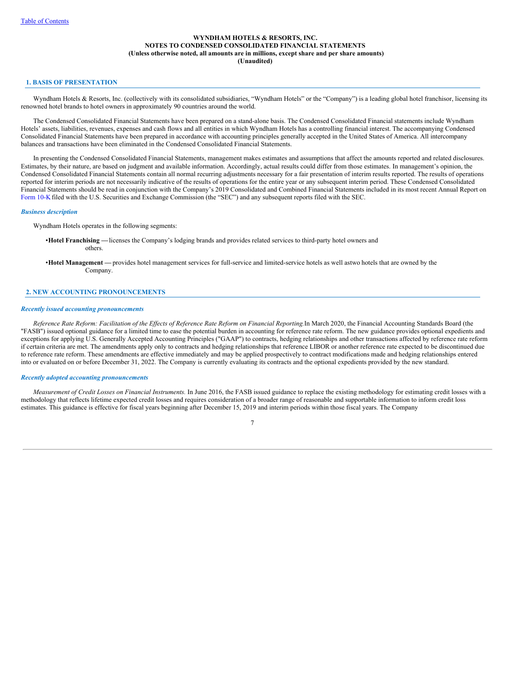#### **WYNDHAM HOTELS & RESORTS, INC. NOTES TO CONDENSED CONSOLIDATED FINANCIAL STATEMENTS (Unless otherwise noted, all amounts are in millions, except share and per share amounts) (Unaudited)**

#### **1. BASIS OF PRESENTATION**

Wyndham Hotels & Resorts, Inc. (collectively with its consolidated subsidiaries, "Wyndham Hotels" or the "Company") is a leading global hotel franchisor, licensing its renowned hotel brands to hotel owners in approximately 90 countries around the world.

The Condensed Consolidated Financial Statements have been prepared on a stand-alone basis. The Condensed Consolidated Financial statements include Wyndham Hotels' assets, liabilities, revenues, expenses and cash flows and all entities in which Wyndham Hotels has a controlling financial interest. The accompanying Condensed Consolidated Financial Statements have been prepared in accordance with accounting principles generally accepted in the United States of America. All intercompany balances and transactions have been eliminated in the Condensed Consolidated Financial Statements.

In presenting the Condensed Consolidated Financial Statements, management makes estimates and assumptions that affect the amounts reported and related disclosures. Estimates, by their nature, are based on judgment and available information. Accordingly, actual results could differ from those estimates. In management's opinion, the Condensed Consolidated Financial Statements contain all normal recurring adjustments necessary for a fair presentation of interim results reported. The results of operations reported for interim periods are not necessarily indicative of the results of operations for the entire year or any subsequent interim period. These Condensed Consolidated Financial Statements should be read in conjunction with the Company's 2019 Consolidated and Combined Financial Statements included in its most recent Annual Report on [Form](http://www.sec.gov/Archives/edgar/data/1722684/000172268420000007/wh-20191231x10k.htm) 10-K filed with the U.S. Securities and Exchange Commission (the "SEC") and any subsequent reports filed with the SEC.

#### *Business description*

Wyndham Hotels operates in the following segments:

- •**Hotel Franchising —**licenses the Company's lodging brands and provides related services to third-party hotel owners and others.
- •**Hotel Management —** provides hotel management services for full-service and limited-service hotels as well astwo hotels that are owned by the Company.

#### **2. NEW ACCOUNTING PRONOUNCEMENTS**

# *Recently issued accounting pronouncements*

Reference Rate Reform: Facilitation of the Effects of Reference Rate Reform on Financial Reporting. In March 2020, the Financial Accounting Standards Board (the "FASB") issued optional guidance for a limited time to ease the potential burden in accounting for reference rate reform. The new guidance provides optional expedients and exceptions for applying U.S. Generally Accepted Accounting Principles ("GAAP") to contracts, hedging relationships and other transactions affected by reference rate reform if certain criteria are met. The amendments apply only to contracts and hedging relationships that reference LIBOR or another reference rate expected to be discontinued due to reference rate reform. These amendments are effective immediately and may be applied prospectively to contract modifications made and hedging relationships entered into or evaluated on or before December 31, 2022. The Company is currently evaluating its contracts and the optional expedients provided by the new standard.

#### *Recently adopted accounting pronouncements*

*Measurement of Credit Losses on Financial Instruments.* In June 2016, the FASB issued guidance to replace the existing methodology for estimating credit losses with a methodology that reflects lifetime expected credit losses and requires consideration of a broader range of reasonable and supportable information to inform credit loss estimates. This guidance is effective for fiscal years beginning after December 15, 2019 and interim periods within those fiscal years. The Company

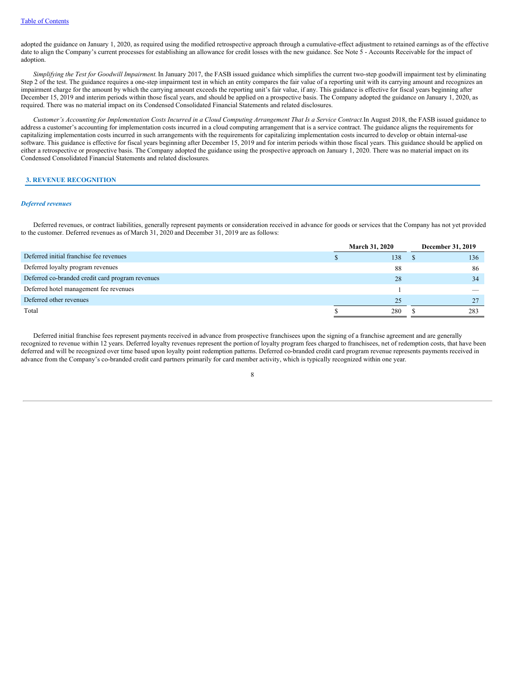adopted the guidance on January 1, 2020, as required using the modified retrospective approach through a cumulative-effect adjustment to retained earnings as of the effective date to align the Company's current processes for establishing an allowance for credit losses with the new guidance. See Note 5 - Accounts Receivable for the impact of adoption.

*Simplifying the Test for Goodwill Impairment.*In January 2017, the FASB issued guidance which simplifies the current two-step goodwill impairment test by eliminating Step 2 of the test. The guidance requires a one-step impairment test in which an entity compares the fair value of a reporting unit with its carrying amount and recognizes an impairment charge for the amount by which the carrying amount exceeds the reporting unit's fair value, if any. This guidance is effective for fiscal years beginning after December 15, 2019 and interim periods within those fiscal years, and should be applied on a prospective basis. The Company adopted the guidance on January 1, 2020, as required. There was no material impact on its Condensed Consolidated Financial Statements and related disclosures.

Customer's Accounting for Implementation Costs Incurred in a Cloud Computing Arrangement That Is a Service Contract. In August 2018, the FASB issued guidance to address a customer's accounting for implementation costs incurred in a cloud computing arrangement that is a service contract. The guidance aligns the requirements for capitalizing implementation costs incurred in such arrangements with the requirements for capitalizing implementation costs incurred to develop or obtain internal-use software. This guidance is effective for fiscal years beginning after December 15, 2019 and for interim periods within those fiscal years. This guidance should be applied on either a retrospective or prospective basis. The Company adopted the guidance using the prospective approach on January 1, 2020. There was no material impact on its Condensed Consolidated Financial Statements and related disclosures.

### **3. REVENUE RECOGNITION**

### *Deferred revenues*

Deferred revenues, or contract liabilities, generally represent payments or consideration received in advance for goods or services that the Company has not yet provided to the customer. Deferred revenues as of March 31, 2020 and December 31, 2019 are as follows:

|                                                  | <b>March 31, 2020</b> | December 31, 2019 |
|--------------------------------------------------|-----------------------|-------------------|
| Deferred initial franchise fee revenues          | 138                   | 136               |
| Deferred loyalty program revenues                | 88                    | 86                |
| Deferred co-branded credit card program revenues | 28                    | 34                |
| Deferred hotel management fee revenues           |                       |                   |
| Deferred other revenues                          | 25                    | 27                |
| Total                                            | 280                   | 283               |

Deferred initial franchise fees represent payments received in advance from prospective franchisees upon the signing of a franchise agreement and are generally recognized to revenue within 12 years. Deferred loyalty revenues represent the portion of loyalty program fees charged to franchisees, net of redemption costs, that have been deferred and will be recognized over time based upon loyalty point redemption patterns. Deferred co-branded credit card program revenue represents payments received in advance from the Company's co-branded credit card partners primarily for card member activity, which is typically recognized within one year.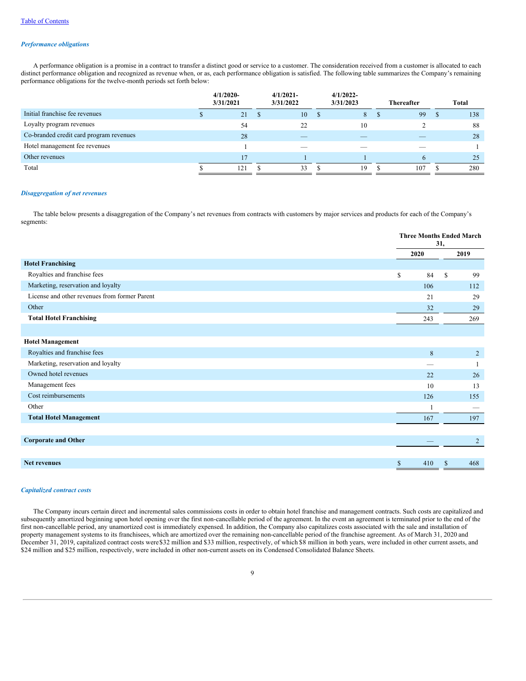# *Performance obligations*

A performance obligation is a promise in a contract to transfer a distinct good or service to a customer. The consideration received from a customer is allocated to each distinct performance obligation and recognized as revenue when, or as, each performance obligation is satisfied. The following table summarizes the Company's remaining performance obligations for the twelve-month periods set forth below:

|                                         |  | $4/1/2020$ -<br>3/31/2021 |  |    |                          |     |  | $4/1/2021-$<br>3/31/2022 | $4/1/2022 -$<br>3/31/2023 | <b>Thereafter</b> |  | Total |
|-----------------------------------------|--|---------------------------|--|----|--------------------------|-----|--|--------------------------|---------------------------|-------------------|--|-------|
| Initial franchise fee revenues          |  | 21                        |  | 10 | 8                        | 99  |  | 138                      |                           |                   |  |       |
| Loyalty program revenues                |  | 54                        |  | 22 | 10                       |     |  | 88                       |                           |                   |  |       |
| Co-branded credit card program revenues |  | 28                        |  | _  |                          |     |  | 28                       |                           |                   |  |       |
| Hotel management fee revenues           |  |                           |  | _  | $\overline{\phantom{a}}$ |     |  |                          |                           |                   |  |       |
| Other revenues                          |  |                           |  |    |                          |     |  | 25                       |                           |                   |  |       |
| Total                                   |  | 121                       |  | 33 | 19                       | 107 |  | 280                      |                           |                   |  |       |

#### *Disaggregation of net revenues*

The table below presents a disaggregation of the Company's net revenues from contracts with customers by major services and products for each of the Company's segments:

|                                               |           | <b>Three Months Ended March</b><br>31, |                |  |
|-----------------------------------------------|-----------|----------------------------------------|----------------|--|
|                                               | 2020      | 2019                                   |                |  |
| <b>Hotel Franchising</b>                      |           |                                        |                |  |
| Royalties and franchise fees                  | \$<br>84  | \$<br>99                               |                |  |
| Marketing, reservation and loyalty            | 106       | 112                                    |                |  |
| License and other revenues from former Parent | 21        | 29                                     |                |  |
| Other                                         | 32        | 29                                     |                |  |
| <b>Total Hotel Franchising</b>                | 243       | 269                                    |                |  |
|                                               |           |                                        |                |  |
| <b>Hotel Management</b>                       |           |                                        |                |  |
| Royalties and franchise fees                  | 8         |                                        | $\overline{2}$ |  |
| Marketing, reservation and loyalty            |           |                                        |                |  |
| Owned hotel revenues                          | 22        | 26                                     |                |  |
| Management fees                               | 10        | 13                                     |                |  |
| Cost reimbursements                           | 126       | 155                                    |                |  |
| Other                                         | 1         | $\overline{\phantom{a}}$               |                |  |
| <b>Total Hotel Management</b>                 | 167       | 197                                    |                |  |
|                                               |           |                                        |                |  |
| <b>Corporate and Other</b>                    |           | $\overline{2}$                         |                |  |
|                                               |           |                                        |                |  |
| <b>Net revenues</b>                           | 410<br>\$ | 468<br>-S                              |                |  |

#### *Capitalized contract costs*

The Company incurs certain direct and incremental sales commissions costs in order to obtain hotel franchise and management contracts. Such costs are capitalized and subsequently amortized beginning upon hotel opening over the first non-cancellable period of the agreement. In the event an agreement is terminated prior to the end of the first non-cancellable period, any unamortized cost is immediately expensed. In addition, the Company also capitalizes costs associated with the sale and installation of property management systems to its franchisees, which are amortized over the remaining non-cancellable period of the franchise agreement. As of March 31, 2020 and December 31, 2019, capitalized contract costs were\$32 million and \$33 million, respectively, of which \$8 million in both years, were included in other current assets, and \$24 million and \$25 million, respectively, were included in other non-current assets on its Condensed Consolidated Balance Sheets.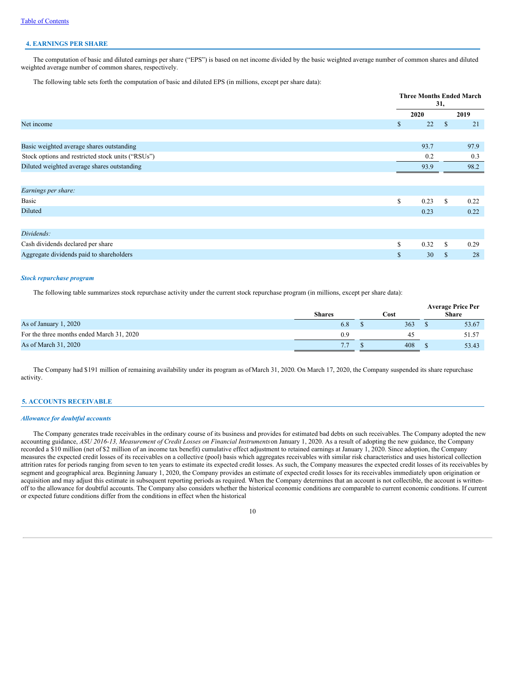### **4. EARNINGS PER SHARE**

The computation of basic and diluted earnings per share ("EPS") is based on net income divided by the basic weighted average number of common shares and diluted weighted average number of common shares, respectively.

The following table sets forth the computation of basic and diluted EPS (in millions, except per share data):

|                                                   |             | <b>Three Months Ended March</b><br>31, |
|---------------------------------------------------|-------------|----------------------------------------|
|                                                   | 2020        | 2019                                   |
| Net income                                        | 22<br>\$    | <sup>\$</sup><br>21                    |
|                                                   |             |                                        |
| Basic weighted average shares outstanding         | 93.7        | 97.9                                   |
| Stock options and restricted stock units ("RSUs") | 0.2         | 0.3                                    |
| Diluted weighted average shares outstanding       | 93.9        | 98.2                                   |
|                                                   |             |                                        |
| Earnings per share:                               |             |                                        |
| Basic                                             | \$.<br>0.23 | S<br>0.22                              |
| Diluted                                           | 0.23        | 0.22                                   |
|                                                   |             |                                        |
| Dividends:                                        |             |                                        |
| Cash dividends declared per share                 | \$<br>0.32  | S<br>0.29                              |
| Aggregate dividends paid to shareholders          | \$<br>30    | 28<br>S                                |

#### *Stock repurchase program*

The following table summarizes stock repurchase activity under the current stock repurchase program (in millions, except per share data):

|                                           | <b>Shares</b> | Cost | <b>Average Price Per</b><br><b>Share</b> |
|-------------------------------------------|---------------|------|------------------------------------------|
| As of January 1, 2020                     | 6.8           | 363  | 53.67                                    |
| For the three months ended March 31, 2020 | 0.9           | 45   | 51.57                                    |
| As of March 31, 2020                      | 7.7           | 408  | 53.43                                    |

The Company had \$191 million of remaining availability under its program as ofMarch 31, 2020. On March 17, 2020, the Company suspended its share repurchase activity.

### **5. ACCOUNTS RECEIVABLE**

#### *Allowance for doubtful accounts*

The Company generates trade receivables in the ordinary course of its business and provides for estimated bad debts on such receivables. The Company adopted the new accounting guidance, *ASU 2016-13, Measurement of Credit Losses on Financial Instruments*on January 1, 2020. As a result of adopting the new guidance, the Company recorded a \$10 million (net of \$2 million of an income tax benefit) cumulative effect adjustment to retained earnings at January 1, 2020. Since adoption, the Company measures the expected credit losses of its receivables on a collective (pool) basis which aggregates receivables with similar risk characteristics and uses historical collection attrition rates for periods ranging from seven to ten years to estimate its expected credit losses. As such, the Company measures the expected credit losses of its receivables by segment and geographical area. Beginning January 1, 2020, the Company provides an estimate of expected credit losses for its receivables immediately upon origination or acquisition and may adjust this estimate in subsequent reporting periods as required. When the Company determines that an account is not collectible, the account is writtenoff to the allowance for doubtful accounts. The Company also considers whether the historical economic conditions are comparable to current economic conditions. If current or expected future conditions differ from the conditions in effect when the historical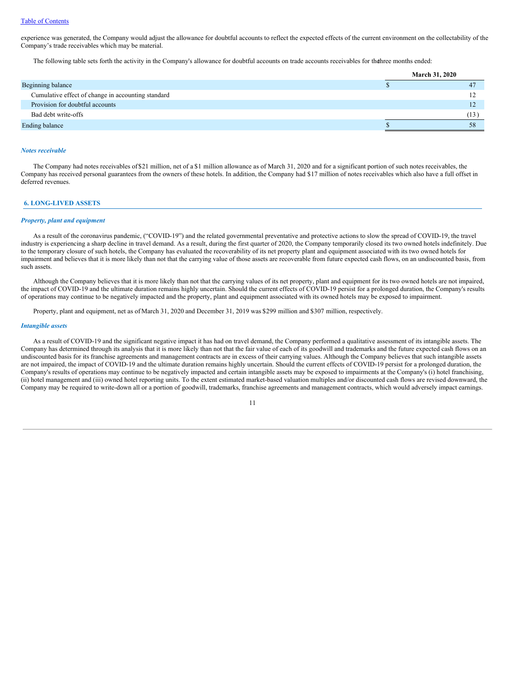experience was generated, the Company would adjust the allowance for doubtful accounts to reflect the expected effects of the current environment on the collectability of the Company's trade receivables which may be material.

The following table sets forth the activity in the Company's allowance for doubtful accounts on trade accounts receivables for the three months ended:

|                                                    | <b>March 31, 2020</b> |
|----------------------------------------------------|-----------------------|
| Beginning balance                                  |                       |
| Cumulative effect of change in accounting standard |                       |
| Provision for doubtful accounts                    |                       |
| Bad debt write-offs                                | (13)                  |
| Ending balance                                     | 58                    |
|                                                    |                       |

#### *Notes receivable*

The Company had notes receivables of \$21 million, net of a \$1 million allowance as of March 31, 2020 and for a significant portion of such notes receivables, the Company has received personal guarantees from the owners of these hotels. In addition, the Company had \$17 million of notes receivables which also have a full offset in deferred revenues.

#### **6. LONG-LIVED ASSETS**

#### *Property, plant and equipment*

As a result of the coronavirus pandemic, ("COVID-19") and the related governmental preventative and protective actions to slow the spread of COVID-19, the travel industry is experiencing a sharp decline in travel demand. As a result, during the first quarter of 2020, the Company temporarily closed its two owned hotels indefinitely. Due to the temporary closure of such hotels, the Company has evaluated the recoverability of its net property plant and equipment associated with its two owned hotels for impairment and believes that it is more likely than not that the carrying value of those assets are recoverable from future expected cash flows, on an undiscounted basis, from such assets.

Although the Company believes that it is more likely than not that the carrying values of its net property, plant and equipment for its two owned hotels are not impaired, the impact of COVID-19 and the ultimate duration remains highly uncertain. Should the current effects of COVID-19 persist for a prolonged duration, the Company's results of operations may continue to be negatively impacted and the property, plant and equipment associated with its owned hotels may be exposed to impairment.

Property, plant and equipment, net as of March 31, 2020 and December 31, 2019 was \$299 million and \$307 million, respectively.

#### *Intangible assets*

As a result of COVID-19 and the significant negative impact it has had on travel demand, the Company performed a qualitative assessment of its intangible assets. The Company has determined through its analysis that it is more likely than not that the fair value of each of its goodwill and trademarks and the future expected cash flows on an undiscounted basis for its franchise agreements and management contracts are in excess of their carrying values. Although the Company believes that such intangible assets are not impaired, the impact of COVID-19 and the ultimate duration remains highly uncertain. Should the current effects of COVID-19 persist for a prolonged duration, the Company's results of operations may continue to be negatively impacted and certain intangible assets may be exposed to impairments at the Company's (i) hotel franchising, (ii) hotel management and (iii) owned hotel reporting units. To the extent estimated market-based valuation multiples and/or discounted cash flows are revised downward, the Company may be required to write-down all or a portion of goodwill, trademarks, franchise agreements and management contracts, which would adversely impact earnings.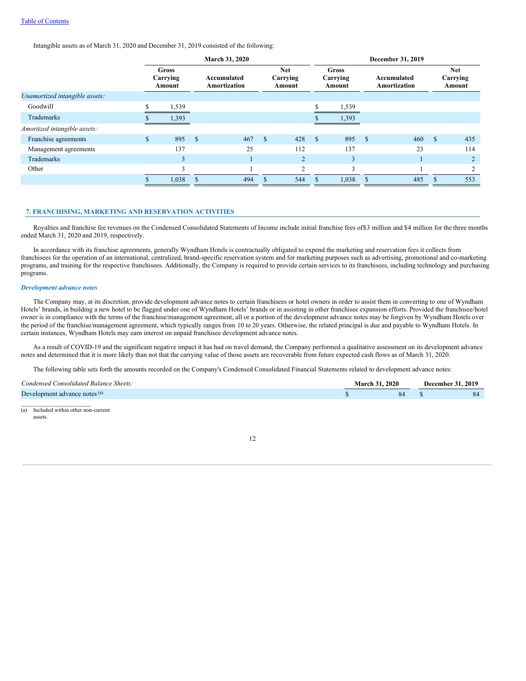Intangible assets as of March 31, 2020 and December 31, 2019 consisted of the following:

|                                |              |                                    |               | March 31, 2020              |               |                                  | December 31, 2019 |                                    |               |                             |               |                                  |
|--------------------------------|--------------|------------------------------------|---------------|-----------------------------|---------------|----------------------------------|-------------------|------------------------------------|---------------|-----------------------------|---------------|----------------------------------|
|                                |              | <b>Gross</b><br>Carrying<br>Amount |               | Accumulated<br>Amortization |               | <b>Net</b><br>Carrying<br>Amount |                   | <b>Gross</b><br>Carrying<br>Amount |               | Accumulated<br>Amortization |               | <b>Net</b><br>Carrying<br>Amount |
| Unamortized intangible assets: |              |                                    |               |                             |               |                                  |                   |                                    |               |                             |               |                                  |
| Goodwill                       | S            | 1,539                              |               |                             |               |                                  | \$.               | 1,539                              |               |                             |               |                                  |
| Trademarks                     |              | 1,393                              |               |                             |               |                                  |                   | 1,393                              |               |                             |               |                                  |
| Amortized intangible assets:   |              |                                    |               |                             |               |                                  |                   |                                    |               |                             |               |                                  |
| Franchise agreements           | $\mathbb{S}$ | 895                                | <sup>\$</sup> | 467                         | $\mathcal{S}$ | 428                              | <sup>\$</sup>     | 895                                | <sup>\$</sup> | 460                         | <sup>\$</sup> | 435                              |
| Management agreements          |              | 137                                |               | 25                          |               | 112                              |                   | 137                                |               | 23                          |               | 114                              |
| Trademarks                     |              | 3                                  |               |                             |               | $\overline{2}$                   |                   | 3                                  |               |                             |               | $\overline{2}$                   |
| Other                          |              | 3                                  |               |                             |               | <sup>1</sup>                     |                   | 3                                  |               |                             |               | ◠                                |
|                                |              | 1,038                              |               | 494                         |               | 544                              | ß,                | 1,038                              | ¢             | 485                         | S             | 553                              |

# **7. FRANCHISING, MARKETING AND RESERVATION ACTIVITIES**

Royalties and franchise fee revenues on the Condensed Consolidated Statements of Income include initial franchise fees of\$3 million and \$4 million for the three months ended March 31, 2020 and 2019, respectively.

In accordance with its franchise agreements, generally Wyndham Hotels is contractually obligated to expend the marketing and reservation fees it collects from franchisees for the operation of an international, centralized, brand-specific reservation system and for marketing purposes such as advertising, promotional and co-marketing programs, and training for the respective franchisees. Additionally, the Company is required to provide certain services to its franchisees, including technology and purchasing programs.

### *Development advance notes*

The Company may, at its discretion, provide development advance notes to certain franchisees or hotel owners in order to assist them in converting to one of Wyndham Hotels' brands, in building a new hotel to be flagged under one of Wyndham Hotels' brands or in assisting in other franchisee expansion efforts. Provided the franchisee/hotel owner is in compliance with the terms of the franchise/management agreement, all or a portion of the development advance notes may be forgiven by Wyndham Hotels over the period of the franchise/management agreement, which typically ranges from 10 to 20 years. Otherwise, the related principal is due and payable to Wyndham Hotels. In certain instances, Wyndham Hotels may earn interest on unpaid franchisee development advance notes.

As a result of COVID-19 and the significant negative impact it has had on travel demand, the Company performed a qualitative assessment on its development advance notes and determined that it is more likely than not that the carrying value of those assets are recoverable from future expected cash flows as of March 31, 2020.

The following table sets forth the amounts recorded on the Company's Condensed Consolidated Financial Statements related to development advance notes:

| Condensed Consolidated Balance Sheets: | <b>March 31, 2020</b> | <b>December 31, 2019</b> |  |  |  |
|----------------------------------------|-----------------------|--------------------------|--|--|--|
| Development advance notes (a)          |                       |                          |  |  |  |
| $(a)$ Included within other non owner. |                       |                          |  |  |  |

within other non-current assets.

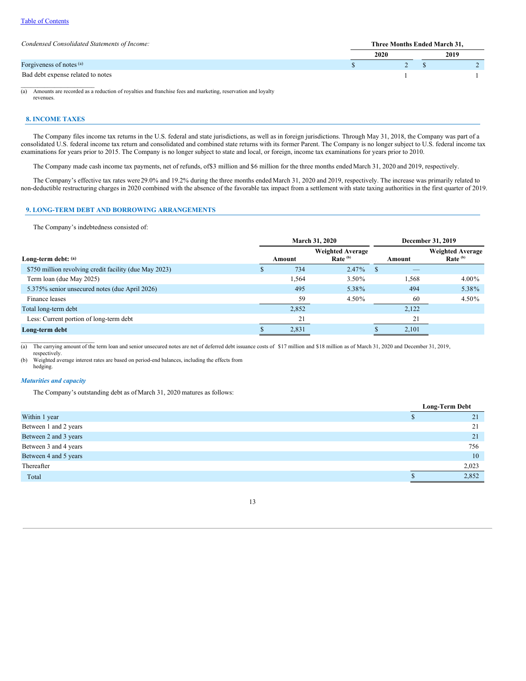| Condensed Consolidated Statements of Income: | Three Months Ended March 31, |      |  |      |  |  |  |  |
|----------------------------------------------|------------------------------|------|--|------|--|--|--|--|
|                                              |                              | 2020 |  | 2019 |  |  |  |  |
| Forgiveness of notes (a)                     |                              |      |  |      |  |  |  |  |
| Bad debt expense related to notes            |                              |      |  |      |  |  |  |  |
|                                              |                              |      |  |      |  |  |  |  |

 $\overline{(a)}$  Amounts are recorded as a reduction of royalties and franchise fees and marketing, reservation and loyalty revenues.

# **8. INCOME TAXES**

The Company files income tax returns in the U.S. federal and state jurisdictions, as well as in foreign jurisdictions. Through May 31, 2018, the Company was part of a consolidated U.S. federal income tax return and consolidated and combined state returns with its former Parent. The Company is no longer subject to U.S. federal income tax examinations for years prior to 2015. The Company is no longer subject to state and local, or foreign, income tax examinations for years prior to 2010.

The Company made cash income tax payments, net of refunds, of\$3 million and \$6 million for the three months ended March 31, 2020 and 2019, respectively.

The Company's effective tax rates were 29.0% and 19.2% during the three months ended March 31, 2020 and 2019, respectively. The increase was primarily related to non-deductible restructuring charges in 2020 combined with the absence of the favorable tax impact from a settlement with state taxing authorities in the first quarter of 2019.

# **9. LONG-TERM DEBT AND BORROWING ARRANGEMENTS**

### The Company's indebtedness consisted of:

|                                                        |        | <b>March 31, 2020</b>                          | December 31, 2019 |        |                                                |  |
|--------------------------------------------------------|--------|------------------------------------------------|-------------------|--------|------------------------------------------------|--|
| Long-term debt: (a)                                    | Amount | <b>Weighted Average</b><br>Rate <sup>(b)</sup> |                   | Amount | <b>Weighted Average</b><br>Rate <sup>(b)</sup> |  |
| \$750 million revolving credit facility (due May 2023) | 734    | $2.47\%$                                       | -S                |        |                                                |  |
| Term loan (due May 2025)                               | 1,564  | 3.50%                                          |                   | 1,568  | $4.00\%$                                       |  |
| 5.375% senior unsecured notes (due April 2026)         | 495    | 5.38%                                          |                   | 494    | 5.38%                                          |  |
| Finance leases                                         | 59     | $4.50\%$                                       |                   | 60     | 4.50%                                          |  |
| Total long-term debt                                   | 2,852  |                                                |                   | 2,122  |                                                |  |
| Less: Current portion of long-term debt                | 21     |                                                |                   | 21     |                                                |  |
| Long-term debt                                         | 2,831  |                                                |                   | 2,101  |                                                |  |

 $\mathcal{L}=\mathcal{L}=\mathcal{L}=\mathcal{L}=\mathcal{L}=\mathcal{L}=\mathcal{L}=\mathcal{L}=\mathcal{L}=\mathcal{L}=\mathcal{L}=\mathcal{L}=\mathcal{L}=\mathcal{L}=\mathcal{L}=\mathcal{L}=\mathcal{L}=\mathcal{L}=\mathcal{L}=\mathcal{L}=\mathcal{L}=\mathcal{L}=\mathcal{L}=\mathcal{L}=\mathcal{L}=\mathcal{L}=\mathcal{L}=\mathcal{L}=\mathcal{L}=\mathcal{L}=\mathcal{L}=\mathcal{L}=\mathcal{L}=\mathcal{L}=\mathcal{L}=\mathcal{L}=\mathcal{$ (a) The carrying amount of the term loan and senior unsecured notes are net of deferred debt issuance costs of \$17 million and \$18 million as of March 31, 2020 and December 31, 2019, respectively.

(b) Weighted average interest rates are based on period-end balances, including the effects from hedging.

#### *Maturities and capacity*

The Company's outstanding debt as of March 31, 2020 matures as follows:

|                       | <b>Long-Term Debt</b> |
|-----------------------|-----------------------|
| Within 1 year         | 21                    |
| Between 1 and 2 years | 21                    |
| Between 2 and 3 years | 21                    |
| Between 3 and 4 years | 756                   |
| Between 4 and 5 years | 10                    |
| Thereafter            | 2,023                 |
| Total                 | 2,852                 |

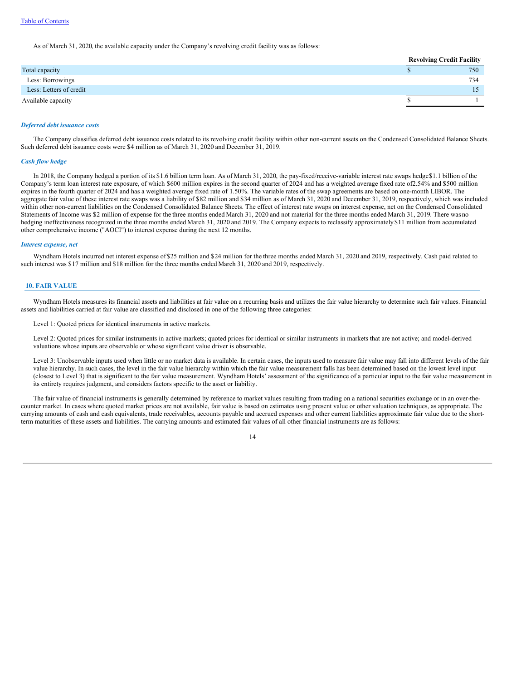As of March 31, 2020, the available capacity under the Company's revolving credit facility was as follows:

|                         | <b>Revolving Credit Facility</b> |
|-------------------------|----------------------------------|
| Total capacity          | 750                              |
| Less: Borrowings        | 734                              |
| Less: Letters of credit | 15                               |
| Available capacity      |                                  |
|                         |                                  |

#### *Deferred debt issuance costs*

The Company classifies deferred debt issuance costs related to its revolving credit facility within other non-current assets on the Condensed Consolidated Balance Sheets. Such deferred debt issuance costs were \$4 million as of March 31, 2020 and December 31, 2019.

#### *Cash flow hedge*

In 2018, the Company hedged a portion of its \$1.6 billion term loan. As of March 31, 2020, the pay-fixed/receive-variable interest rate swaps hedge\$1.1 billion of the Company's term loan interest rate exposure, of which \$600 million expires in the second quarter of 2024 and has a weighted average fixed rate of2.54% and \$500 million expires in the fourth quarter of 2024 and has a weighted average fixed rate of 1.50%. The variable rates of the swap agreements are based on one-month LIBOR. The aggregate fair value of these interest rate swaps was a liability of \$82 million and \$34 million as of March 31, 2020 and December 31, 2019, respectively, which was included within other non-current liabilities on the Condensed Consolidated Balance Sheets. The effect of interest rate swaps on interest expense, net on the Condensed Consolidated Statements of Income was \$2 million of expense for the three months ended March 31, 2020 and not material for the three months ended March 31, 2019. There was no hedging ineffectiveness recognized in the three months ended March 31, 2020 and 2019. The Company expects to reclassify approximately \$11 million from accumulated other comprehensive income ("AOCI") to interest expense during the next 12 months.

#### *Interest expense, net*

Wyndham Hotels incurred net interest expense of\$25 million and \$24 million for the three months ended March 31, 2020 and 2019, respectively. Cash paid related to such interest was \$17 million and \$18 million for the three months ended March 31, 2020 and 2019, respectively.

#### **10. FAIR VALUE**

Wyndham Hotels measures its financial assets and liabilities at fair value on a recurring basis and utilizes the fair value hierarchy to determine such fair values. Financial assets and liabilities carried at fair value are classified and disclosed in one of the following three categories:

Level 1: Quoted prices for identical instruments in active markets.

Level 2: Quoted prices for similar instruments in active markets; quoted prices for identical or similar instruments in markets that are not active; and model-derived valuations whose inputs are observable or whose significant value driver is observable.

Level 3: Unobservable inputs used when little or no market data is available. In certain cases, the inputs used to measure fair value may fall into different levels of the fair value hierarchy. In such cases, the level in the fair value hierarchy within which the fair value measurement falls has been determined based on the lowest level input (closest to Level 3) that is significant to the fair value measurement. Wyndham Hotels' assessment of the significance of a particular input to the fair value measurement in its entirety requires judgment, and considers factors specific to the asset or liability.

The fair value of financial instruments is generally determined by reference to market values resulting from trading on a national securities exchange or in an over-thecounter market. In cases where quoted market prices are not available, fair value is based on estimates using present value or other valuation techniques, as appropriate. The carrying amounts of cash and cash equivalents, trade receivables, accounts payable and accrued expenses and other current liabilities approximate fair value due to the shortterm maturities of these assets and liabilities. The carrying amounts and estimated fair values of all other financial instruments are as follows: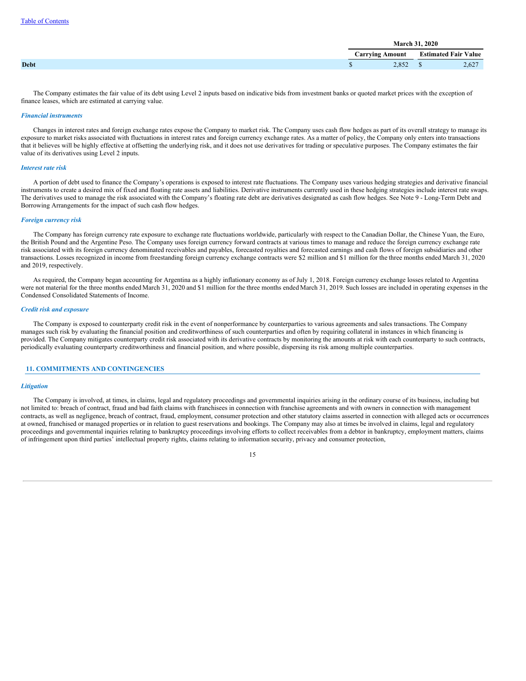|             |                 | March 31, 2020              |       |  |
|-------------|-----------------|-----------------------------|-------|--|
|             | Carrving Amount | <b>Estimated Fair Value</b> |       |  |
| <b>Debt</b> | າວເງ<br>2,032   |                             | 2,627 |  |

The Company estimates the fair value of its debt using Level 2 inputs based on indicative bids from investment banks or quoted market prices with the exception of finance leases, which are estimated at carrying value.

#### *Financial instruments*

Changes in interest rates and foreign exchange rates expose the Company to market risk. The Company uses cash flow hedges as part of its overall strategy to manage its exposure to market risks associated with fluctuations in interest rates and foreign currency exchange rates. As a matter of policy, the Company only enters into transactions that it believes will be highly effective at offsetting the underlying risk, and it does not use derivatives for trading or speculative purposes. The Company estimates the fair value of its derivatives using Level 2 inputs.

#### *Interest rate risk*

A portion of debt used to finance the Company's operations is exposed to interest rate fluctuations. The Company uses various hedging strategies and derivative financial instruments to create a desired mix of fixed and floating rate assets and liabilities. Derivative instruments currently used in these hedging strategies include interest rate swaps. The derivatives used to manage the risk associated with the Company's floating rate debt are derivatives designated as cash flow hedges. See Note 9 - Long-Term Debt and Borrowing Arrangements for the impact of such cash flow hedges.

#### *Foreign currency risk*

The Company has foreign currency rate exposure to exchange rate fluctuations worldwide, particularly with respect to the Canadian Dollar, the Chinese Yuan, the Euro, the British Pound and the Argentine Peso. The Company uses foreign currency forward contracts at various times to manage and reduce the foreign currency exchange rate risk associated with its foreign currency denominated receivables and payables, forecasted royalties and forecasted earnings and cash flows of foreign subsidiaries and other transactions. Losses recognized in income from freestanding foreign currency exchange contracts were \$2 million and \$1 million for the three months ended March 31, 2020 and 2019, respectively.

As required, the Company began accounting for Argentina as a highly inflationary economy as of July 1, 2018. Foreign currency exchange losses related to Argentina were not material for the three months ended March 31, 2020 and \$1 million for the three months ended March 31, 2019. Such losses are included in operating expenses in the Condensed Consolidated Statements of Income.

#### *Credit risk and exposure*

The Company is exposed to counterparty credit risk in the event of nonperformance by counterparties to various agreements and sales transactions. The Company manages such risk by evaluating the financial position and creditworthiness of such counterparties and often by requiring collateral in instances in which financing is provided. The Company mitigates counterparty credit risk associated with its derivative contracts by monitoring the amounts at risk with each counterparty to such contracts, periodically evaluating counterparty creditworthiness and financial position, and where possible, dispersing its risk among multiple counterparties.

### **11. COMMITMENTS AND CONTINGENCIES**

#### *Litigation*

The Company is involved, at times, in claims, legal and regulatory proceedings and governmental inquiries arising in the ordinary course of its business, including but not limited to: breach of contract, fraud and bad faith claims with franchisees in connection with franchise agreements and with owners in connection with management contracts, as well as negligence, breach of contract, fraud, employment, consumer protection and other statutory claims asserted in connection with alleged acts or occurrences at owned, franchised or managed properties or in relation to guest reservations and bookings. The Company may also at times be involved in claims, legal and regulatory proceedings and governmental inquiries relating to bankruptcy proceedings involving efforts to collect receivables from a debtor in bankruptcy, employment matters, claims of infringement upon third parties' intellectual property rights, claims relating to information security, privacy and consumer protection,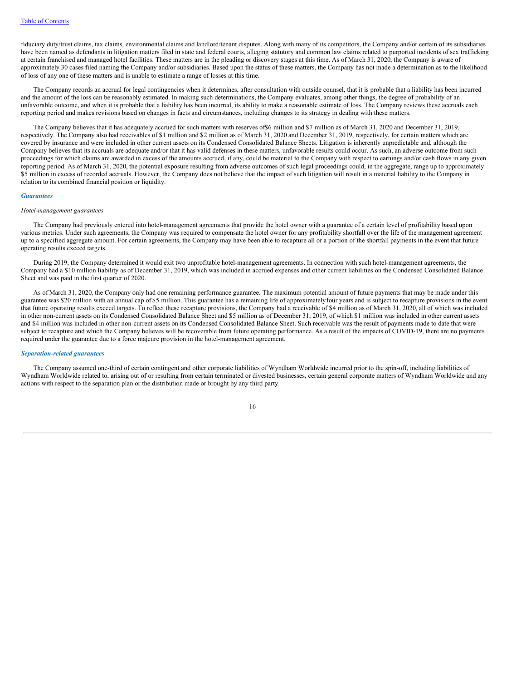fiduciary duty/trust claims, tax claims, environmental claims and landlord/tenant disputes. Along with many of its competitors, the Company and/or certain of its subsidiaries have been named as defendants in litigation matters filed in state and federal courts, alleging statutory and common law claims related to purported incidents of sex trafficking at certain franchised and managed hotel facilities. These matters are in the pleading or discovery stages at this time. As of March 31, 2020, the Company is aware of approximately 30 cases filed naming the Company and/or subsidiaries. Based upon the status of these matters, the Company has not made a determination as to the likelihood of loss of any one of these matters and is unable to estimate a range of losses at this time.

The Company records an accrual for legal contingencies when it determines, after consultation with outside counsel, that it is probable that a liability has been incurred and the amount of the loss can be reasonably estimated. In making such determinations, the Company evaluates, among other things, the degree of probability of an unfavorable outcome, and when it is probable that a liability has been incurred, its ability to make a reasonable estimate of loss. The Company reviews these accruals each reporting period and makes revisions based on changes in facts and circumstances, including changes to its strategy in dealing with these matters.

The Company believes that it has adequately accrued for such matters with reserves of\$6 million and \$7 million as of March 31, 2020 and December 31, 2019, respectively. The Company also had receivables of \$1 million and \$2 million as of March 31, 2020 and December 31, 2019, respectively, for certain matters which are covered by insurance and were included in other current assets on its Condensed Consolidated Balance Sheets. Litigation is inherently unpredictable and, although the Company believes that its accruals are adequate and/or that it has valid defenses in these matters, unfavorable results could occur. As such, an adverse outcome from such proceedings for which claims are awarded in excess of the amounts accrued, if any, could be material to the Company with respect to earnings and/or cash flows in any given reporting period. As of March 31, 2020, the potential exposure resulting from adverse outcomes of such legal proceedings could, in the aggregate, range up to approximately \$5 million in excess of recorded accruals. However, the Company does not believe that the impact of such litigation will result in a material liability to the Company in relation to its combined financial position or liquidity.

#### *Guarantees*

#### *Hotel-management guarantees*

The Company had previously entered into hotel-management agreements that provide the hotel owner with a guarantee of a certain level of profitability based upon various metrics. Under such agreements, the Company was required to compensate the hotel owner for any profitability shortfall over the life of the management agreement up to a specified aggregate amount. For certain agreements, the Company may have been able to recapture all or a portion of the shortfall payments in the event that future operating results exceed targets.

During 2019, the Company determined it would exit two unprofitable hotel-management agreements. In connection with such hotel-management agreements, the Company had a \$10 million liability as of December 31, 2019, which was included in accrued expenses and other current liabilities on the Condensed Consolidated Balance Sheet and was paid in the first quarter of 2020.

As of March 31, 2020, the Company only had one remaining performance guarantee. The maximum potential amount of future payments that may be made under this guarantee was \$20 million with an annual cap of \$5 million. This guarantee has a remaining life of approximatelyfour years and is subject to recapture provisions in the event that future operating results exceed targets. To reflect these recapture provisions, the Company had a receivable of \$4 million as of March 31, 2020, all of which was included in other non-current assets on its Condensed Consolidated Balance Sheet and \$5 million as of December 31, 2019, of which \$1 million was included in other current assets and \$4 million was included in other non-current assets on its Condensed Consolidated Balance Sheet. Such receivable was the result of payments made to date that were subject to recapture and which the Company believes will be recoverable from future operating performance. As a result of the impacts of COVID-19, there are no payments required under the guarantee due to a force majeure provision in the hotel-management agreement.

#### *Separation-related guarantees*

The Company assumed one-third of certain contingent and other corporate liabilities of Wyndham Worldwide incurred prior to the spin-off, including liabilities of Wyndham Worldwide related to, arising out of or resulting from certain terminated or divested businesses, certain general corporate matters of Wyndham Worldwide and any actions with respect to the separation plan or the distribution made or brought by any third party.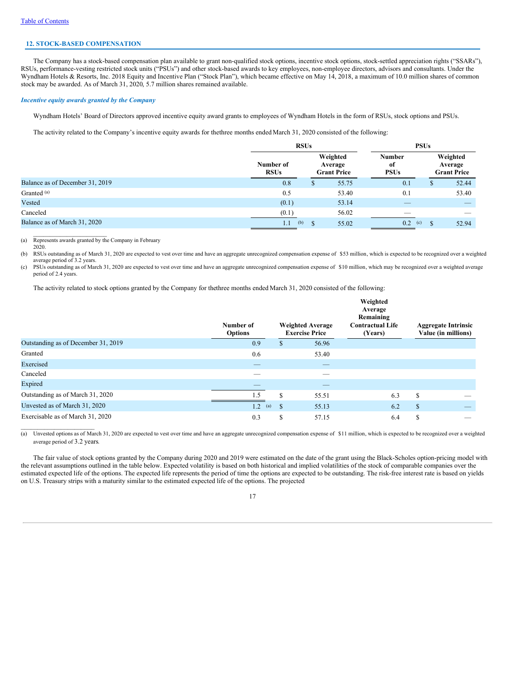#### **12. STOCK-BASED COMPENSATION**

The Company has a stock-based compensation plan available to grant non-qualified stock options, incentive stock options, stock-settled appreciation rights ("SSARs"), RSUs, performance-vesting restricted stock units ("PSUs") and other stock-based awards to key employees, non-employee directors, advisors and consultants. Under the Wyndham Hotels & Resorts, Inc. 2018 Equity and Incentive Plan ("Stock Plan"), which became effective on May 14, 2018, a maximum of 10.0 million shares of common stock may be awarded. As of March 31, 2020, 5.7 million shares remained available.

#### *Incentive equity awards granted by the Company*

Wyndham Hotels' Board of Directors approved incentive equity award grants to employees of Wyndham Hotels in the form of RSUs, stock options and PSUs.

The activity related to the Company's incentive equity awards for thethree months ended March 31, 2020 consisted of the following:

|                                 |            | <b>RSUs</b>                                                           |       | <b>PSUs</b>                         |           |                                           |
|---------------------------------|------------|-----------------------------------------------------------------------|-------|-------------------------------------|-----------|-------------------------------------------|
|                                 |            | Weighted<br>Number of<br>Average<br><b>RSUs</b><br><b>Grant Price</b> |       | <b>Number</b><br>-of<br><b>PSUs</b> |           | Weighted<br>Average<br><b>Grant Price</b> |
| Balance as of December 31, 2019 | 0.8        | S                                                                     | 55.75 | 0.1                                 | S         | 52.44                                     |
| Granted <sup>(a)</sup>          | 0.5        |                                                                       | 53.40 | 0.1                                 |           | 53.40                                     |
| Vested                          | (0.1)      |                                                                       | 53.14 | _                                   |           | _                                         |
| Canceled                        | (0.1)      |                                                                       | 56.02 | $\overline{\phantom{a}}$            |           |                                           |
| Balance as of March 31, 2020    | 1.1<br>(b) | <sup>\$</sup>                                                         | 55.02 | 0.2                                 | (c)<br>-8 | 52.94                                     |

(a) Represents awards granted by the Company in February

 $\mathcal{L}_\text{max}$  and  $\mathcal{L}_\text{max}$  and  $\mathcal{L}_\text{max}$ 

 $\mathcal{L}_\text{max}$ 

2020.

(b) RSUs outstanding as of March 31, 2020 are expected to vest over time and have an aggregate unrecognized compensation expense of \$53 million, which is expected to be recognized over a weighted average period of 3.2 years.

(c) PSUs outstanding as of March 31, 2020 are expected to vest over time and have an aggregate unrecognized compensation expense of \$10 million, which may be recognized over a weighted average period of 2.4 years.

The activity related to stock options granted by the Company for thethree months ended March 31, 2020 consisted of the following:

|                                     | Number of<br><b>Options</b> |                      | <b>Weighted Average</b><br><b>Exercise Price</b> | Weighted<br>Average<br>Remaining<br><b>Contractual Life</b><br>(Years) | <b>Aggregate Intrinsic</b><br>Value (in millions) |  |
|-------------------------------------|-----------------------------|----------------------|--------------------------------------------------|------------------------------------------------------------------------|---------------------------------------------------|--|
| Outstanding as of December 31, 2019 | 0.9                         | S                    | 56.96                                            |                                                                        |                                                   |  |
| Granted                             | 0.6                         |                      | 53.40                                            |                                                                        |                                                   |  |
| Exercised                           | _                           |                      | $-$                                              |                                                                        |                                                   |  |
| Canceled                            |                             |                      |                                                  |                                                                        |                                                   |  |
| Expired                             |                             |                      |                                                  |                                                                        |                                                   |  |
| Outstanding as of March 31, 2020    | 1.5                         | S                    | 55.51                                            | 6.3                                                                    | S                                                 |  |
| Unvested as of March 31, 2020       | 1.2                         | <sup>\$</sup><br>(a) | 55.13                                            | 6.2                                                                    | $\mathbb{S}$                                      |  |
| Exercisable as of March 31, 2020    | 0.3                         | S                    | 57.15                                            | 6.4                                                                    | S                                                 |  |

(a) Unvested options as of March 31, 2020 are expected to vest over time and have an aggregate unrecognized compensation expense of \$11 million, which is expected to be recognized over a weighted average period of 3.2 years.

The fair value of stock options granted by the Company during 2020 and 2019 were estimated on the date of the grant using the Black-Scholes option-pricing model with the relevant assumptions outlined in the table below. Expected volatility is based on both historical and implied volatilities of the stock of comparable companies over the estimated expected life of the options. The expected life represents the period of time the options are expected to be outstanding. The risk-free interest rate is based on yields on U.S. Treasury strips with a maturity similar to the estimated expected life of the options. The projected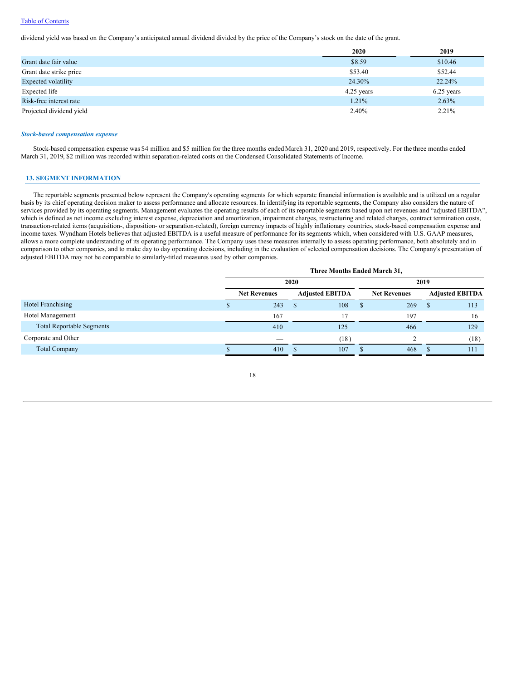### Table of [Contents](#page-0-0)

dividend yield was based on the Company's anticipated annual dividend divided by the price of the Company's stock on the date of the grant.

|                            | 2020       | 2019       |
|----------------------------|------------|------------|
| Grant date fair value      | \$8.59     | \$10.46    |
| Grant date strike price    | \$53.40    | \$52.44    |
| <b>Expected volatility</b> | 24.30%     | 22.24%     |
| Expected life              | 4.25 years | 6.25 years |
| Risk-free interest rate    | 1.21%      | $2.63\%$   |
| Projected dividend yield   | 2.40%      | $2.21\%$   |

#### *Stock-based compensation expense*

Stock-based compensation expense was \$4 million and \$5 million for the three months ended March 31, 2020 and 2019, respectively. For the three months ended March 31, 2019, \$2 million was recorded within separation-related costs on the Condensed Consolidated Statements of Income.

#### **13. SEGMENT INFORMATION**

The reportable segments presented below represent the Company's operating segments for which separate financial information is available and is utilized on a regular basis by its chief operating decision maker to assess performance and allocate resources. In identifying its reportable segments, the Company also considers the nature of services provided by its operating segments. Management evaluates the operating results of each of its reportable segments based upon net revenues and "adjusted EBITDA", which is defined as net income excluding interest expense, depreciation and amortization, impairment charges, restructuring and related charges, contract termination costs, transaction-related items (acquisition-, disposition- or separation-related), foreign currency impacts of highly inflationary countries, stock-based compensation expense and income taxes. Wyndham Hotels believes that adjusted EBITDA is a useful measure of performance for its segments which, when considered with U.S. GAAP measures, allows a more complete understanding of its operating performance. The Company uses these measures internally to assess operating performance, both absolutely and in comparison to other companies, and to make day to day operating decisions, including in the evaluation of selected compensation decisions. The Company's presentation of adjusted EBITDA may not be comparable to similarly-titled measures used by other companies.

|                                  | Three Months Ended March 31, |                          |      |                        |  |                     |      |                        |  |
|----------------------------------|------------------------------|--------------------------|------|------------------------|--|---------------------|------|------------------------|--|
|                                  | 2020                         |                          |      |                        |  |                     | 2019 |                        |  |
|                                  |                              | <b>Net Revenues</b>      |      | <b>Adjusted EBITDA</b> |  | <b>Net Revenues</b> |      | <b>Adjusted EBITDA</b> |  |
| Hotel Franchising                |                              | 243                      | - 76 | 108                    |  | 269                 |      | 113                    |  |
| Hotel Management                 |                              | 167                      |      | 17                     |  | 197                 |      | 16                     |  |
| <b>Total Reportable Segments</b> |                              | 410                      |      | 125                    |  | 466                 |      | 129                    |  |
| Corporate and Other              |                              | $\overline{\phantom{a}}$ |      | (18)                   |  |                     |      | (18)                   |  |
| <b>Total Company</b>             |                              | 410                      |      | 107                    |  | 468                 |      | 111                    |  |

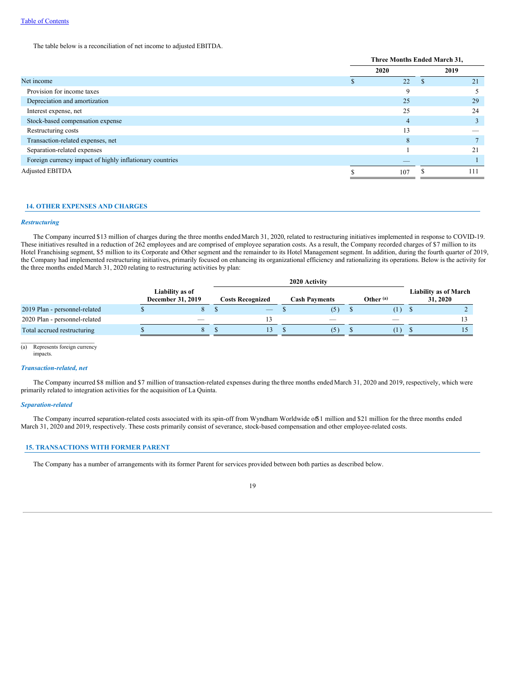The table below is a reconciliation of net income to adjusted EBITDA.

|                                                          | Three Months Ended March 31, |      |     |  |  |
|----------------------------------------------------------|------------------------------|------|-----|--|--|
|                                                          | 2020                         | 2019 |     |  |  |
| Net income                                               | 22                           | ъ    | 21  |  |  |
| Provision for income taxes                               | 9                            |      |     |  |  |
| Depreciation and amortization                            | 25                           |      | 29  |  |  |
| Interest expense, net                                    | 25                           |      | 24  |  |  |
| Stock-based compensation expense                         | 4                            |      |     |  |  |
| Restructuring costs                                      | 13                           |      |     |  |  |
| Transaction-related expenses, net                        | 8                            |      |     |  |  |
| Separation-related expenses                              |                              |      | 21  |  |  |
| Foreign currency impact of highly inflationary countries |                              |      |     |  |  |
| Adjusted EBITDA                                          | 107                          |      | 111 |  |  |
|                                                          |                              |      |     |  |  |

#### **14. OTHER EXPENSES AND CHARGES**

### *Restructuring*

The Company incurred \$13 million of charges during the three months endedMarch 31, 2020, related to restructuring initiatives implemented in response to COVID-19. These initiatives resulted in a reduction of 262 employees and are comprised of employee separation costs. As a result, the Company recorded charges of \$7 million to its Hotel Franchising segment, \$5 million to its Corporate and Other segment and the remainder to its Hotel Management segment. In addition, during the fourth quarter of 2019, the Company had implemented restructuring initiatives, primarily focused on enhancing its organizational efficiency and rationalizing its operations. Below is the activity for the three months ended March 31, 2020 relating to restructuring activities by plan:

|                               |                                      | 2020 Activity |                                                 |                                 |  |                          |  |     |             |                                          |  |
|-------------------------------|--------------------------------------|---------------|-------------------------------------------------|---------------------------------|--|--------------------------|--|-----|-------------|------------------------------------------|--|
|                               | Liability as of<br>December 31, 2019 |               | <b>Cash Payments</b><br><b>Costs Recognized</b> |                                 |  |                          |  |     | Other $(a)$ | <b>Liability as of March</b><br>31, 2020 |  |
| 2019 Plan - personnel-related |                                      | 8             |                                                 | $\hspace{0.1mm}-\hspace{0.1mm}$ |  | (5)                      |  | (1) |             |                                          |  |
| 2020 Plan - personnel-related |                                      |               |                                                 |                                 |  | $\overline{\phantom{a}}$ |  |     |             |                                          |  |
| Total accrued restructuring   |                                      | 8             |                                                 | 13                              |  | (5)                      |  |     |             |                                          |  |

 $\mathcal{L}_\text{max}$ (a) Represents foreign currency impacts.

### *Transaction-related, net*

The Company incurred \$8 million and \$7 million of transaction-related expenses during the three months ended March 31, 2020 and 2019, respectively, which were primarily related to integration activities for the acquisition of La Quinta.

### *Separation-related*

The Company incurred separation-related costs associated with its spin-off from Wyndham Worldwide of\$1 million and \$21 million for the three months ended March 31, 2020 and 2019, respectively. These costs primarily consist of severance, stock-based compensation and other employee-related costs.

#### **15. TRANSACTIONS WITH FORMER PARENT**

The Company has a number of arrangements with its former Parent for services provided between both parties as described below.

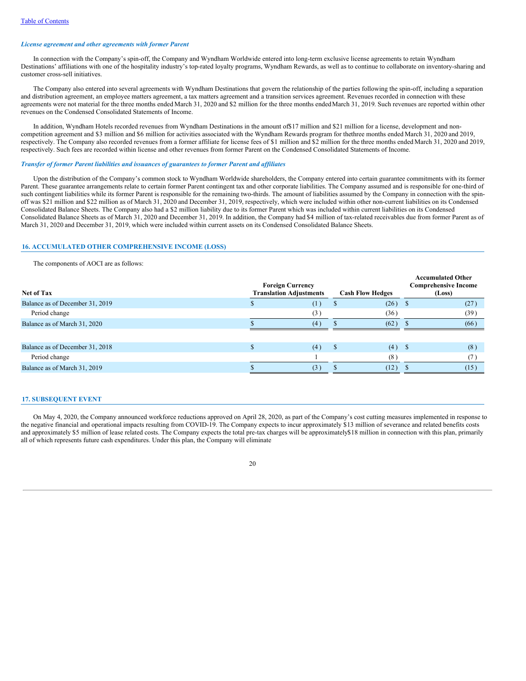#### *License agreement and other agreements with former Parent*

In connection with the Company's spin-off, the Company and Wyndham Worldwide entered into long-term exclusive license agreements to retain Wyndham Destinations' affiliations with one of the hospitality industry's top-rated loyalty programs, Wyndham Rewards, as well as to continue to collaborate on inventory-sharing and customer cross-sell initiatives.

The Company also entered into several agreements with Wyndham Destinations that govern the relationship of the parties following the spin-off, including a separation and distribution agreement, an employee matters agreement, a tax matters agreement and a transition services agreement. Revenues recorded in connection with these agreements were not material for the three months ended March 31, 2020 and \$2 million for the three months endedMarch 31, 2019. Such revenues are reported within other revenues on the Condensed Consolidated Statements of Income.

In addition, Wyndham Hotels recorded revenues from Wyndham Destinations in the amount of\$17 million and \$21 million for a license, development and noncompetition agreement and \$3 million and \$6 million for activities associated with the Wyndham Rewards program for thethree months ended March 31, 2020 and 2019, respectively. The Company also recorded revenues from a former affiliate for license fees of \$1 million and \$2 million for the three months ended March 31, 2020 and 2019, respectively. Such fees are recorded within license and other revenues from former Parent on the Condensed Consolidated Statements of Income.

#### *Transfer of former Parent liabilities and issuances of guarantees to former Parent and af iliates*

Upon the distribution of the Company's common stock to Wyndham Worldwide shareholders, the Company entered into certain guarantee commitments with its former Parent. These guarantee arrangements relate to certain former Parent contingent tax and other corporate liabilities. The Company assumed and is responsible for one-third of such contingent liabilities while its former Parent is responsible for the remaining two-thirds. The amount of liabilities assumed by the Company in connection with the spinoff was \$21 million and \$22 million as of March 31, 2020 and December 31, 2019, respectively, which were included within other non-current liabilities on its Condensed Consolidated Balance Sheets. The Company also had a \$2 million liability due to its former Parent which was included within current liabilities on its Condensed Consolidated Balance Sheets as of March 31, 2020 and December 31, 2019. In addition, the Company had \$4 million of tax-related receivables due from former Parent as of March 31, 2020 and December 31, 2019, which were included within current assets on its Condensed Consolidated Balance Sheets.

#### **16. ACCUMULATED OTHER COMPREHENSIVE INCOME (LOSS)**

The components of AOCI are as follows:

| <b>Foreign Currency</b><br><b>Translation Adjustments</b> | <b>Cash Flow Hedges</b> | <b>Accumulated Other</b><br><b>Comprehensive Income</b><br>(Loss) |
|-----------------------------------------------------------|-------------------------|-------------------------------------------------------------------|
|                                                           | (26)                    | (27)                                                              |
| (3)                                                       | (36)                    | (39)                                                              |
| (4)                                                       | (62)                    | (66)                                                              |
|                                                           |                         |                                                                   |
| (4)                                                       | S                       | (8)                                                               |
|                                                           | (8)                     |                                                                   |
| (3)                                                       | (12)                    | (15)                                                              |
|                                                           |                         | $(4)$ \$                                                          |

#### **17. SUBSEQUENT EVENT**

On May 4, 2020, the Company announced workforce reductions approved on April 28, 2020, as part of the Company's cost cutting measures implemented in response to the negative financial and operational impacts resulting from COVID-19. The Company expects to incur approximately \$13 million of severance and related benefits costs and approximately \$5 million of lease related costs. The Company expects the total pre-tax charges will be approximately\$18 million in connection with this plan, primarily all of which represents future cash expenditures. Under this plan, the Company will eliminate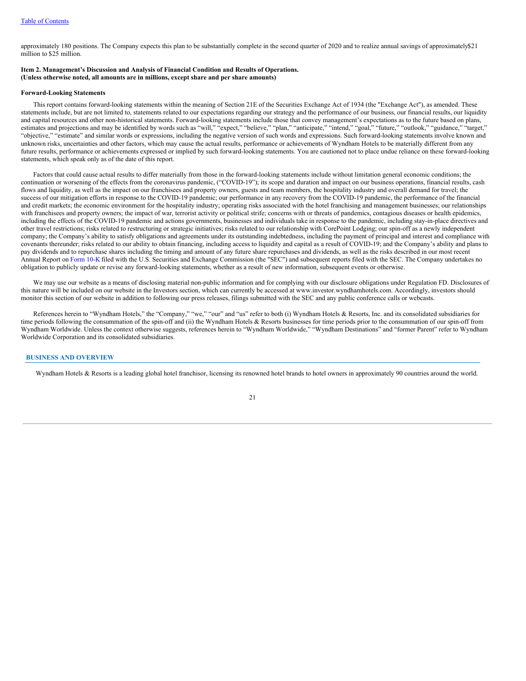approximately 180 positions. The Company expects this plan to be substantially complete in the second quarter of 2020 and to realize annual savings of approximately \$21 million to \$25 million.

#### **Item 2. Management's Discussion and Analysis of Financial Condition and Results of Operations. (Unless otherwise noted, all amounts are in millions, except share and per share amounts)**

#### **Forward-Looking Statements**

This report contains forward-looking statements within the meaning of Section 21E of the Securities Exchange Act of 1934 (the "Exchange Act"), as amended. These statements include, but are not limited to, statements related to our expectations regarding our strategy and the performance of our business, our financial results, our liquidity and capital resources and other non-historical statements. Forward-looking statements include those that convey management's expectations as to the future based on plans, estimates and projections and may be identified by words such as "will," "expect," "believe," "plan," "anticipate," "intend," "goal," "future," "outlook," "guidance," "target," "objective," "estimate" and similar words or expressions, including the negative version of such words and expressions. Such forward-looking statements involve known and unknown risks, uncertainties and other factors, which may cause the actual results, performance or achievements of Wyndham Hotels to be materially different from any future results, performance or achievements expressed or implied by such forward-looking statements. You are cautioned not to place undue reliance on these forward-looking statements, which speak only as of the date of this report.

Factors that could cause actual results to differ materially from those in the forward-looking statements include without limitation general economic conditions; the continuation or worsening of the effects from the coronavirus pandemic, ("COVID-19"); its scope and duration and impact on our business operations, financial results, cash flows and liquidity, as well as the impact on our franchisees and property owners, guests and team members, the hospitality industry and overall demand for travel; the success of our mitigation efforts in response to the COVID-19 pandemic; our performance in any recovery from the COVID-19 pandemic, the performance of the financial and credit markets; the economic environment for the hospitality industry; operating risks associated with the hotel franchising and management businesses; our relationships with franchisees and property owners; the impact of war, terrorist activity or political strife; concerns with or threats of pandemics, contagious diseases or health epidemics, including the effects of the COVID-19 pandemic and actions governments, businesses and individuals take in response to the pandemic, including stay-in-place directives and other travel restrictions; risks related to restructuring or strategic initiatives; risks related to our relationship with CorePoint Lodging; our spin-off as a newly independent company; the Company's ability to satisfy obligations and agreements under its outstanding indebtedness, including the payment of principal and interest and compliance with covenants thereunder; risks related to our ability to obtain financing, including access to liquidity and capital as a result of COVID-19; and the Company's ability and plans to pay dividends and to repurchase shares including the timing and amount of any future share repurchases and dividends, as well as the risks described in our most recent Annual Report on [Form](http://www.sec.gov/Archives/edgar/data/1722684/000172268420000007/wh-20191231x10k.htm) 10-K filed with the U.S. Securities and Exchange Commission (the "SEC") and subsequent reports filed with the SEC. The Company undertakes no obligation to publicly update or revise any forward-looking statements, whether as a result of new information, subsequent events or otherwise.

We may use our website as a means of disclosing material non-public information and for complying with our disclosure obligations under Regulation FD. Disclosures of this nature will be included on our website in the Investors section, which can currently be accessed at www.investor.wyndhamhotels.com. Accordingly, investors should monitor this section of our website in addition to following our press releases, filings submitted with the SEC and any public conference calls or webcasts.

References herein to "Wyndham Hotels," the "Company," "we," "our" and "us" refer to both (i) Wyndham Hotels & Resorts, Inc. and its consolidated subsidiaries for time periods following the consummation of the spin-off and (ii) the Wyndham Hotels & Resorts businesses for time periods prior to the consummation of our spin-off from Wyndham Worldwide. Unless the context otherwise suggests, references herein to "Wyndham Worldwide," "Wyndham Destinations" and "former Parent" refer to Wyndham Worldwide Corporation and its consolidated subsidiaries.

### **BUSINESS AND OVERVIEW**

Wyndham Hotels & Resorts is a leading global hotel franchisor, licensing its renowned hotel brands to hotel owners in approximately 90 countries around the world.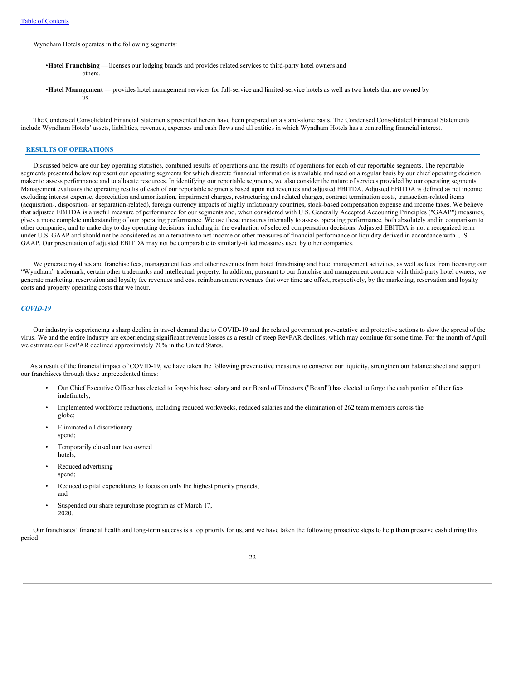Wyndham Hotels operates in the following segments:

- •**Hotel Franchising —**licenses our lodging brands and provides related services to third-party hotel owners and others.
- •**Hotel Management —** provides hotel management services for full-service and limited-service hotels as well as two hotels that are owned by us.

The Condensed Consolidated Financial Statements presented herein have been prepared on a stand-alone basis. The Condensed Consolidated Financial Statements include Wyndham Hotels' assets, liabilities, revenues, expenses and cash flows and all entities in which Wyndham Hotels has a controlling financial interest.

### **RESULTS OF OPERATIONS**

Discussed below are our key operating statistics, combined results of operations and the results of operations for each of our reportable segments. The reportable segments presented below represent our operating segments for which discrete financial information is available and used on a regular basis by our chief operating decision maker to assess performance and to allocate resources. In identifying our reportable segments, we also consider the nature of services provided by our operating segments. Management evaluates the operating results of each of our reportable segments based upon net revenues and adjusted EBITDA. Adjusted EBITDA is defined as net income excluding interest expense, depreciation and amortization, impairment charges, restructuring and related charges, contract termination costs, transaction-related items (acquisition-, disposition- or separation-related), foreign currency impacts of highly inflationary countries, stock-based compensation expense and income taxes. We believe that adjusted EBITDA is a useful measure of performance for our segments and, when considered with U.S. Generally Accepted Accounting Principles ("GAAP") measures, gives a more complete understanding of our operating performance. We use these measures internally to assess operating performance, both absolutely and in comparison to other companies, and to make day to day operating decisions, including in the evaluation of selected compensation decisions. Adjusted EBITDA is not a recognized term under U.S. GAAP and should not be considered as an alternative to net income or other measures of financial performance or liquidity derived in accordance with U.S. GAAP. Our presentation of adjusted EBITDA may not be comparable to similarly-titled measures used by other companies.

We generate royalties and franchise fees, management fees and other revenues from hotel franchising and hotel management activities, as well as fees from licensing our "Wyndham" trademark, certain other trademarks and intellectual property. In addition, pursuant to our franchise and management contracts with third-party hotel owners, we generate marketing, reservation and loyalty fee revenues and cost reimbursement revenues that over time are offset, respectively, by the marketing, reservation and loyalty costs and property operating costs that we incur.

#### *COVID-19*

Our industry is experiencing a sharp decline in travel demand due to COVID-19 and the related government preventative and protective actions to slow the spread of the virus. We and the entire industry are experiencing significant revenue losses as a result of steep RevPAR declines, which may continue for some time. For the month of April, we estimate our RevPAR declined approximately 70% in the United States.

As a result of the financial impact of COVID-19, we have taken the following preventative measures to conserve our liquidity, strengthen our balance sheet and support our franchisees through these unprecedented times:

- Our Chief Executive Officer has elected to forgo his base salary and our Board of Directors ("Board") has elected to forgo the cash portion of their fees indefinitely;
- Implemented workforce reductions, including reduced workweeks, reduced salaries and the elimination of 262 team members across the globe;
- Eliminated all discretionary spend;
- Temporarily closed our two owned hotels;
- Reduced advertising spend;
- Reduced capital expenditures to focus on only the highest priority projects; and
- Suspended our share repurchase program as of March 17, 2020.

Our franchisees' financial health and long-term success is a top priority for us, and we have taken the following proactive steps to help them preserve cash during this period: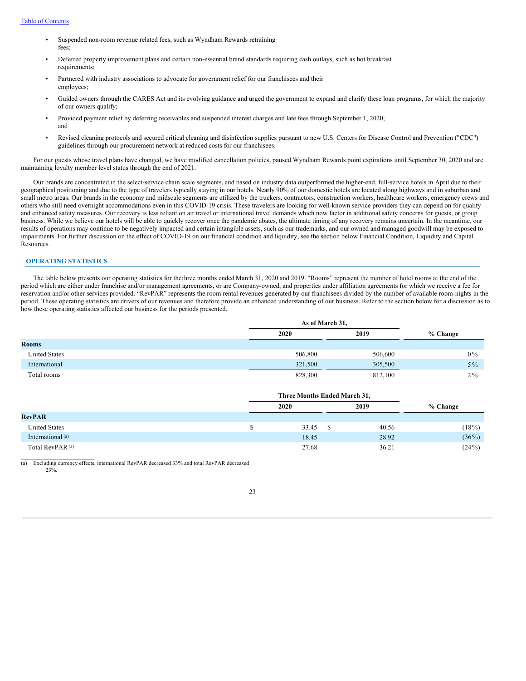- Suspended non-room revenue related fees, such as Wyndham Rewards retraining fees;
- Deferred property improvement plans and certain non-essential brand standards requiring cash outlays, such as hot breakfast requirements;
- Partnered with industry associations to advocate for government relief for our franchisees and their employees;
- Guided owners through the CARES Act and its evolving guidance and urged the government to expand and clarify these loan programs, for which the majority of our owners qualify;
- Provided payment relief by deferring receivables and suspended interest charges and late fees through September 1, 2020; and
- Revised cleaning protocols and secured critical cleaning and disinfection supplies pursuant to new U.S. Centers for Disease Control and Prevention ("CDC") guidelines through our procurement network at reduced costs for our franchisees.

For our guests whose travel plans have changed, we have modified cancellation policies, paused Wyndham Rewards point expirations until September 30, 2020 and are maintaining loyalty member level status through the end of 2021.

Our brands are concentrated in the select-service chain scale segments, and based on industry data outperformed the higher-end, full-service hotels in April due to their geographical positioning and due to the type of travelers typically staying in our hotels. Nearly 90% of our domestic hotels are located along highways and in suburban and small metro areas. Our brands in the economy and midscale segments are utilized by the truckers, contractors, construction workers, healthcare workers, emergency crews and others who still need overnight accommodations even in this COVID-19 crisis. These travelers are looking for well-known service providers they can depend on for quality and enhanced safety measures. Our recovery is less reliant on air travel or international travel demands which now factor in additional safety concerns for guests, or group business. While we believe our hotels will be able to quickly recover once the pandemic abates, the ultimate timing of any recovery remains uncertain. In the meantime, our results of operations may continue to be negatively impacted and certain intangible assets, such as our trademarks, and our owned and managed goodwill may be exposed to impairments. For further discussion on the effect of COVID-19 on our financial condition and liquidity, see the section below Financial Condition, Liquidity and Capital Resources.

### **OPERATING STATISTICS**

The table below presents our operating statistics for thethree months ended March 31, 2020 and 2019. "Rooms" represent the number of hotel rooms at the end of the period which are either under franchise and/or management agreements, or are Company-owned, and properties under affiliation agreements for which we receive a fee for reservation and/or other services provided. "RevPAR" represents the room rental revenues generated by our franchisees divided by the number of available room-nights in the period. These operating statistics are drivers of our revenues and therefore provide an enhanced understanding of our business. Refer to the section below for a discussion as to how these operating statistics affected our business for the periods presented.

|                      | As of March 31, |         |          |  |  |
|----------------------|-----------------|---------|----------|--|--|
|                      | 2020            | 2019    | % Change |  |  |
| <b>Rooms</b>         |                 |         |          |  |  |
| <b>United States</b> | 506,800         | 506,600 | $0\%$    |  |  |
| International        | 321,500         | 305,500 | $5\%$    |  |  |
| Total rooms          | 828,300         | 812,100 | $2\%$    |  |  |

|                             |    | Three Months Ended March 31, |       |          |  |  |  |
|-----------------------------|----|------------------------------|-------|----------|--|--|--|
|                             |    | 2020                         | 2019  | % Change |  |  |  |
| <b>RevPAR</b>               |    |                              |       |          |  |  |  |
| <b>United States</b>        | ۰D | 33.45<br><sup>S</sup>        | 40.56 | $(18\%)$ |  |  |  |
| International (a)           |    | 18.45                        | 28.92 | $(36\%)$ |  |  |  |
| Total RevPAR <sup>(a)</sup> |    | 27.68                        | 36.21 | (24%)    |  |  |  |
|                             |    |                              |       |          |  |  |  |

(a) Excluding currency effects, international RevPAR decreased 33% and total RevPAR decreased 23%.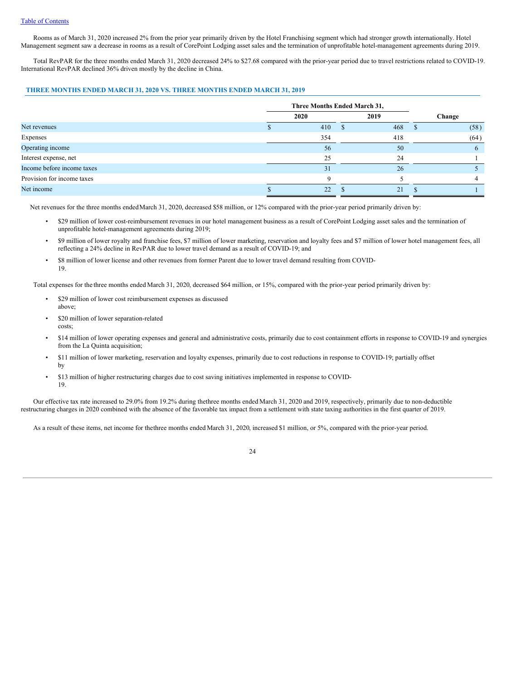Rooms as of March 31, 2020 increased 2% from the prior year primarily driven by the Hotel Franchising segment which had stronger growth internationally. Hotel Management segment saw a decrease in rooms as a result of CorePoint Lodging asset sales and the termination of unprofitable hotel-management agreements during 2019.

Total RevPAR for the three months ended March 31, 2020 decreased 24% to \$27.68 compared with the prior-year period due to travel restrictions related to COVID-19. International RevPAR declined 36% driven mostly by the decline in China.

#### **THREE MONTHS ENDED MARCH 31, 2020 VS. THREE MONTHS ENDED MARCH 31, 2019**

|                            | Three Months Ended March 31, |          |  |      |  |              |
|----------------------------|------------------------------|----------|--|------|--|--------------|
|                            |                              | 2020     |  | 2019 |  | Change       |
| Net revenues               |                              | 410      |  | 468  |  | (58)         |
| Expenses                   |                              | 354      |  | 418  |  | (64)         |
| Operating income           |                              | 56       |  | 50   |  | <sub>0</sub> |
| Interest expense, net      |                              | 25       |  | 24   |  |              |
| Income before income taxes |                              | 31       |  | 26   |  |              |
| Provision for income taxes |                              | $\Omega$ |  |      |  |              |
| Net income                 |                              | 22       |  | 21   |  |              |

Net revenues for the three months endedMarch 31, 2020, decreased \$58 million, or 12% compared with the prior-year period primarily driven by:

- \$29 million of lower cost-reimbursement revenues in our hotel management business as a result of CorePoint Lodging asset sales and the termination of unprofitable hotel-management agreements during 2019;
- \$9 million of lower royalty and franchise fees, \$7 million of lower marketing, reservation and loyalty fees and \$7 million of lower hotel management fees, all reflecting a 24% decline in RevPAR due to lower travel demand as a result of COVID-19; and
- \$8 million of lower license and other revenues from former Parent due to lower travel demand resulting from COVID-19.

Total expenses for the three months ended March 31, 2020, decreased \$64 million, or 15%, compared with the prior-year period primarily driven by:

- \$29 million of lower cost reimbursement expenses as discussed above;
- \$20 million of lower separation-related costs;
- \$14 million of lower operating expenses and general and administrative costs, primarily due to cost containment efforts in response to COVID-19 and synergies from the La Quinta acquisition;
- \$11 million of lower marketing, reservation and loyalty expenses, primarily due to cost reductions in response to COVID-19; partially offset by
- \$13 million of higher restructuring charges due to cost saving initiatives implemented in response to COVID-19.

Our effective tax rate increased to 29.0% from 19.2% during thethree months ended March 31, 2020 and 2019, respectively, primarily due to non-deductible restructuring charges in 2020 combined with the absence of the favorable tax impact from a settlement with state taxing authorities in the first quarter of 2019.

As a result of these items, net income for thethree months ended March 31, 2020, increased \$1 million, or 5%, compared with the prior-year period.

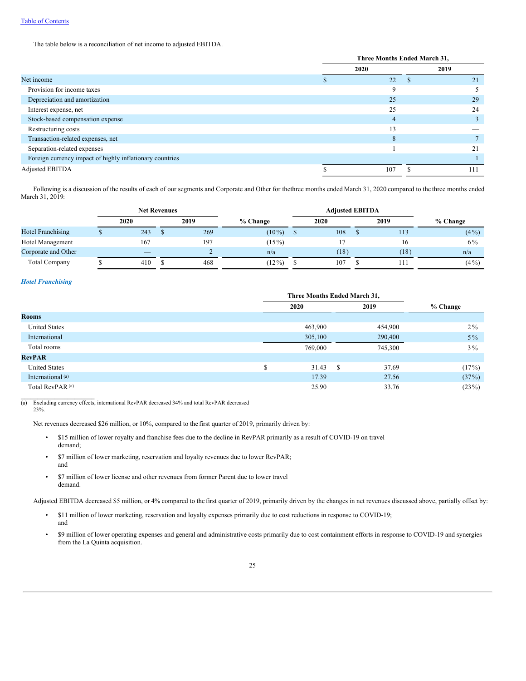The table below is a reconciliation of net income to adjusted EBITDA.

|                                                          | Three Months Ended March 31, |                |  |      |  |
|----------------------------------------------------------|------------------------------|----------------|--|------|--|
|                                                          | 2020                         |                |  | 2019 |  |
| Net income                                               |                              | 22             |  | 21   |  |
| Provision for income taxes                               |                              | $\Omega$       |  |      |  |
| Depreciation and amortization                            |                              | 25             |  | 29   |  |
| Interest expense, net                                    |                              | 25             |  | 24   |  |
| Stock-based compensation expense                         |                              | $\overline{4}$ |  |      |  |
| Restructuring costs                                      |                              | 13             |  |      |  |
| Transaction-related expenses, net                        |                              | 8              |  |      |  |
| Separation-related expenses                              |                              |                |  | 21   |  |
| Foreign currency impact of highly inflationary countries |                              |                |  |      |  |
| Adjusted EBITDA                                          |                              | 107            |  | 111  |  |

Following is a discussion of the results of each of our segments and Corporate and Other for thethree months ended March 31, 2020 compared to the three months ended March 31, 2019:

|                          | <b>Net Revenues</b> |                          |  |      |          | <b>Adjusted EBITDA</b> |      |          |
|--------------------------|---------------------|--------------------------|--|------|----------|------------------------|------|----------|
|                          |                     | 2020                     |  | 2019 | % Change | 2020                   | 2019 | % Change |
| <b>Hotel Franchising</b> |                     | 243                      |  | 269  | $(10\%)$ | 108                    | 113  | $(4\%)$  |
| Hotel Management         |                     | 167                      |  | 197  | $(15\%)$ |                        | 16   | 6 %      |
| Corporate and Other      |                     | $\qquad \qquad - \qquad$ |  |      | n/a      | (18)                   | (18) | n/a      |
| <b>Total Company</b>     |                     | 410                      |  | 468  | $(12\%)$ | 107                    | 111  | $(4\%)$  |

# *Hotel Franchising*

|                             |   | Three Months Ended March 31, |               |         |            |
|-----------------------------|---|------------------------------|---------------|---------|------------|
|                             |   | 2020                         |               | 2019    | $%$ Change |
| <b>Rooms</b>                |   |                              |               |         |            |
| <b>United States</b>        |   | 463,900                      |               | 454,900 | $2\%$      |
| International               |   | 305,100                      |               | 290,400 | $5\%$      |
| Total rooms                 |   | 769,000                      |               | 745,300 | $3\%$      |
| <b>RevPAR</b>               |   |                              |               |         |            |
| <b>United States</b>        | S | 31.43                        | <sup>\$</sup> | 37.69   | (17%)      |
| International (a)           |   | 17.39                        |               | 27.56   | (37%)      |
| Total RevPAR <sup>(a)</sup> |   | 25.90                        |               | 33.76   | $(23\%)$   |
|                             |   |                              |               |         |            |

(a) Excluding currency effects, international RevPAR decreased 34% and total RevPAR decreased 23%.

Net revenues decreased \$26 million, or 10%, compared to the first quarter of 2019, primarily driven by:

- \$15 million of lower royalty and franchise fees due to the decline in RevPAR primarily as a result of COVID-19 on travel demand;
- \$7 million of lower marketing, reservation and loyalty revenues due to lower RevPAR; and
- \$7 million of lower license and other revenues from former Parent due to lower travel demand.

Adjusted EBITDA decreased \$5 million, or 4% compared to the first quarter of 2019, primarily driven by the changes in net revenues discussed above, partially offset by:

- \$11 million of lower marketing, reservation and loyalty expenses primarily due to cost reductions in response to COVID-19; and
- \$9 million of lower operating expenses and general and administrative costs primarily due to cost containment efforts in response to COVID-19 and synergies from the La Quinta acquisition.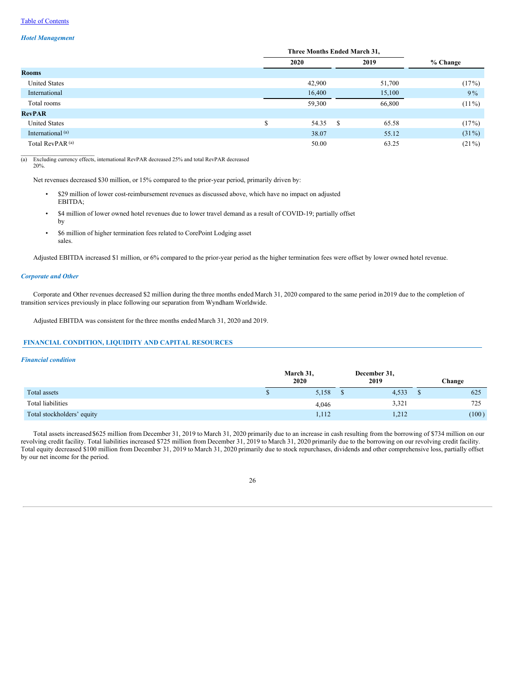### Table of [Contents](#page-0-0)

#### *Hotel Management*

|                             |               | Three Months Ended March 31, |               |        |            |  |
|-----------------------------|---------------|------------------------------|---------------|--------|------------|--|
|                             |               | 2020                         |               | 2019   | $%$ Change |  |
| <b>Rooms</b>                |               |                              |               |        |            |  |
| <b>United States</b>        |               | 42,900                       |               | 51,700 | (17%)      |  |
| International               |               | 16,400                       |               | 15,100 | $9\%$      |  |
| Total rooms                 |               | 59,300                       |               | 66,800 | $(11\%)$   |  |
| <b>RevPAR</b>               |               |                              |               |        |            |  |
| <b>United States</b>        | <sup>\$</sup> | 54.35                        | <sup>\$</sup> | 65.58  | (17%)      |  |
| International (a)           |               | 38.07                        |               | 55.12  | $(31\%)$   |  |
| Total RevPAR <sup>(a)</sup> |               | 50.00                        |               | 63.25  | $(21\%)$   |  |

(a) Excluding currency effects, international RevPAR decreased 25% and total RevPAR decreased 20%.

Net revenues decreased \$30 million, or 15% compared to the prior-year period, primarily driven by:

- \$29 million of lower cost-reimbursement revenues as discussed above, which have no impact on adjusted EBITDA;
- \$4 million of lower owned hotel revenues due to lower travel demand as a result of COVID-19; partially offset by
- \$6 million of higher termination fees related to CorePoint Lodging asset sales.

Adjusted EBITDA increased \$1 million, or 6% compared to the prior-year period as the higher termination fees were offset by lower owned hotel revenue.

#### *Corporate and Other*

Corporate and Other revenues decreased \$2 million during the three months ended March 31, 2020 compared to the same period in2019 due to the completion of transition services previously in place following our separation from Wyndham Worldwide.

Adjusted EBITDA was consistent for the three months ended March 31, 2020 and 2019.

### **FINANCIAL CONDITION, LIQUIDITY AND CAPITAL RESOURCES**

#### *Financial condition*

|                            | March 31,<br>2020 | December 31,<br>2019 | Change |
|----------------------------|-------------------|----------------------|--------|
| Total assets               | 5,158             | 4,533                | 625    |
| Total liabilities          | 4.046             | 3,321                | 725    |
| Total stockholders' equity | 1,112             | 1,212                | (100)  |

Total assets increased \$625 million from December 31, 2019 to March 31, 2020 primarily due to an increase in cash resulting from the borrowing of \$734 million on our revolving credit facility. Total liabilities increased \$725 million from December 31, 2019 to March 31, 2020 primarily due to the borrowing on our revolving credit facility. Total equity decreased \$100 million from December 31, 2019 to March 31, 2020 primarily due to stock repurchases, dividends and other comprehensive loss, partially offset by our net income for the period.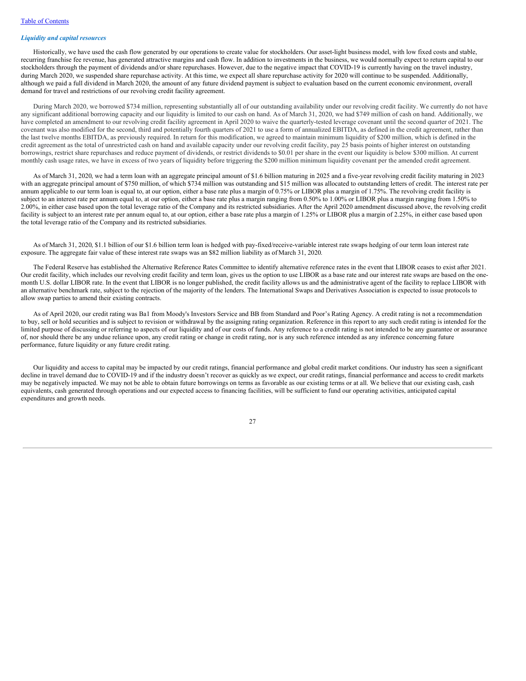#### *Liquidity and capital resources*

Historically, we have used the cash flow generated by our operations to create value for stockholders. Our asset-light business model, with low fixed costs and stable, recurring franchise fee revenue, has generated attractive margins and cash flow. In addition to investments in the business, we would normally expect to return capital to our stockholders through the payment of dividends and/or share repurchases. However, due to the negative impact that COVID-19 is currently having on the travel industry, during March 2020, we suspended share repurchase activity. At this time, we expect all share repurchase activity for 2020 will continue to be suspended. Additionally, although we paid a full dividend in March 2020, the amount of any future dividend payment is subject to evaluation based on the current economic environment, overall demand for travel and restrictions of our revolving credit facility agreement.

During March 2020, we borrowed \$734 million, representing substantially all of our outstanding availability under our revolving credit facility. We currently do not have any significant additional borrowing capacity and our liquidity is limited to our cash on hand. As of March 31, 2020, we had \$749 million of cash on hand. Additionally, we have completed an amendment to our revolving credit facility agreement in April 2020 to waive the quarterly-tested leverage covenant until the second quarter of 2021. The covenant was also modified for the second, third and potentially fourth quarters of 2021 to use a form of annualized EBITDA, as defined in the credit agreement, rather than the last twelve months EBITDA, as previously required. In return for this modification, we agreed to maintain minimum liquidity of \$200 million, which is defined in the credit agreement as the total of unrestricted cash on hand and available capacity under our revolving credit facility, pay 25 basis points of higher interest on outstanding borrowings, restrict share repurchases and reduce payment of dividends, or restrict dividends to \$0.01 per share in the event our liquidity is below \$300 million. At current monthly cash usage rates, we have in excess of two years of liquidity before triggering the \$200 million minimum liquidity covenant per the amended credit agreement.

As of March 31, 2020, we had a term loan with an aggregate principal amount of \$1.6 billion maturing in 2025 and a five-year revolving credit facility maturing in 2023 with an aggregate principal amount of \$750 million, of which \$734 million was outstanding and \$15 million was allocated to outstanding letters of credit. The interest rate per annum applicable to our term loan is equal to, at our option, either a base rate plus a margin of 0.75% or LIBOR plus a margin of 1.75%. The revolving credit facility is subject to an interest rate per annum equal to, at our option, either a base rate plus a margin ranging from 0.50% to 1.00% or LIBOR plus a margin ranging from 1.50% to 2.00%, in either case based upon the total leverage ratio of the Company and its restricted subsidiaries. After the April 2020 amendment discussed above, the revolving credit facility is subject to an interest rate per annum equal to, at our option, either a base rate plus a margin of 1.25% or LIBOR plus a margin of 2.25%, in either case based upon the total leverage ratio of the Company and its restricted subsidiaries.

As of March 31, 2020, \$1.1 billion of our \$1.6 billion term loan is hedged with pay-fixed/receive-variable interest rate swaps hedging of our term loan interest rate exposure. The aggregate fair value of these interest rate swaps was an \$82 million liability as of March 31, 2020.

The Federal Reserve has established the Alternative Reference Rates Committee to identify alternative reference rates in the event that LIBOR ceases to exist after 2021. Our credit facility, which includes our revolving credit facility and term loan, gives us the option to use LIBOR as a base rate and our interest rate swaps are based on the onemonth U.S. dollar LIBOR rate. In the event that LIBOR is no longer published, the credit facility allows us and the administrative agent of the facility to replace LIBOR with an alternative benchmark rate, subject to the rejection of the majority of the lenders. The International Swaps and Derivatives Association is expected to issue protocols to allow swap parties to amend their existing contracts.

As of April 2020, our credit rating was Ba1 from Moody's Investors Service and BB from Standard and Poor's Rating Agency. A credit rating is not a recommendation to buy, sell or hold securities and is subject to revision or withdrawal by the assigning rating organization. Reference in this report to any such credit rating is intended for the limited purpose of discussing or referring to aspects of our liquidity and of our costs of funds. Any reference to a credit rating is not intended to be any guarantee or assurance of, nor should there be any undue reliance upon, any credit rating or change in credit rating, nor is any such reference intended as any inference concerning future performance, future liquidity or any future credit rating.

Our liquidity and access to capital may be impacted by our credit ratings, financial performance and global credit market conditions. Our industry has seen a significant decline in travel demand due to COVID-19 and if the industry doesn't recover as quickly as we expect, our credit ratings, financial performance and access to credit markets may be negatively impacted. We may not be able to obtain future borrowings on terms as favorable as our existing terms or at all. We believe that our existing cash, cash equivalents, cash generated through operations and our expected access to financing facilities, will be sufficient to fund our operating activities, anticipated capital expenditures and growth needs.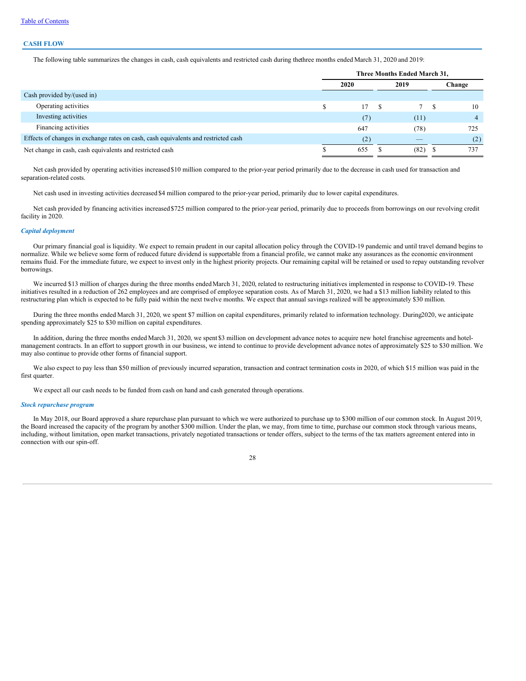### **CASH FLOW**

The following table summarizes the changes in cash, cash equivalents and restricted cash during thethree months ended March 31, 2020 and 2019:

|                                                                                    | Three Months Ended March 31, |  |                          |        |     |
|------------------------------------------------------------------------------------|------------------------------|--|--------------------------|--------|-----|
|                                                                                    | 2020                         |  | 2019                     | Change |     |
| Cash provided by/(used in)                                                         |                              |  |                          |        |     |
| Operating activities                                                               | 17                           |  |                          |        | 10  |
| Investing activities                                                               | (7)                          |  | (11)                     |        |     |
| Financing activities                                                               | 647                          |  | (78)                     |        | 725 |
| Effects of changes in exchange rates on cash, cash equivalents and restricted cash | (2)                          |  | $\overline{\phantom{a}}$ |        | (2) |
| Net change in cash, cash equivalents and restricted cash                           | 655                          |  | $(82)$ \$                |        | 737 |

Net cash provided by operating activities increased\$10 million compared to the prior-year period primarily due to the decrease in cash used for transaction and separation-related costs.

Net cash used in investing activities decreased \$4 million compared to the prior-year period, primarily due to lower capital expenditures.

Net cash provided by financing activities increased\$725 million compared to the prior-year period, primarily due to proceeds from borrowings on our revolving credit facility in 2020.

#### *Capital deployment*

Our primary financial goal is liquidity. We expect to remain prudent in our capital allocation policy through the COVID-19 pandemic and until travel demand begins to normalize. While we believe some form of reduced future dividend is supportable from a financial profile, we cannot make any assurances as the economic environment remains fluid. For the immediate future, we expect to invest only in the highest priority projects. Our remaining capital will be retained or used to repay outstanding revolver borrowings.

We incurred \$13 million of charges during the three months ended March 31, 2020, related to restructuring initiatives implemented in response to COVID-19. These initiatives resulted in a reduction of 262 employees and are comprised of employee separation costs. As of March 31, 2020, we had a \$13 million liability related to this restructuring plan which is expected to be fully paid within the next twelve months. We expect that annual savings realized will be approximately \$30 million.

During the three months ended March 31, 2020, we spent \$7 million on capital expenditures, primarily related to information technology. During2020, we anticipate spending approximately \$25 to \$30 million on capital expenditures.

In addition, during the three months ended March 31, 2020, we spent \$3 million on development advance notes to acquire new hotel franchise agreements and hotelmanagement contracts. In an effort to support growth in our business, we intend to continue to provide development advance notes of approximately \$25 to \$30 million. We may also continue to provide other forms of financial support.

We also expect to pay less than \$50 million of previously incurred separation, transaction and contract termination costs in 2020, of which \$15 million was paid in the first quarter.

We expect all our cash needs to be funded from cash on hand and cash generated through operations.

#### *Stock repurchase program*

In May 2018, our Board approved a share repurchase plan pursuant to which we were authorized to purchase up to \$300 million of our common stock. In August 2019, the Board increased the capacity of the program by another \$300 million. Under the plan, we may, from time to time, purchase our common stock through various means, including, without limitation, open market transactions, privately negotiated transactions or tender offers, subject to the terms of the tax matters agreement entered into in connection with our spin-off.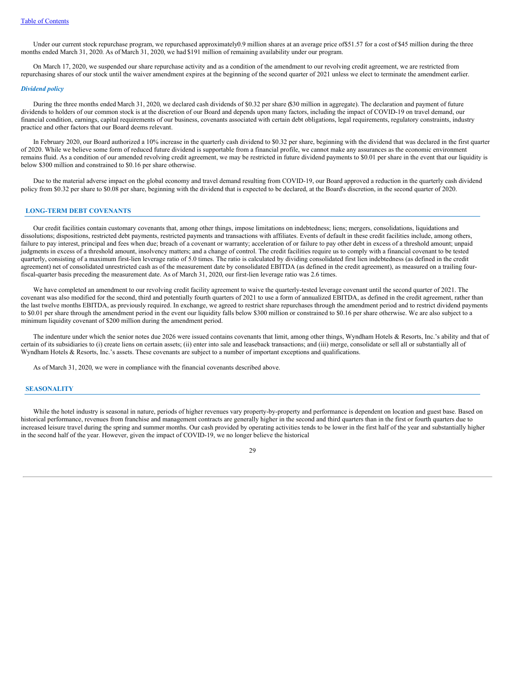Under our current stock repurchase program, we repurchased approximately0.9 million shares at an average price of\$51.57 for a cost of \$45 million during the three months ended March 31, 2020. As of March 31, 2020, we had \$191 million of remaining availability under our program.

On March 17, 2020, we suspended our share repurchase activity and as a condition of the amendment to our revolving credit agreement, we are restricted from repurchasing shares of our stock until the waiver amendment expires at the beginning of the second quarter of 2021 unless we elect to terminate the amendment earlier.

#### *Dividend policy*

During the three months ended March 31, 2020, we declared cash dividends of \$0.32 per share (\$30 million in aggregate). The declaration and payment of future dividends to holders of our common stock is at the discretion of our Board and depends upon many factors, including the impact of COVID-19 on travel demand, our financial condition, earnings, capital requirements of our business, covenants associated with certain debt obligations, legal requirements, regulatory constraints, industry practice and other factors that our Board deems relevant.

In February 2020, our Board authorized a 10% increase in the quarterly cash dividend to \$0.32 per share, beginning with the dividend that was declared in the first quarter of 2020. While we believe some form of reduced future dividend is supportable from a financial profile, we cannot make any assurances as the economic environment remains fluid. As a condition of our amended revolving credit agreement, we may be restricted in future dividend payments to \$0.01 per share in the event that our liquidity is below \$300 million and constrained to \$0.16 per share otherwise.

Due to the material adverse impact on the global economy and travel demand resulting from COVID-19, our Board approved a reduction in the quarterly cash dividend policy from \$0.32 per share to \$0.08 per share, beginning with the dividend that is expected to be declared, at the Board's discretion, in the second quarter of 2020.

### **LONG-TERM DEBT COVENANTS**

Our credit facilities contain customary covenants that, among other things, impose limitations on indebtedness; liens; mergers, consolidations, liquidations and dissolutions; dispositions, restricted debt payments, restricted payments and transactions with affiliates. Events of default in these credit facilities include, among others, failure to pay interest, principal and fees when due; breach of a covenant or warranty; acceleration of or failure to pay other debt in excess of a threshold amount; unpaid judgments in excess of a threshold amount, insolvency matters; and a change of control. The credit facilities require us to comply with a financial covenant to be tested quarterly, consisting of a maximum first-lien leverage ratio of 5.0 times. The ratio is calculated by dividing consolidated first lien indebtedness (as defined in the credit agreement) net of consolidated unrestricted cash as of the measurement date by consolidated EBITDA (as defined in the credit agreement), as measured on a trailing fourfiscal-quarter basis preceding the measurement date. As of March 31, 2020, our first-lien leverage ratio was 2.6 times.

We have completed an amendment to our revolving credit facility agreement to waive the quarterly-tested leverage covenant until the second quarter of 2021. The covenant was also modified for the second, third and potentially fourth quarters of 2021 to use a form of annualized EBITDA, as defined in the credit agreement, rather than the last twelve months EBITDA, as previously required. In exchange, we agreed to restrict share repurchases through the amendment period and to restrict dividend payments to \$0.01 per share through the amendment period in the event our liquidity falls below \$300 million or constrained to \$0.16 per share otherwise. We are also subject to a minimum liquidity covenant of \$200 million during the amendment period.

The indenture under which the senior notes due 2026 were issued contains covenants that limit, among other things, Wyndham Hotels & Resorts, Inc.'s ability and that of certain of its subsidiaries to (i) create liens on certain assets; (ii) enter into sale and leaseback transactions; and (iii) merge, consolidate or sell all or substantially all of Wyndham Hotels & Resorts, Inc.'s assets. These covenants are subject to a number of important exceptions and qualifications.

As of March 31, 2020, we were in compliance with the financial covenants described above.

#### **SEASONALITY**

While the hotel industry is seasonal in nature, periods of higher revenues vary property-by-property and performance is dependent on location and guest base. Based on historical performance, revenues from franchise and management contracts are generally higher in the second and third quarters than in the first or fourth quarters due to increased leisure travel during the spring and summer months. Our cash provided by operating activities tends to be lower in the first half of the year and substantially higher in the second half of the year. However, given the impact of COVID-19, we no longer believe the historical

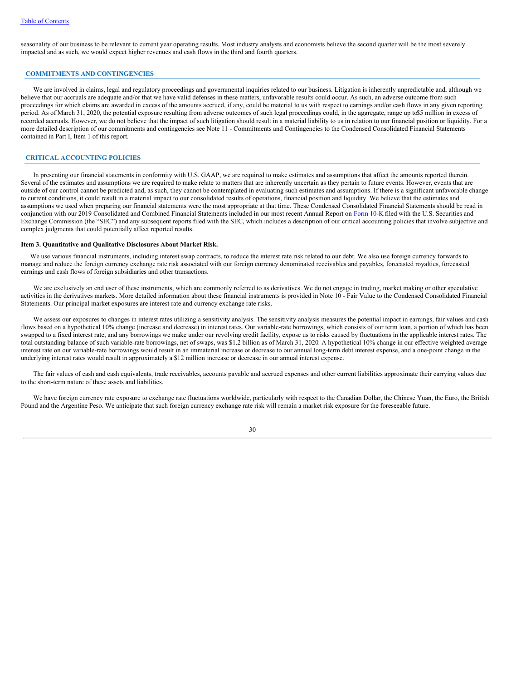seasonality of our business to be relevant to current year operating results. Most industry analysts and economists believe the second quarter will be the most severely impacted and as such, we would expect higher revenues and cash flows in the third and fourth quarters.

#### **COMMITMENTS AND CONTINGENCIES**

We are involved in claims, legal and regulatory proceedings and governmental inquiries related to our business. Litigation is inherently unpredictable and, although we believe that our accruals are adequate and/or that we have valid defenses in these matters, unfavorable results could occur. As such, an adverse outcome from such proceedings for which claims are awarded in excess of the amounts accrued, if any, could be material to us with respect to earnings and/or cash flows in any given reporting period. As of March 31, 2020, the potential exposure resulting from adverse outcomes of such legal proceedings could, in the aggregate, range up to\$5 million in excess of recorded accruals. However, we do not believe that the impact of such litigation should result in a material liability to us in relation to our financial position or liquidity. For a more detailed description of our commitments and contingencies see Note 11 - Commitments and Contingencies to the Condensed Consolidated Financial Statements contained in Part I, Item 1 of this report.

### **CRITICAL ACCOUNTING POLICIES**

In presenting our financial statements in conformity with U.S. GAAP, we are required to make estimates and assumptions that affect the amounts reported therein. Several of the estimates and assumptions we are required to make relate to matters that are inherently uncertain as they pertain to future events. However, events that are outside of our control cannot be predicted and, as such, they cannot be contemplated in evaluating such estimates and assumptions. If there is a significant unfavorable change to current conditions, it could result in a material impact to our consolidated results of operations, financial position and liquidity. We believe that the estimates and assumptions we used when preparing our financial statements were the most appropriate at that time. These Condensed Consolidated Financial Statements should be read in conjunction with our 2019 Consolidated and Combined Financial Statements included in our most recent Annual Report on [Form](http://www.sec.gov/Archives/edgar/data/1722684/000172268420000007/wh-20191231x10k.htm) 10-K filed with the U.S. Securities and Exchange Commission (the "SEC") and any subsequent reports filed with the SEC, which includes a description of our critical accounting policies that involve subjective and complex judgments that could potentially affect reported results.

#### **Item 3. Quantitative and Qualitative Disclosures About Market Risk.**

We use various financial instruments, including interest swap contracts, to reduce the interest rate risk related to our debt. We also use foreign currency forwards to manage and reduce the foreign currency exchange rate risk associated with our foreign currency denominated receivables and payables, forecasted royalties, forecasted earnings and cash flows of foreign subsidiaries and other transactions.

We are exclusively an end user of these instruments, which are commonly referred to as derivatives. We do not engage in trading, market making or other speculative activities in the derivatives markets. More detailed information about these financial instruments is provided in Note 10 - Fair Value to the Condensed Consolidated Financial Statements. Our principal market exposures are interest rate and currency exchange rate risks.

We assess our exposures to changes in interest rates utilizing a sensitivity analysis. The sensitivity analysis measures the potential impact in earnings, fair values and cash flows based on a hypothetical 10% change (increase and decrease) in interest rates. Our variable-rate borrowings, which consists of our term loan, a portion of which has been swapped to a fixed interest rate, and any borrowings we make under our revolving credit facility, expose us to risks caused by fluctuations in the applicable interest rates. The total outstanding balance of such variable-rate borrowings, net of swaps, was \$1.2 billion as of March 31, 2020. A hypothetical 10% change in our effective weighted average interest rate on our variable-rate borrowings would result in an immaterial increase or decrease to our annual long-term debt interest expense, and a one-point change in the underlying interest rates would result in approximately a \$12 million increase or decrease in our annual interest expense.

The fair values of cash and cash equivalents, trade receivables, accounts payable and accrued expenses and other current liabilities approximate their carrying values due to the short-term nature of these assets and liabilities.

We have foreign currency rate exposure to exchange rate fluctuations worldwide, particularly with respect to the Canadian Dollar, the Chinese Yuan, the Euro, the British Pound and the Argentine Peso. We anticipate that such foreign currency exchange rate risk will remain a market risk exposure for the foreseeable future.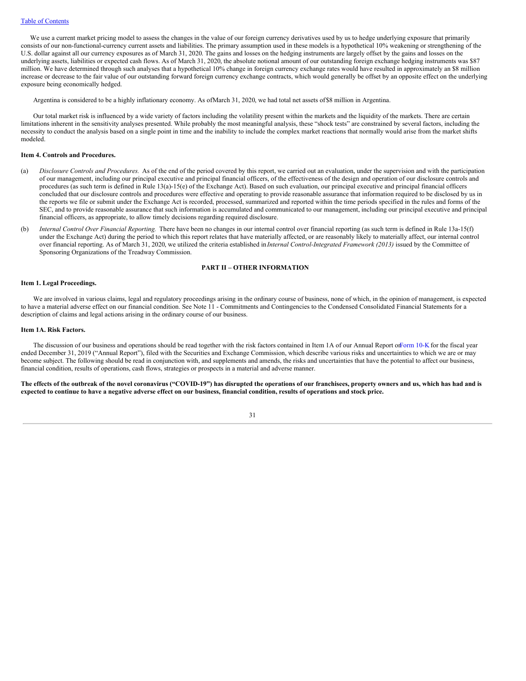We use a current market pricing model to assess the changes in the value of our foreign currency derivatives used by us to hedge underlying exposure that primarily consists of our non-functional-currency current assets and liabilities. The primary assumption used in these models is a hypothetical 10% weakening or strengthening of the U.S. dollar against all our currency exposures as of March 31, 2020. The gains and losses on the hedging instruments are largely offset by the gains and losses on the underlying assets, liabilities or expected cash flows. As of March 31, 2020, the absolute notional amount of our outstanding foreign exchange hedging instruments was \$87 million. We have determined through such analyses that a hypothetical 10% change in foreign currency exchange rates would have resulted in approximately an \$8 million increase or decrease to the fair value of our outstanding forward foreign currency exchange contracts, which would generally be offset by an opposite effect on the underlying exposure being economically hedged.

Argentina is considered to be a highly inflationary economy. As ofMarch 31, 2020, we had total net assets of\$8 million in Argentina.

Our total market risk is influenced by a wide variety of factors including the volatility present within the markets and the liquidity of the markets. There are certain limitations inherent in the sensitivity analyses presented. While probably the most meaningful analysis, these "shock tests" are constrained by several factors, including the necessity to conduct the analysis based on a single point in time and the inability to include the complex market reactions that normally would arise from the market shifts modeled.

# **Item 4. Controls and Procedures.**

- (a) *Disclosure Controls and Procedures.* As of the end of the period covered by this report, we carried out an evaluation, under the supervision and with the participation of our management, including our principal executive and principal financial officers, of the effectiveness of the design and operation of our disclosure controls and procedures (as such term is defined in Rule 13(a)-15(e) of the Exchange Act). Based on such evaluation, our principal executive and principal financial officers concluded that our disclosure controls and procedures were effective and operating to provide reasonable assurance that information required to be disclosed by us in the reports we file or submit under the Exchange Act is recorded, processed, summarized and reported within the time periods specified in the rules and forms of the SEC, and to provide reasonable assurance that such information is accumulated and communicated to our management, including our principal executive and principal financial officers, as appropriate, to allow timely decisions regarding required disclosure.
- (b) *Internal Control Over Financial Reporting.* There have been no changes in our internal control over financial reporting (as such term is defined in Rule 13a-15(f) under the Exchange Act) during the period to which this report relates that have materially affected, or are reasonably likely to materially affect, our internal control over financial reporting. As of March 31, 2020, we utilized the criteria established in *Internal Control-Integrated Framework (2013)* issued by the Committee of Sponsoring Organizations of the Treadway Commission.

#### **PART II – OTHER INFORMATION**

### **Item 1. Legal Proceedings.**

We are involved in various claims, legal and regulatory proceedings arising in the ordinary course of business, none of which, in the opinion of management, is expected to have a material adverse effect on our financial condition. See Note 11 - Commitments and Contingencies to the Condensed Consolidated Financial Statements for a description of claims and legal actions arising in the ordinary course of our business.

# **Item 1A. Risk Factors.**

The discussion of our business and operations should be read together with the risk factors contained in Item 1A of our Annual Report on Form 10-K for the fiscal year ended December 31, 2019 ("Annual Report"), filed with the Securities and Exchange Commission, which describe various risks and uncertainties to which we are or may become subject. The following should be read in conjunction with, and supplements and amends, the risks and uncertainties that have the potential to affect our business, financial condition, results of operations, cash flows, strategies or prospects in a material and adverse manner.

The effects of the outbreak of the novel coronavirus ("COVID-19") has disrupted the operations of our franchisees, property owners and us, which has had and is expected to continue to have a negative adverse effect on our business, financial condition, results of operations and stock price.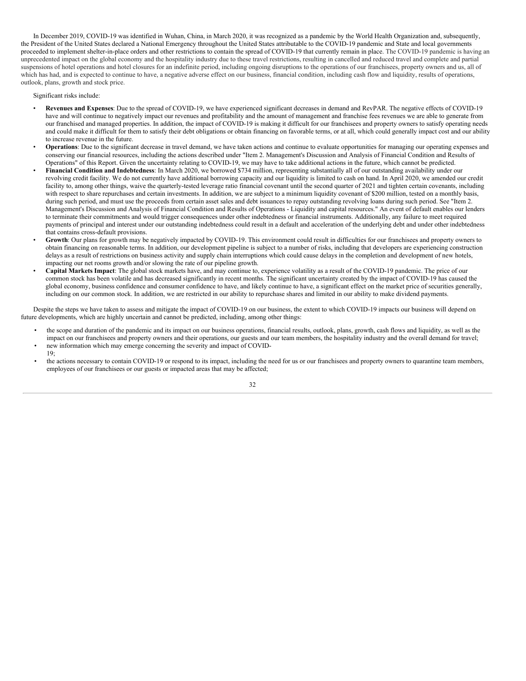In December 2019, COVID-19 was identified in Wuhan, China, in March 2020, it was recognized as a pandemic by the World Health Organization and, subsequently, the President of the United States declared a National Emergency throughout the United States attributable to the COVID-19 pandemic and State and local governments proceeded to implement shelter-in-place orders and other restrictions to contain the spread of COVID-19 that currently remain in place. The COVID-19 pandemic is having an unprecedented impact on the global economy and the hospitality industry due to these travel restrictions, resulting in cancelled and reduced travel and complete and partial suspensions of hotel operations and hotel closures for an indefinite period, including ongoing disruptions to the operations of our franchisees, property owners and us, all of which has had, and is expected to continue to have, a negative adverse effect on our business, financial condition, including cash flow and liquidity, results of operations, outlook, plans, growth and stock price.

Significant risks include:

- **Revenues and Expenses**: Due to the spread of COVID-19, we have experienced significant decreases in demand and RevPAR. The negative effects of COVID-19 have and will continue to negatively impact our revenues and profitability and the amount of management and franchise fees revenues we are able to generate from our franchised and managed properties. In addition, the impact of COVID-19 is making it difficult for our franchisees and property owners to satisfy operating needs and could make it difficult for them to satisfy their debt obligations or obtain financing on favorable terms, or at all, which could generally impact cost and our ability to increase revenue in the future.
- **Operations**: Due to the significant decrease in travel demand, we have taken actions and continue to evaluate opportunities for managing our operating expenses and conserving our financial resources, including the actions described under "Item 2. Management's Discussion and Analysis of Financial Condition and Results of Operations" of this Report. Given the uncertainty relating to COVID-19, we may have to take additional actions in the future, which cannot be predicted.
- **Financial Condition and Indebtedness**: In March 2020, we borrowed \$734 million, representing substantially all of our outstanding availability under our revolving credit facility. We do not currently have additional borrowing capacity and our liquidity is limited to cash on hand. In April 2020, we amended our credit facility to, among other things, waive the quarterly-tested leverage ratio financial covenant until the second quarter of 2021 and tighten certain covenants, including with respect to share repurchases and certain investments. In addition, we are subject to a minimum liquidity covenant of \$200 million, tested on a monthly basis, during such period, and must use the proceeds from certain asset sales and debt issuances to repay outstanding revolving loans during such period. See "Item 2. Management's Discussion and Analysis of Financial Condition and Results of Operations - Liquidity and capital resources." An event of default enables our lenders to terminate their commitments and would trigger consequences under other indebtedness or financial instruments. Additionally, any failure to meet required payments of principal and interest under our outstanding indebtedness could result in a default and acceleration of the underlying debt and under other indebtedness that contains cross-default provisions.
- **Growth**: Our plans for growth may be negatively impacted by COVID-19. This environment could result in difficulties for our franchisees and property owners to obtain financing on reasonable terms. In addition, our development pipeline is subject to a number of risks, including that developers are experiencing construction delays as a result of restrictions on business activity and supply chain interruptions which could cause delays in the completion and development of new hotels, impacting our net rooms growth and/or slowing the rate of our pipeline growth.
- **Capital Markets Impact**: The global stock markets have, and may continue to, experience volatility as a result of the COVID-19 pandemic. The price of our common stock has been volatile and has decreased significantly in recent months. The significant uncertainty created by the impact of COVID-19 has caused the global economy, business confidence and consumer confidence to have, and likely continue to have, a significant effect on the market price of securities generally, including on our common stock. In addition, we are restricted in our ability to repurchase shares and limited in our ability to make dividend payments.

Despite the steps we have taken to assess and mitigate the impact of COVID-19 on our business, the extent to which COVID-19 impacts our business will depend on future developments, which are highly uncertain and cannot be predicted, including, among other things:

- the scope and duration of the pandemic and its impact on our business operations, financial results, outlook, plans, growth, cash flows and liquidity, as well as the impact on our franchisees and property owners and their operations, our guests and our team members, the hospitality industry and the overall demand for travel;
- new information which may emerge concerning the severity and impact of COVID-
- 

19;

• the actions necessary to contain COVID-19 or respond to its impact, including the need for us or our franchisees and property owners to quarantine team members, employees of our franchisees or our guests or impacted areas that may be affected;

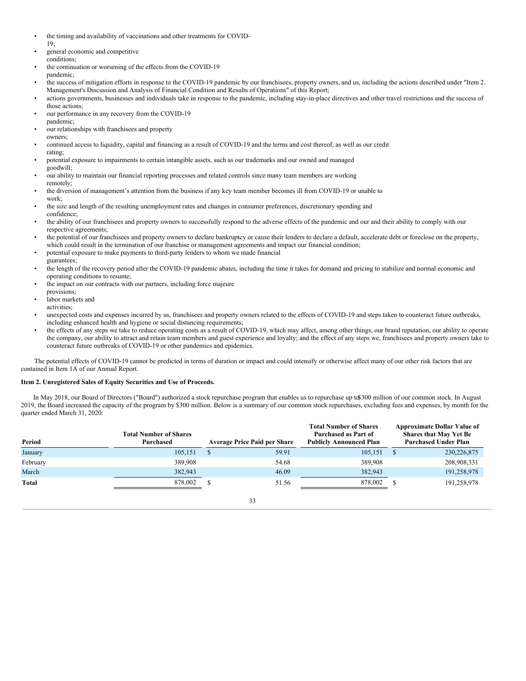- the timing and availability of vaccinations and other treatments for COVID-19;
- general economic and competitive conditions;
- the continuation or worsening of the effects from the COVID-19 pandemic;
- the success of mitigation efforts in response to the COVID-19 pandemic by our franchisees, property owners, and us, including the actions described under "Item 2. Management's Discussion and Analysis of Financial Condition and Results of Operations" of this Report;
- actions governments, businesses and individuals take in response to the pandemic, including stay-in-place directives and other travel restrictions and the success of those actions;
- our performance in any recovery from the COVID-19 pandemic;
- our relationships with franchisees and property owners;
- continued access to liquidity, capital and financing as a result of COVID-19 and the terms and cost thereof, as well as our credit rating;
- potential exposure to impairments to certain intangible assets, such as our trademarks and our owned and managed goodwill;
- our ability to maintain our financial reporting processes and related controls since many team members are working
- remotely; • the diversion of management's attention from the business if any key team member becomes ill from COVID-19 or unable to
- work; • the size and length of the resulting unemployment rates and changes in consumer preferences, discretionary spending and confidence;
- the ability of our franchisees and property owners to successfully respond to the adverse effects of the pandemic and our and their ability to comply with our respective agreements:
- the potential of our franchisees and property owners to declare bankruptcy or cause their lenders to declare a default, accelerate debt or foreclose on the property, which could result in the termination of our franchise or management agreements and impact our financial condition;
- potential exposure to make payments to third-party lenders to whom we made financial
- guarantees;
- the length of the recovery period after the COVID-19 pandemic abates, including the time it takes for demand and pricing to stabilize and normal economic and operating conditions to resume;
- the impact on our contracts with our partners, including force majeure
- provisions; labor markets and
- activities;
- unexpected costs and expenses incurred by us, franchisees and property owners related to the effects of COVID-19 and steps taken to counteract future outbreaks, including enhanced health and hygiene or social distancing requirements;
- the effects of any steps we take to reduce operating costs as a result of COVID-19, which may affect, among other things, our brand reputation, our ability to operate the company, our ability to attract and retain team members and guest experience and loyalty; and the effect of any steps we, franchisees and property owners take to counteract future outbreaks of COVID-19 or other pandemics and epidemics.

The potential effects of COVID-19 cannot be predicted in terms of duration or impact and could intensify or otherwise affect many of our other risk factors that are contained in Item 1A of our Annual Report.

# **Item 2. Unregistered Sales of Equity Securities and Use of Proceeds.**

In May 2018, our Board of Directors ("Board") authorized a stock repurchase program that enables us to repurchase up to\$300 million of our common stock. In August 2019, the Board increased the capacity of the program by \$300 million. Below is a summary of our common stock repurchases, excluding fees and expenses, by month for the quarter ended March 31, 2020:

| Period   | <b>Total Number of Shares</b><br>Purchased | <b>Average Price Paid per Share</b> | <b>Total Number of Shares</b><br>Purchased as Part of<br><b>Publicly Announced Plan</b> | <b>Approximate Dollar Value of</b><br><b>Shares that May Yet Be</b><br><b>Purchased Under Plan</b> |
|----------|--------------------------------------------|-------------------------------------|-----------------------------------------------------------------------------------------|----------------------------------------------------------------------------------------------------|
| January  | 105,151                                    | 59.91                               | 105,151                                                                                 | 230, 226, 875                                                                                      |
| February | 389,908                                    | 54.68                               | 389,908                                                                                 | 208,908,331                                                                                        |
| March    | 382,943                                    | 46.09                               | 382,943                                                                                 | 191,258,978                                                                                        |
| Total    | 878,002                                    | 51.56                               | 878,002                                                                                 | 191,258,978                                                                                        |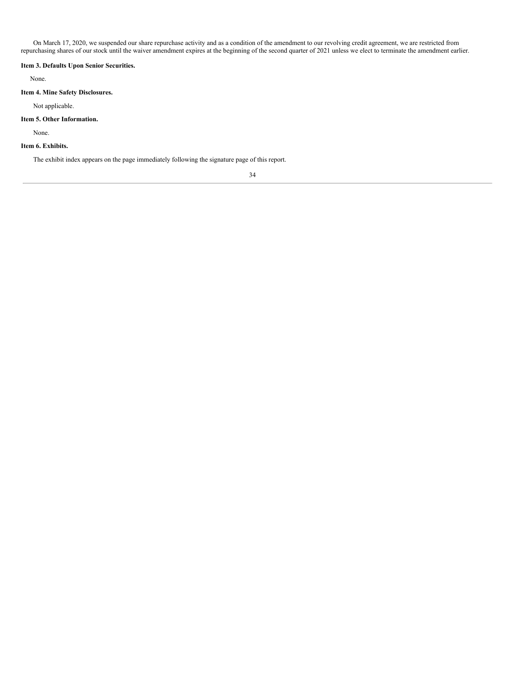On March 17, 2020, we suspended our share repurchase activity and as a condition of the amendment to our revolving credit agreement, we are restricted from repurchasing shares of our stock until the waiver amendment expires at the beginning of the second quarter of 2021 unless we elect to terminate the amendment earlier.

# **Item 3. Defaults Upon Senior Securities.**

None.

#### **Item 4. Mine Safety Disclosures.**

Not applicable.

# **Item 5. Other Information.**

None.

# **Item 6. Exhibits.**

The exhibit index appears on the page immediately following the signature page of this report.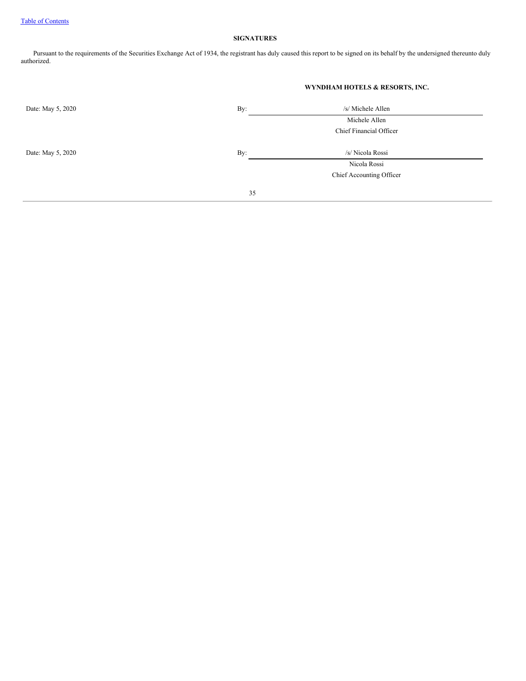# **SIGNATURES**

Pursuant to the requirements of the Securities Exchange Act of 1934, the registrant has duly caused this report to be signed on its behalf by the undersigned thereunto duly authorized.

**WYNDHAM HOTELS & RESORTS, INC.**

# Date: May 5, 2020 /s/ Michele Allen Michele Allen Chief Financial Officer Date: May 5, 2020 By: /s/ Nicola Rossi Nicola Rossi Chief Accounting Officer 35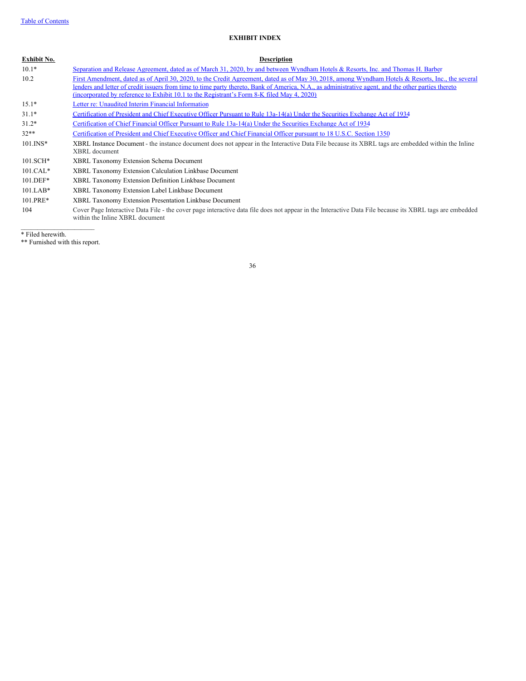# **EXHIBIT INDEX**

| Exhibit No.   | <b>Description</b>                                                                                                                                                                                                                                                                                                                                                                                     |
|---------------|--------------------------------------------------------------------------------------------------------------------------------------------------------------------------------------------------------------------------------------------------------------------------------------------------------------------------------------------------------------------------------------------------------|
| $10.1*$       | Separation and Release Agreement, dated as of March 31, 2020, by and between Wyndham Hotels & Resorts, Inc. and Thomas H. Barber                                                                                                                                                                                                                                                                       |
| 10.2          | First Amendment, dated as of April 30, 2020, to the Credit Agreement, dated as of May 30, 2018, among Wyndham Hotels & Resorts, Inc., the several<br>lenders and letter of credit issuers from time to time party thereto, Bank of America, N.A., as administrative agent, and the other parties thereto<br>(incorporated by reference to Exhibit 10.1 to the Registrant's Form 8-K filed May 4, 2020) |
| $15.1*$       | Letter re: Unaudited Interim Financial Information                                                                                                                                                                                                                                                                                                                                                     |
| $31.1*$       | Certification of President and Chief Executive Officer Pursuant to Rule 13a-14(a) Under the Securities Exchange Act of 1934                                                                                                                                                                                                                                                                            |
| $31.2*$       | Certification of Chief Financial Officer Pursuant to Rule 13a-14(a) Under the Securities Exchange Act of 1934                                                                                                                                                                                                                                                                                          |
| $32**$        | Certification of President and Chief Executive Officer and Chief Financial Officer pursuant to 18 U.S.C. Section 1350                                                                                                                                                                                                                                                                                  |
| $101.$ INS*   | XBRL Instance Document - the instance document does not appear in the Interactive Data File because its XBRL tags are embedded within the Inline<br>XBRL document                                                                                                                                                                                                                                      |
| $101.SCH*$    | <b>XBRL Taxonomy Extension Schema Document</b>                                                                                                                                                                                                                                                                                                                                                         |
| $101.CAL*$    | <b>XBRL Taxonomy Extension Calculation Linkbase Document</b>                                                                                                                                                                                                                                                                                                                                           |
| $101.DEF*$    | XBRL Taxonomy Extension Definition Linkbase Document                                                                                                                                                                                                                                                                                                                                                   |
| $101.LAB*$    | XBRL Taxonomy Extension Label Linkbase Document                                                                                                                                                                                                                                                                                                                                                        |
| $101.PRE*$    | <b>XBRL Taxonomy Extension Presentation Linkbase Document</b>                                                                                                                                                                                                                                                                                                                                          |
| $1^{\Lambda}$ | Correlation of the District of the correlation of the Claim and the correlation of the District Claim of the VDDI and controlled                                                                                                                                                                                                                                                                       |

104 Cover Page Interactive Data File - the cover page interactive data file does not appear in the Interactive Data File because its XBRL tags are embedded within the Inline XBRL document

\* Filed herewith.

 $\mathcal{L}_\text{max}$ \*\* Furnished with this report.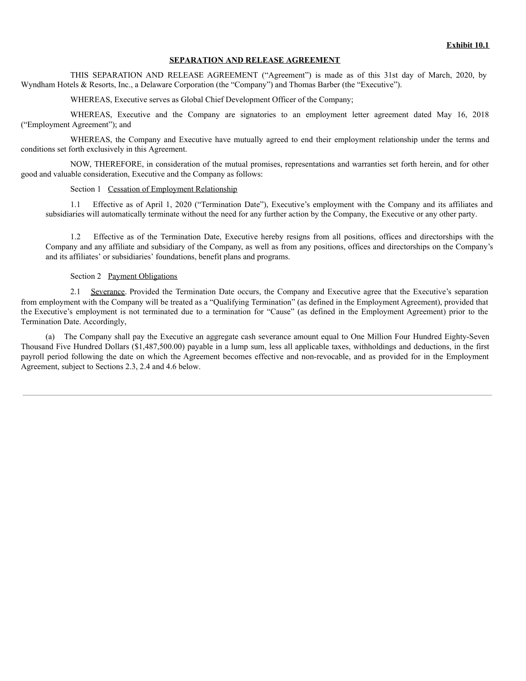# **SEPARATION AND RELEASE AGREEMENT**

THIS SEPARATION AND RELEASE AGREEMENT ("Agreement") is made as of this 31st day of March, 2020, by Wyndham Hotels & Resorts, Inc., a Delaware Corporation (the "Company") and Thomas Barber (the "Executive").

WHEREAS, Executive serves as Global Chief Development Officer of the Company;

WHEREAS, Executive and the Company are signatories to an employment letter agreement dated May 16, 2018 ("Employment Agreement"); and

WHEREAS, the Company and Executive have mutually agreed to end their employment relationship under the terms and conditions set forth exclusively in this Agreement.

NOW, THEREFORE, in consideration of the mutual promises, representations and warranties set forth herein, and for other good and valuable consideration, Executive and the Company as follows:

Section 1 Cessation of Employment Relationship

1.1 Effective as of April 1, 2020 ("Termination Date"), Executive's employment with the Company and its affiliates and subsidiaries will automatically terminate without the need for any further action by the Company, the Executive or any other party.

1.2 Effective as of the Termination Date, Executive hereby resigns from all positions, offices and directorships with the Company and any affiliate and subsidiary of the Company, as well as from any positions, offices and directorships on the Company's and its affiliates' or subsidiaries' foundations, benefit plans and programs.

# Section 2 Payment Obligations

2.1 Severance. Provided the Termination Date occurs, the Company and Executive agree that the Executive's separation from employment with the Company will be treated as a "Qualifying Termination" (as defined in the Employment Agreement), provided that the Executive's employment is not terminated due to a termination for "Cause" (as defined in the Employment Agreement) prior to the Termination Date. Accordingly,

(a) The Company shall pay the Executive an aggregate cash severance amount equal to One Million Four Hundred Eighty-Seven Thousand Five Hundred Dollars (\$1,487,500.00) payable in a lump sum, less all applicable taxes, withholdings and deductions, in the first payroll period following the date on which the Agreement becomes effective and non-revocable, and as provided for in the Employment Agreement, subject to Sections 2.3, 2.4 and 4.6 below.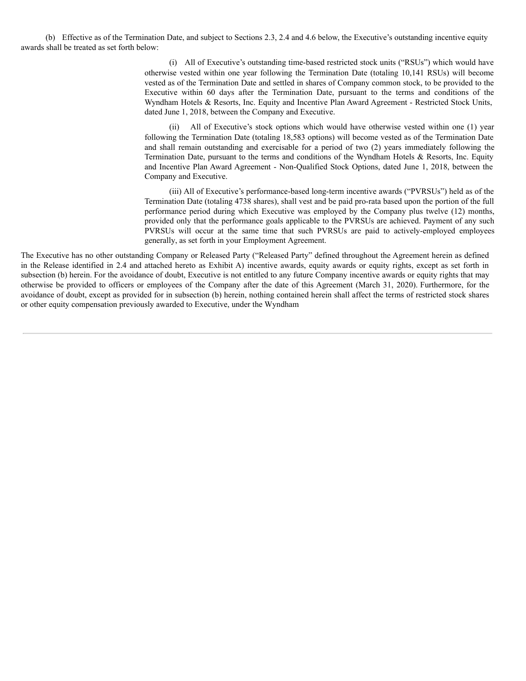(b) Effective as of the Termination Date, and subject to Sections 2.3, 2.4 and 4.6 below, the Executive's outstanding incentive equity awards shall be treated as set forth below:

> (i) All of Executive's outstanding time-based restricted stock units ("RSUs") which would have otherwise vested within one year following the Termination Date (totaling 10,141 RSUs) will become vested as of the Termination Date and settled in shares of Company common stock, to be provided to the Executive within 60 days after the Termination Date, pursuant to the terms and conditions of the Wyndham Hotels & Resorts, Inc. Equity and Incentive Plan Award Agreement - Restricted Stock Units, dated June 1, 2018, between the Company and Executive.

> All of Executive's stock options which would have otherwise vested within one (1) year following the Termination Date (totaling 18,583 options) will become vested as of the Termination Date and shall remain outstanding and exercisable for a period of two (2) years immediately following the Termination Date, pursuant to the terms and conditions of the Wyndham Hotels & Resorts, Inc. Equity and Incentive Plan Award Agreement - Non-Qualified Stock Options, dated June 1, 2018, between the Company and Executive.

> (iii) All of Executive's performance-based long-term incentive awards ("PVRSUs") held as of the Termination Date (totaling 4738 shares), shall vest and be paid pro-rata based upon the portion of the full performance period during which Executive was employed by the Company plus twelve (12) months, provided only that the performance goals applicable to the PVRSUs are achieved. Payment of any such PVRSUs will occur at the same time that such PVRSUs are paid to actively-employed employees generally, as set forth in your Employment Agreement.

The Executive has no other outstanding Company or Released Party ("Released Party" defined throughout the Agreement herein as defined in the Release identified in 2.4 and attached hereto as Exhibit A) incentive awards, equity awards or equity rights, except as set forth in subsection (b) herein. For the avoidance of doubt, Executive is not entitled to any future Company incentive awards or equity rights that may otherwise be provided to officers or employees of the Company after the date of this Agreement (March 31, 2020). Furthermore, for the avoidance of doubt, except as provided for in subsection (b) herein, nothing contained herein shall affect the terms of restricted stock shares or other equity compensation previously awarded to Executive, under the Wyndham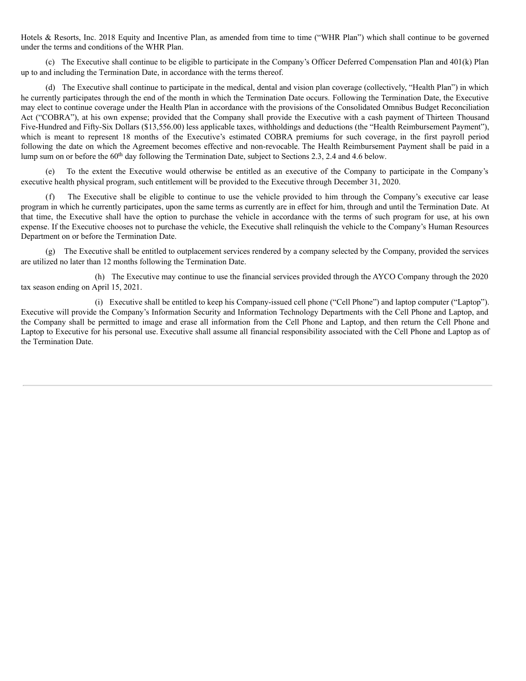Hotels & Resorts, Inc. 2018 Equity and Incentive Plan, as amended from time to time ("WHR Plan") which shall continue to be governed under the terms and conditions of the WHR Plan.

(c) The Executive shall continue to be eligible to participate in the Company's Officer Deferred Compensation Plan and 401(k) Plan up to and including the Termination Date, in accordance with the terms thereof.

(d) The Executive shall continue to participate in the medical, dental and vision plan coverage (collectively, "Health Plan") in which he currently participates through the end of the month in which the Termination Date occurs. Following the Termination Date, the Executive may elect to continue coverage under the Health Plan in accordance with the provisions of the Consolidated Omnibus Budget Reconciliation Act ("COBRA"), at his own expense; provided that the Company shall provide the Executive with a cash payment of Thirteen Thousand Five-Hundred and Fifty-Six Dollars (\$13,556.00) less applicable taxes, withholdings and deductions (the "Health Reimbursement Payment"), which is meant to represent 18 months of the Executive's estimated COBRA premiums for such coverage, in the first payroll period following the date on which the Agreement becomes effective and non-revocable. The Health Reimbursement Payment shall be paid in a lump sum on or before the 60<sup>th</sup> day following the Termination Date, subject to Sections 2.3, 2.4 and 4.6 below.

(e) To the extent the Executive would otherwise be entitled as an executive of the Company to participate in the Company's executive health physical program, such entitlement will be provided to the Executive through December 31, 2020.

(f) The Executive shall be eligible to continue to use the vehicle provided to him through the Company's executive car lease program in which he currently participates, upon the same terms as currently are in effect for him, through and until the Termination Date. At that time, the Executive shall have the option to purchase the vehicle in accordance with the terms of such program for use, at his own expense. If the Executive chooses not to purchase the vehicle, the Executive shall relinquish the vehicle to the Company's Human Resources Department on or before the Termination Date.

(g) The Executive shall be entitled to outplacement services rendered by a company selected by the Company, provided the services are utilized no later than 12 months following the Termination Date.

(h) The Executive may continue to use the financial services provided through the AYCO Company through the 2020 tax season ending on April 15, 2021.

(i) Executive shall be entitled to keep his Company-issued cell phone ("Cell Phone") and laptop computer ("Laptop"). Executive will provide the Company's Information Security and Information Technology Departments with the Cell Phone and Laptop, and the Company shall be permitted to image and erase all information from the Cell Phone and Laptop, and then return the Cell Phone and Laptop to Executive for his personal use. Executive shall assume all financial responsibility associated with the Cell Phone and Laptop as of the Termination Date.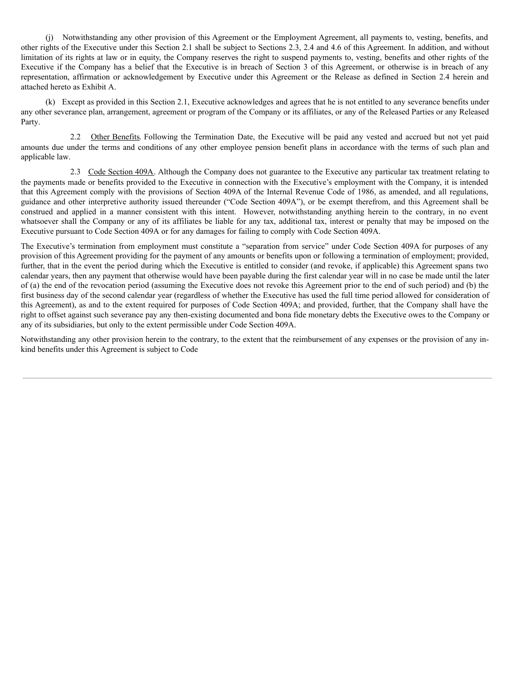(j) Notwithstanding any other provision of this Agreement or the Employment Agreement, all payments to, vesting, benefits, and other rights of the Executive under this Section 2.1 shall be subject to Sections 2.3, 2.4 and 4.6 of this Agreement. In addition, and without limitation of its rights at law or in equity, the Company reserves the right to suspend payments to, vesting, benefits and other rights of the Executive if the Company has a belief that the Executive is in breach of Section 3 of this Agreement, or otherwise is in breach of any representation, affirmation or acknowledgement by Executive under this Agreement or the Release as defined in Section 2.4 herein and attached hereto as Exhibit A.

(k) Except as provided in this Section 2.1, Executive acknowledges and agrees that he is not entitled to any severance benefits under any other severance plan, arrangement, agreement or program of the Company or its affiliates, or any of the Released Parties or any Released Party.

2.2 Other Benefits. Following the Termination Date, the Executive will be paid any vested and accrued but not yet paid amounts due under the terms and conditions of any other employee pension benefit plans in accordance with the terms of such plan and applicable law.

2.3 Code Section 409A. Although the Company does not guarantee to the Executive any particular tax treatment relating to the payments made or benefits provided to the Executive in connection with the Executive's employment with the Company, it is intended that this Agreement comply with the provisions of Section 409A of the Internal Revenue Code of 1986, as amended, and all regulations, guidance and other interpretive authority issued thereunder ("Code Section 409A"), or be exempt therefrom, and this Agreement shall be construed and applied in a manner consistent with this intent. However, notwithstanding anything herein to the contrary, in no event whatsoever shall the Company or any of its affiliates be liable for any tax, additional tax, interest or penalty that may be imposed on the Executive pursuant to Code Section 409A or for any damages for failing to comply with Code Section 409A.

The Executive's termination from employment must constitute a "separation from service" under Code Section 409A for purposes of any provision of this Agreement providing for the payment of any amounts or benefits upon or following a termination of employment; provided, further, that in the event the period during which the Executive is entitled to consider (and revoke, if applicable) this Agreement spans two calendar years, then any payment that otherwise would have been payable during the first calendar year will in no case be made until the later of (a) the end of the revocation period (assuming the Executive does not revoke this Agreement prior to the end of such period) and (b) the first business day of the second calendar year (regardless of whether the Executive has used the full time period allowed for consideration of this Agreement), as and to the extent required for purposes of Code Section 409A; and provided, further, that the Company shall have the right to offset against such severance pay any then-existing documented and bona fide monetary debts the Executive owes to the Company or any of its subsidiaries, but only to the extent permissible under Code Section 409A.

Notwithstanding any other provision herein to the contrary, to the extent that the reimbursement of any expenses or the provision of any inkind benefits under this Agreement is subject to Code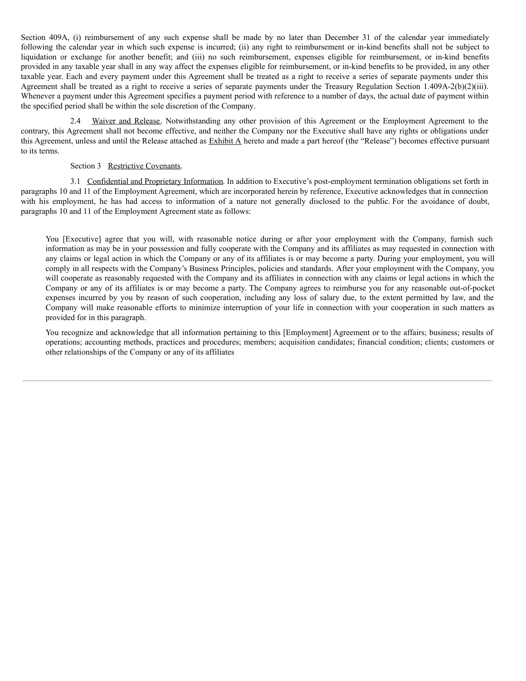Section 409A, (i) reimbursement of any such expense shall be made by no later than December 31 of the calendar year immediately following the calendar year in which such expense is incurred; (ii) any right to reimbursement or in-kind benefits shall not be subject to liquidation or exchange for another benefit; and (iii) no such reimbursement, expenses eligible for reimbursement, or in-kind benefits provided in any taxable year shall in any way affect the expenses eligible for reimbursement, or in-kind benefits to be provided, in any other taxable year. Each and every payment under this Agreement shall be treated as a right to receive a series of separate payments under this Agreement shall be treated as a right to receive a series of separate payments under the Treasury Regulation Section 1.409A-2(b)(2)(iii). Whenever a payment under this Agreement specifies a payment period with reference to a number of days, the actual date of payment within the specified period shall be within the sole discretion of the Company.

2.4 Waiver and Release. Notwithstanding any other provision of this Agreement or the Employment Agreement to the contrary, this Agreement shall not become effective, and neither the Company nor the Executive shall have any rights or obligations under this Agreement, unless and until the Release attached as Exhibit A hereto and made a part hereof (the "Release") becomes effective pursuant to its terms.

# Section 3 Restrictive Covenants.

3.1 Confidential and Proprietary Information. In addition to Executive's post-employment termination obligations set forth in paragraphs 10 and 11 of the Employment Agreement, which are incorporated herein by reference, Executive acknowledges that in connection with his employment, he has had access to information of a nature not generally disclosed to the public. For the avoidance of doubt, paragraphs 10 and 11 of the Employment Agreement state as follows:

You [Executive] agree that you will, with reasonable notice during or after your employment with the Company, furnish such information as may be in your possession and fully cooperate with the Company and its affiliates as may requested in connection with any claims or legal action in which the Company or any of its affiliates is or may become a party. During your employment, you will comply in all respects with the Company's Business Principles, policies and standards. After your employment with the Company, you will cooperate as reasonably requested with the Company and its affiliates in connection with any claims or legal actions in which the Company or any of its affiliates is or may become a party. The Company agrees to reimburse you for any reasonable out-of-pocket expenses incurred by you by reason of such cooperation, including any loss of salary due, to the extent permitted by law, and the Company will make reasonable efforts to minimize interruption of your life in connection with your cooperation in such matters as provided for in this paragraph.

You recognize and acknowledge that all information pertaining to this [Employment] Agreement or to the affairs; business; results of operations; accounting methods, practices and procedures; members; acquisition candidates; financial condition; clients; customers or other relationships of the Company or any of its affiliates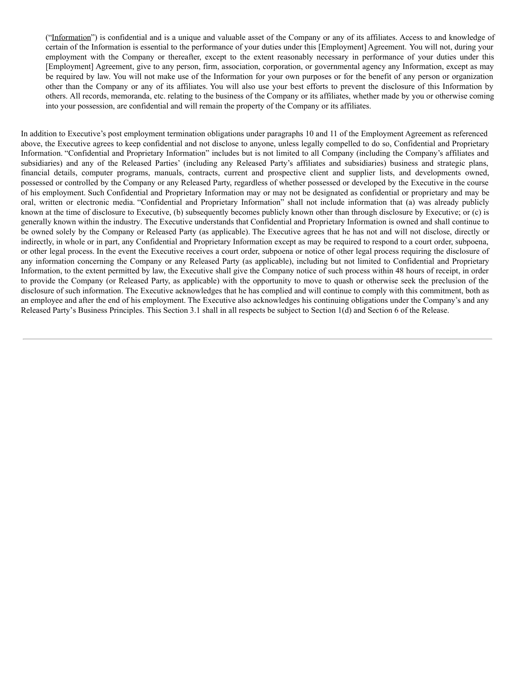("Information") is confidential and is a unique and valuable asset of the Company or any of its affiliates. Access to and knowledge of certain of the Information is essential to the performance of your duties under this [Employment] Agreement. You will not, during your employment with the Company or thereafter, except to the extent reasonably necessary in performance of your duties under this [Employment] Agreement, give to any person, firm, association, corporation, or governmental agency any Information, except as may be required by law. You will not make use of the Information for your own purposes or for the benefit of any person or organization other than the Company or any of its affiliates. You will also use your best efforts to prevent the disclosure of this Information by others. All records, memoranda, etc. relating to the business of the Company or its affiliates, whether made by you or otherwise coming into your possession, are confidential and will remain the property of the Company or its affiliates.

In addition to Executive's post employment termination obligations under paragraphs 10 and 11 of the Employment Agreement as referenced above, the Executive agrees to keep confidential and not disclose to anyone, unless legally compelled to do so, Confidential and Proprietary Information. "Confidential and Proprietary Information" includes but is not limited to all Company (including the Company's affiliates and subsidiaries) and any of the Released Parties' (including any Released Party's affiliates and subsidiaries) business and strategic plans, financial details, computer programs, manuals, contracts, current and prospective client and supplier lists, and developments owned, possessed or controlled by the Company or any Released Party, regardless of whether possessed or developed by the Executive in the course of his employment. Such Confidential and Proprietary Information may or may not be designated as confidential or proprietary and may be oral, written or electronic media. "Confidential and Proprietary Information" shall not include information that (a) was already publicly known at the time of disclosure to Executive, (b) subsequently becomes publicly known other than through disclosure by Executive; or (c) is generally known within the industry. The Executive understands that Confidential and Proprietary Information is owned and shall continue to be owned solely by the Company or Released Party (as applicable). The Executive agrees that he has not and will not disclose, directly or indirectly, in whole or in part, any Confidential and Proprietary Information except as may be required to respond to a court order, subpoena, or other legal process. In the event the Executive receives a court order, subpoena or notice of other legal process requiring the disclosure of any information concerning the Company or any Released Party (as applicable), including but not limited to Confidential and Proprietary Information, to the extent permitted by law, the Executive shall give the Company notice of such process within 48 hours of receipt, in order to provide the Company (or Released Party, as applicable) with the opportunity to move to quash or otherwise seek the preclusion of the disclosure of such information. The Executive acknowledges that he has complied and will continue to comply with this commitment, both as an employee and after the end of his employment. The Executive also acknowledges his continuing obligations under the Company's and any Released Party's Business Principles. This Section 3.1 shall in all respects be subject to Section 1(d) and Section 6 of the Release.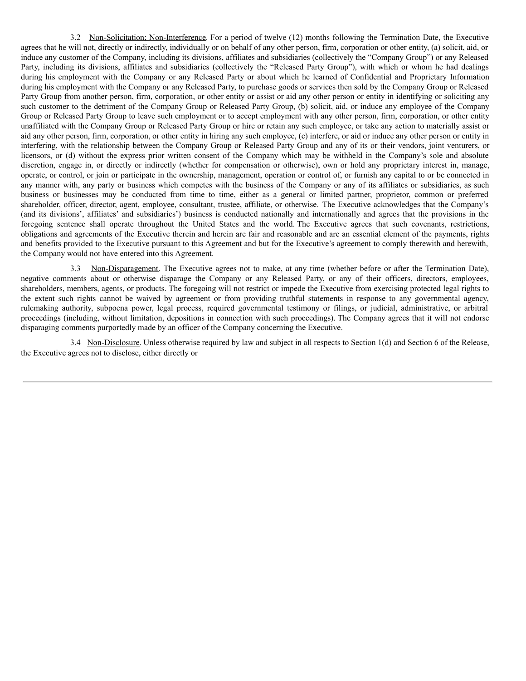3.2 Non-Solicitation; Non-Interference. For a period of twelve (12) months following the Termination Date, the Executive agrees that he will not, directly or indirectly, individually or on behalf of any other person, firm, corporation or other entity, (a) solicit, aid, or induce any customer of the Company, including its divisions, affiliates and subsidiaries (collectively the "Company Group") or any Released Party, including its divisions, affiliates and subsidiaries (collectively the "Released Party Group"), with which or whom he had dealings during his employment with the Company or any Released Party or about which he learned of Confidential and Proprietary Information during his employment with the Company or any Released Party, to purchase goods or services then sold by the Company Group or Released Party Group from another person, firm, corporation, or other entity or assist or aid any other person or entity in identifying or soliciting any such customer to the detriment of the Company Group or Released Party Group, (b) solicit, aid, or induce any employee of the Company Group or Released Party Group to leave such employment or to accept employment with any other person, firm, corporation, or other entity unaffiliated with the Company Group or Released Party Group or hire or retain any such employee, or take any action to materially assist or aid any other person, firm, corporation, or other entity in hiring any such employee, (c) interfere, or aid or induce any other person or entity in interfering, with the relationship between the Company Group or Released Party Group and any of its or their vendors, joint venturers, or licensors, or (d) without the express prior written consent of the Company which may be withheld in the Company's sole and absolute discretion, engage in, or directly or indirectly (whether for compensation or otherwise), own or hold any proprietary interest in, manage, operate, or control, or join or participate in the ownership, management, operation or control of, or furnish any capital to or be connected in any manner with, any party or business which competes with the business of the Company or any of its affiliates or subsidiaries, as such business or businesses may be conducted from time to time, either as a general or limited partner, proprietor, common or preferred shareholder, officer, director, agent, employee, consultant, trustee, affiliate, or otherwise. The Executive acknowledges that the Company's (and its divisions', affiliates' and subsidiaries') business is conducted nationally and internationally and agrees that the provisions in the foregoing sentence shall operate throughout the United States and the world. The Executive agrees that such covenants, restrictions, obligations and agreements of the Executive therein and herein are fair and reasonable and are an essential element of the payments, rights and benefits provided to the Executive pursuant to this Agreement and but for the Executive's agreement to comply therewith and herewith, the Company would not have entered into this Agreement.

3.3 Non-Disparagement. The Executive agrees not to make, at any time (whether before or after the Termination Date), negative comments about or otherwise disparage the Company or any Released Party, or any of their officers, directors, employees, shareholders, members, agents, or products. The foregoing will not restrict or impede the Executive from exercising protected legal rights to the extent such rights cannot be waived by agreement or from providing truthful statements in response to any governmental agency, rulemaking authority, subpoena power, legal process, required governmental testimony or filings, or judicial, administrative, or arbitral proceedings (including, without limitation, depositions in connection with such proceedings). The Company agrees that it will not endorse disparaging comments purportedly made by an officer of the Company concerning the Executive.

3.4 Non-Disclosure. Unless otherwise required by law and subject in all respects to Section 1(d) and Section 6 of the Release, the Executive agrees not to disclose, either directly or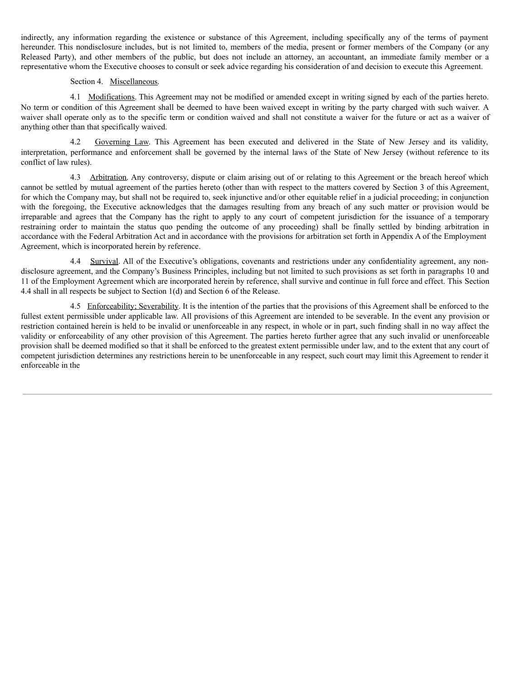indirectly, any information regarding the existence or substance of this Agreement, including specifically any of the terms of payment hereunder. This nondisclosure includes, but is not limited to, members of the media, present or former members of the Company (or any Released Party), and other members of the public, but does not include an attorney, an accountant, an immediate family member or a representative whom the Executive chooses to consult or seek advice regarding his consideration of and decision to execute this Agreement.

# Section 4. Miscellaneous.

4.1 Modifications. This Agreement may not be modified or amended except in writing signed by each of the parties hereto. No term or condition of this Agreement shall be deemed to have been waived except in writing by the party charged with such waiver. A waiver shall operate only as to the specific term or condition waived and shall not constitute a waiver for the future or act as a waiver of anything other than that specifically waived.

4.2 Governing Law. This Agreement has been executed and delivered in the State of New Jersey and its validity, interpretation, performance and enforcement shall be governed by the internal laws of the State of New Jersey (without reference to its conflict of law rules).

4.3 Arbitration. Any controversy, dispute or claim arising out of or relating to this Agreement or the breach hereof which cannot be settled by mutual agreement of the parties hereto (other than with respect to the matters covered by Section 3 of this Agreement, for which the Company may, but shall not be required to, seek injunctive and/or other equitable relief in a judicial proceeding; in conjunction with the foregoing, the Executive acknowledges that the damages resulting from any breach of any such matter or provision would be irreparable and agrees that the Company has the right to apply to any court of competent jurisdiction for the issuance of a temporary restraining order to maintain the status quo pending the outcome of any proceeding) shall be finally settled by binding arbitration in accordance with the Federal Arbitration Act and in accordance with the provisions for arbitration set forth in Appendix A of the Employment Agreement, which is incorporated herein by reference.

4.4 Survival. All of the Executive's obligations, covenants and restrictions under any confidentiality agreement, any nondisclosure agreement, and the Company's Business Principles, including but not limited to such provisions as set forth in paragraphs 10 and 11 of the Employment Agreement which are incorporated herein by reference, shall survive and continue in full force and effect. This Section 4.4 shall in all respects be subject to Section 1(d) and Section 6 of the Release.

4.5 Enforceability; Severability. It is the intention of the parties that the provisions of this Agreement shall be enforced to the fullest extent permissible under applicable law. All provisions of this Agreement are intended to be severable. In the event any provision or restriction contained herein is held to be invalid or unenforceable in any respect, in whole or in part, such finding shall in no way affect the validity or enforceability of any other provision of this Agreement. The parties hereto further agree that any such invalid or unenforceable provision shall be deemed modified so that it shall be enforced to the greatest extent permissible under law, and to the extent that any court of competent jurisdiction determines any restrictions herein to be unenforceable in any respect, such court may limit this Agreement to render it enforceable in the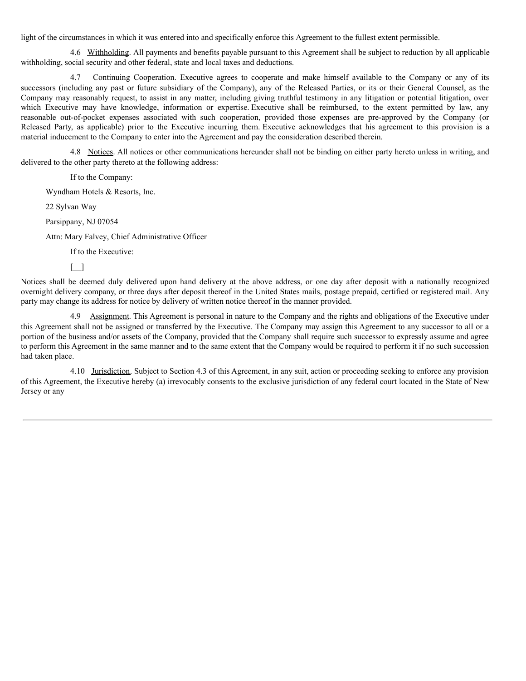light of the circumstances in which it was entered into and specifically enforce this Agreement to the fullest extent permissible.

4.6 Withholding. All payments and benefits payable pursuant to this Agreement shall be subject to reduction by all applicable withholding, social security and other federal, state and local taxes and deductions.

4.7 Continuing Cooperation. Executive agrees to cooperate and make himself available to the Company or any of its successors (including any past or future subsidiary of the Company), any of the Released Parties, or its or their General Counsel, as the Company may reasonably request, to assist in any matter, including giving truthful testimony in any litigation or potential litigation, over which Executive may have knowledge, information or expertise. Executive shall be reimbursed, to the extent permitted by law, any reasonable out-of-pocket expenses associated with such cooperation, provided those expenses are pre-approved by the Company (or Released Party, as applicable) prior to the Executive incurring them. Executive acknowledges that his agreement to this provision is a material inducement to the Company to enter into the Agreement and pay the consideration described therein.

4.8 Notices. All notices or other communications hereunder shall not be binding on either party hereto unless in writing, and delivered to the other party thereto at the following address:

If to the Company:

Wyndham Hotels & Resorts, Inc.

22 Sylvan Way

Parsippany, NJ 07054

Attn: Mary Falvey, Chief Administrative Officer

If to the Executive:

 $\lceil \; \; \; \rceil$ 

Notices shall be deemed duly delivered upon hand delivery at the above address, or one day after deposit with a nationally recognized overnight delivery company, or three days after deposit thereof in the United States mails, postage prepaid, certified or registered mail. Any party may change its address for notice by delivery of written notice thereof in the manner provided.

4.9 Assignment. This Agreement is personal in nature to the Company and the rights and obligations of the Executive under this Agreement shall not be assigned or transferred by the Executive. The Company may assign this Agreement to any successor to all or a portion of the business and/or assets of the Company, provided that the Company shall require such successor to expressly assume and agree to perform this Agreement in the same manner and to the same extent that the Company would be required to perform it if no such succession had taken place.

4.10 Jurisdiction. Subject to Section 4.3 of this Agreement, in any suit, action or proceeding seeking to enforce any provision of this Agreement, the Executive hereby (a) irrevocably consents to the exclusive jurisdiction of any federal court located in the State of New Jersey or any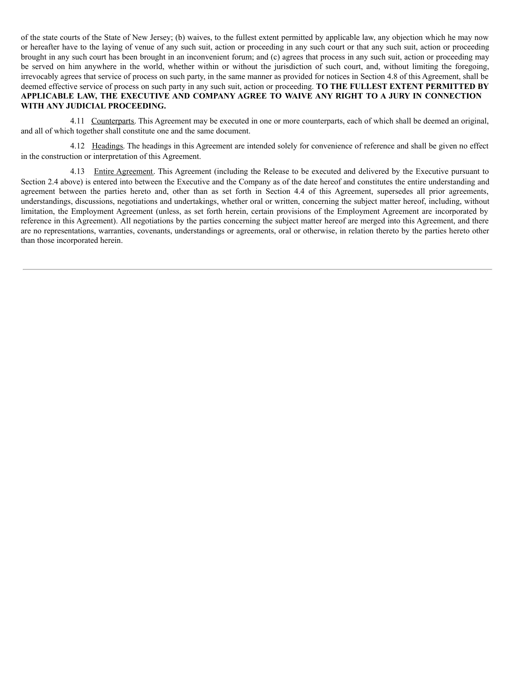<span id="page-47-0"></span>of the state courts of the State of New Jersey; (b) waives, to the fullest extent permitted by applicable law, any objection which he may now or hereafter have to the laying of venue of any such suit, action or proceeding in any such court or that any such suit, action or proceeding brought in any such court has been brought in an inconvenient forum; and (c) agrees that process in any such suit, action or proceeding may be served on him anywhere in the world, whether within or without the jurisdiction of such court, and, without limiting the foregoing, irrevocably agrees that service of process on such party, in the same manner as provided for notices in Section 4.8 of this Agreement, shall be deemed effective service of process on such party in any such suit, action or proceeding. **TO THE FULLEST EXTENT PERMITTED BY APPLICABLE LAW, THE EXECUTIVE AND COMPANY AGREE TO WAIVE ANY RIGHT TO A JURY IN CONNECTION WITH ANY JUDICIAL PROCEEDING.**

4.11 Counterparts. This Agreement may be executed in one or more counterparts, each of which shall be deemed an original, and all of which together shall constitute one and the same document.

4.12 Headings. The headings in this Agreement are intended solely for convenience of reference and shall be given no effect in the construction or interpretation of this Agreement.

4.13 Entire Agreement. This Agreement (including the Release to be executed and delivered by the Executive pursuant to Section 2.4 above) is entered into between the Executive and the Company as of the date hereof and constitutes the entire understanding and agreement between the parties hereto and, other than as set forth in Section 4.4 of this Agreement, supersedes all prior agreements, understandings, discussions, negotiations and undertakings, whether oral or written, concerning the subject matter hereof, including, without limitation, the Employment Agreement (unless, as set forth herein, certain provisions of the Employment Agreement are incorporated by reference in this Agreement). All negotiations by the parties concerning the subject matter hereof are merged into this Agreement, and there are no representations, warranties, covenants, understandings or agreements, oral or otherwise, in relation thereto by the parties hereto other than those incorporated herein.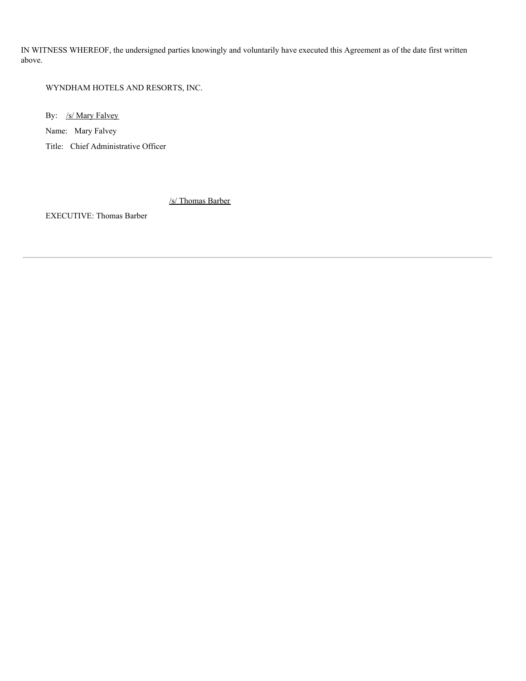IN WITNESS WHEREOF, the undersigned parties knowingly and voluntarily have executed this Agreement as of the date first written above.

WYNDHAM HOTELS AND RESORTS, INC.

By: /s/ Mary Falvey

Name: Mary Falvey

Title: Chief Administrative Officer

/s/ Thomas Barber

EXECUTIVE: Thomas Barber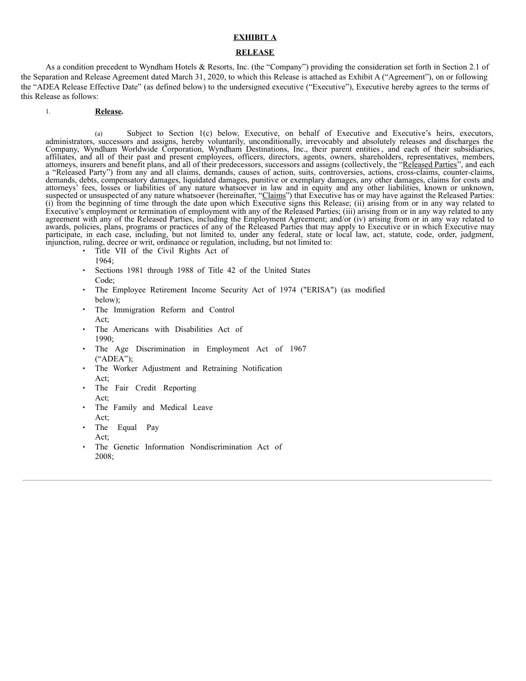# **EXHIBIT A**

# **RELEASE**

As a condition precedent to Wyndham Hotels & Resorts, Inc. (the "Company") providing the consideration set forth in Section 2.1 of the Separation and Release Agreement dated March 31, 2020, to which this Release is attached as Exhibit A ("Agreement"), on or following the "ADEA Release Effective Date" (as defined below) to the undersigned executive ("Executive"), Executive hereby agrees to the terms of this Release as follows:

# 1. **Release.**

(a) Subject to Section 1(c) below, Executive, on behalf of Executive and Executive's heirs, executors, administrators, successors and assigns, hereby voluntarily, unconditionally, irrevocably and absolutely releases and discharges the Company, Wyndham Worldwide Corporation, Wyndham Destinations, Inc., their parent entities , and each of their subsidiaries, affiliates, and all of their past and present employees, officers, directors, agents, owners, shareholders, representatives, members, attorneys, insurers and benefit plans, and all of their predecessors, successors and assigns (collectively, the "Released Parties", and each a "Released Party") from any and all claims, demands, causes of action, suits, controversies, actions, cross-claims, counter-claims, demands, debts, compensatory damages, liquidated damages, punitive or exemplary damages, any other damages, claims for costs and attorneys' fees, losses or liabilities of any nature whatsoever in law and in equity and any other liabilities, known or unknown, suspected or unsuspected of any nature whatsoever (hereinafter, "Claims") that Executive has or may have against the Released Parties: (i) from the beginning of time through the date upon which Executive signs this Release; (ii) arising from or in any way related to Executive's employment or termination of employment with any of the Released Parties; (iii) arising from or in any way related to any agreement with any of the Released Parties, including the Employment Agreement; and/or (iv) arising from or in any way related to awards, policies, plans, programs or practices of any of the Released Parties that may apply to Executive or in which Executive may participate, in each case, including, but not limited to, under any federal, state or local law, act, statute, code, order, judgment, injunction, ruling, decree or writ, ordinance or regulation, including, but not limited to:

- Title VII of the Civil Rights Act of 1964;
- Sections 1981 through 1988 of Title 42 of the United States Code;
- The Employee Retirement Income Security Act of 1974 ("ERISA") (as modified below);
- The Immigration Reform and Control Act;
- The Americans with Disabilities Act of 1990;
- The Age Discrimination in Employment Act of 1967 ("ADEA");
- The Worker Adjustment and Retraining Notification Act;
- The Fair Credit Reporting Act;
- The Family and Medical Leave Act;
- The Equal Pay

Act;

The Genetic Information Nondiscrimination Act of 2008;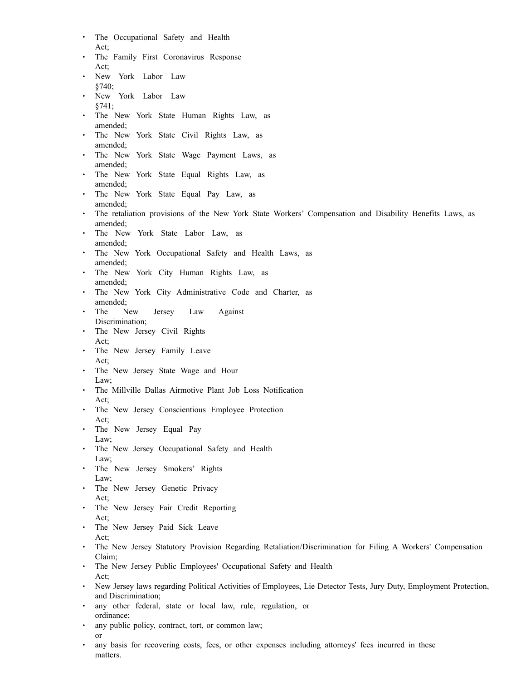- The Occupational Safety and Health Act;
- The Family First Coronavirus Response Act;
- New York Labor Law §740;
- New York Labor Law §741;
- The New York State Human Rights Law, as amended;
- The New York State Civil Rights Law, as amended;
- The New York State Wage Payment Laws, as amended;
- The New York State Equal Rights Law, as amended;
- The New York State Equal Pay Law, as amended;
- The retaliation provisions of the New York State Workers' Compensation and Disability Benefits Laws, as amended;
- The New York State Labor Law, as amended;
- The New York Occupational Safety and Health Laws, as amended;
- The New York City Human Rights Law, as amended;
- The New York City Administrative Code and Charter, as amended;
- The New Jersey Law Against Discrimination;
- The New Jersey Civil Rights Act;
- The New Jersey Family Leave Act;
- The New Jersey State Wage and Hour Law;
- The Millville Dallas Airmotive Plant Job Loss Notification Act;
- The New Jersey Conscientious Employee Protection Act;
- The New Jersey Equal Pay Law;
- The New Jersey Occupational Safety and Health Law;
- The New Jersey Smokers' Rights Law;
- The New Jersey Genetic Privacy Act;
- The New Jersey Fair Credit Reporting Act;
- The New Jersey Paid Sick Leave Act;
- The New Jersey Statutory Provision Regarding Retaliation/Discrimination for Filing A Workers' Compensation Claim;
- The New Jersey Public Employees' Occupational Safety and Health Act;
- New Jersey laws regarding Political Activities of Employees, Lie Detector Tests, Jury Duty, Employment Protection, and Discrimination;
- any other federal, state or local law, rule, regulation, or ordinance;
- any public policy, contract, tort, or common law; or
- any basis for recovering costs, fees, or other expenses including attorneys' fees incurred in these matters.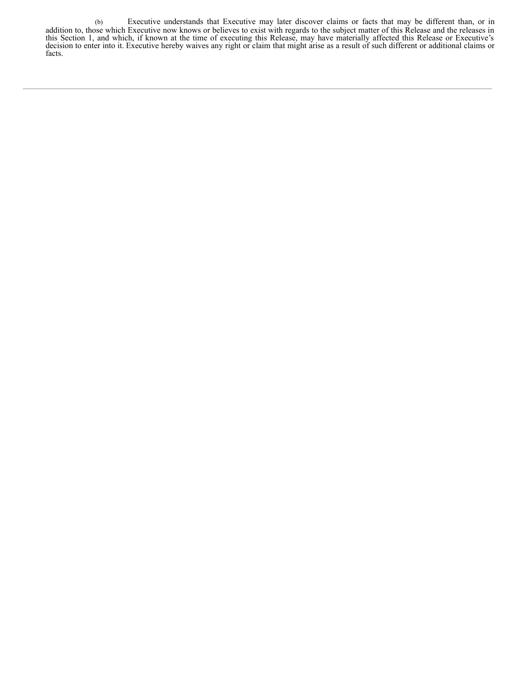(b) Executive understands that Executive may later discover claims or facts that may be different than, or in addition to, those which Executive now knows or believes to exist with regards to the subject matter of this Release and the releases in this Section 1, and which, if known at the time of executing this Release, may have materially affected this Release or Executive's decision to enter into it. Executive hereby waives any right or claim that might arise as a result of such different or additional claims or facts.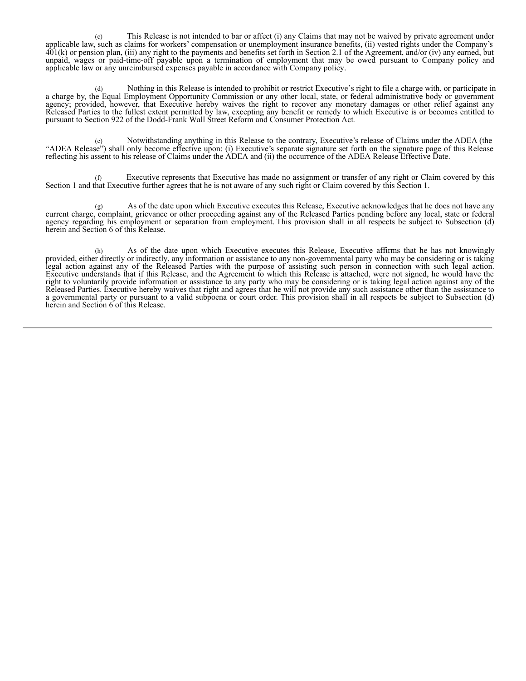(c) This Release is not intended to bar or affect (i) any Claims that may not be waived by private agreement under applicable law, such as claims for workers' compensation or unemployment insurance benefits, (ii) vested rights under the Company's 401(k) or pension plan, (iii) any right to the payments and benefits set forth in Section 2.1 of the Agreement, and/or (iv) any earned, but unpaid, wages or paid-time-off payable upon a termination of employment that may be owed pursuant to Company policy and applicable law or any unreimbursed expenses payable in accordance with Company policy.

(d) Nothing in this Release is intended to prohibit or restrict Executive's right to file a charge with, or participate in a charge by, the Equal Employment Opportunity Commission or any other local, state, or federal administrative body or government agency; provided, however, that Executive hereby waives the right to recover any monetary damages or other relief against any Released Parties to the fullest extent permitted by law, excepting any benefit or remedy to which Executive is or becomes entitled to pursuant to Section 922 of the Dodd-Frank Wall Street Reform and Consumer Protection Act.

Notwithstanding anything in this Release to the contrary, Executive's release of Claims under the ADEA (the "ADEA Release") shall only become effective upon: (i) Executive's separate signature set forth on the signature page of this Release reflecting his assent to his release of Claims under the ADEA and (ii) the occurrence of the ADEA Release Effective Date.

(f) Executive represents that Executive has made no assignment or transfer of any right or Claim covered by this Section 1 and that Executive further agrees that he is not aware of any such right or Claim covered by this Section 1.

(g) As of the date upon which Executive executes this Release, Executive acknowledges that he does not have any current charge, complaint, grievance or other proceeding against any of the Released Parties pending before any local, state or federal agency regarding his employment or separation from employment. This provision shall in all respects be subject to Subsection (d) herein and Section 6 of this Release.

(h) As of the date upon which Executive executes this Release, Executive affirms that he has not knowingly provided, either directly or indirectly, any information or assistance to any non-governmental party who may be considering or is taking legal action against any of the Released Parties with the purpose of assisting such person in connection with such legal action. Executive understands that if this Release, and the Agreement to which this Release is attached, were not signed, he would have the right to voluntarily provide information or assistance to any party who may be considering or is taking legal action against any of the Released Parties. Executive hereby waives that right and agrees that he will not provide any such assistance other than the assistance to a governmental party or pursuant to a valid subpoena or court order. This provision shall in all respects be subject to Subsection (d) herein and Section 6 of this Release.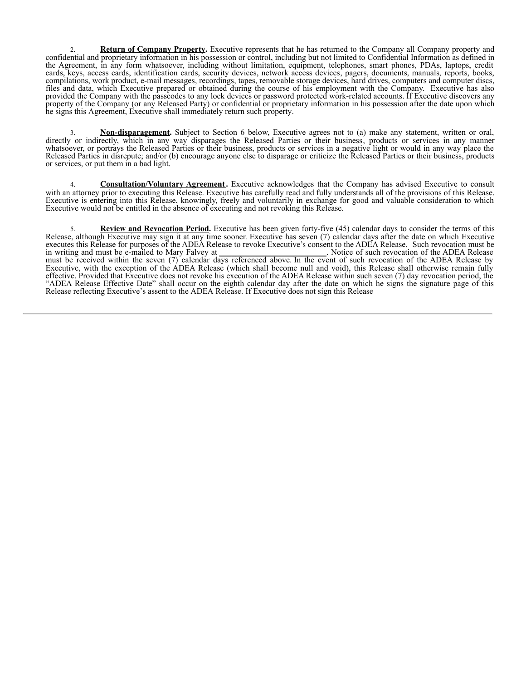2. **Return of Company Property.** Executive represents that he has returned to the Company all Company property and confidential and proprietary information in his possession or control, including but not limited to Confidential Information as defined in the Agreement, in any form whatsoever, including without limitation, equipment, telephones, smart phones, PDAs, laptops, credit cards, keys, access cards, identification cards, security devices, network access devices, pagers, documents, manuals, reports, books, compilations, work product, e-mail messages, recordings, tapes, removable storage devices, hard drives, computers and computer discs, files and data, which Executive prepared or obtained during the course of his employment with the Company. Executive has also provided the Company with the passcodes to any lock devices or password protected work-related accounts. If Executive discovers any property of the Company (or any Released Party) or confidential or proprietary information in his possession after the date upon which he signs this Agreement, Executive shall immediately return such property.

3. **Non-disparagement.** Subject to Section 6 below, Executive agrees not to (a) make any statement, written or oral, directly or indirectly, which in any way disparages the Released Parties or their business, products or services in any manner whatsoever, or portrays the Released Parties or their business, products or services in a negative light or would in any way place the Released Parties in disrepute; and/or (b) encourage anyone else to disparage or criticize the Released Parties or their business, products or services, or put them in a bad light.

4. **Consultation/Voluntary Agreement.** Executive acknowledges that the Company has advised Executive to consult with an attorney prior to executing this Release. Executive has carefully read and fully understands all of the provisions of this Release. Executive is entering into this Release, knowingly, freely and voluntarily in exchange for good and valuable consideration to which Executive would not be entitled in the absence of executing and not revoking this Release.

5. **Review and Revocation Period.** Executive has been given forty-five (45) calendar days to consider the terms of this Release, although Executive may sign it at any time sooner. Executive has seven (7) calendar days after the date on which Executive executes this Release for purposes of the ADEA Release to revoke Executive's consent to the ADEA Release. Such revocation must be in writing and must be e-mailed to Mary Falvey at \_\_\_\_\_\_\_\_\_\_\_\_\_\_\_\_\_\_\_\_\_\_. Notice of such rev in writing and must be e-mailed to Mary Falvey at <u>each of the set of such revocation</u>. Notice of such revocation of the ADEA Release<br>must be received within the seven (7) calendar days referenced above. In the event of su Executive, with the exception of the ADEA Release (which shall become null and void), this Release shall otherwise remain fully effective. Provided that Executive does not revoke his execution of the ADEA Release within such seven (7) day revocation period, the "ADEA Release Effective Date" shall occur on the eighth calendar day after the date on which he signs the signature page of this Release reflecting Executive's assent to the ADEA Release. If Executive does not sign this Release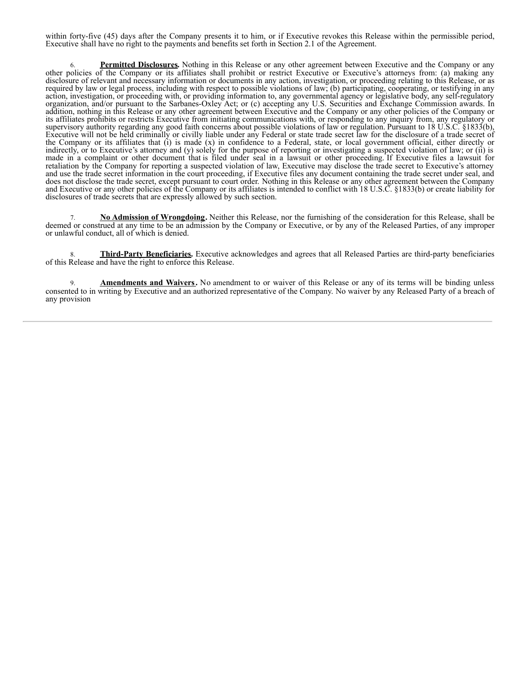within forty-five (45) days after the Company presents it to him, or if Executive revokes this Release within the permissible period, Executive shall have no right to the payments and benefits set forth in Section 2.1 of the Agreement.

**Permitted Disclosures.** Nothing in this Release or any other agreement between Executive and the Company or any other policies of the Company or its affiliates shall prohibit or restrict Executive or Executive's attorneys from: (a) making any disclosure of relevant and necessary information or documents in any action, investigation, or proceeding relating to this Release, or as required by law or legal process, including with respect to possible violations of law; (b) participating, cooperating, or testifying in any action, investigation, or proceeding with, or providing information to, any governmental agency or legislative body, any self-regulatory organization, and/or pursuant to the Sarbanes-Oxley Act; or (c) accepting any U.S. Securities and Exchange Commission awards. In addition, nothing in this Release or any other agreement between Executive and the Company or any other policies of the Company or its affiliates prohibits or restricts Executive from initiating communications with, or responding to any inquiry from, any regulatory or supervisory authority regarding any good faith concerns about possible violations of law or regulation. Pursuant to 18 U.S.C. §1833(b), Executive will not be held criminally or civilly liable under any Federal or state trade secret law for the disclosure of a trade secret of the Company or its affiliates that (i) is made (x) in confidence to a Federal, state, or local government official, either directly or indirectly, or to Executive's attorney and (y) solely for the purpose of reporting or investigating a suspected violation of law; or (ii) is<br>made in a complaint or other document that is filed under seal in a lawsuit or ot retaliation by the Company for reporting a suspected violation of law, Executive may disclose the trade secret to Executive's attorney and use the trade secret information in the court proceeding, if Executive files any document containing the trade secret under seal, and does not disclose the trade secret, except pursuant to court order. Nothing in this Release or any other agreement between the Company and Executive or any other policies of the Company or its affiliates is intended to conflict with 18 U.S.C. §1833(b) or create liability for disclosures of trade secrets that are expressly allowed by such section.

7. **No Admission of Wrongdoing.** Neither this Release, nor the furnishing of the consideration for this Release, shall be deemed or construed at any time to be an admission by the Company or Executive, or by any of the Released Parties, of any improper or unlawful conduct, all of which is denied.

8. **Third-Party Beneficiaries.** Executive acknowledges and agrees that all Released Parties are third-party beneficiaries of this Release and have the right to enforce this Release.

Amendments and Waivers. No amendment to or waiver of this Release or any of its terms will be binding unless consented to in writing by Executive and an authorized representative of the Company. No waiver by any Released Party of a breach of any provision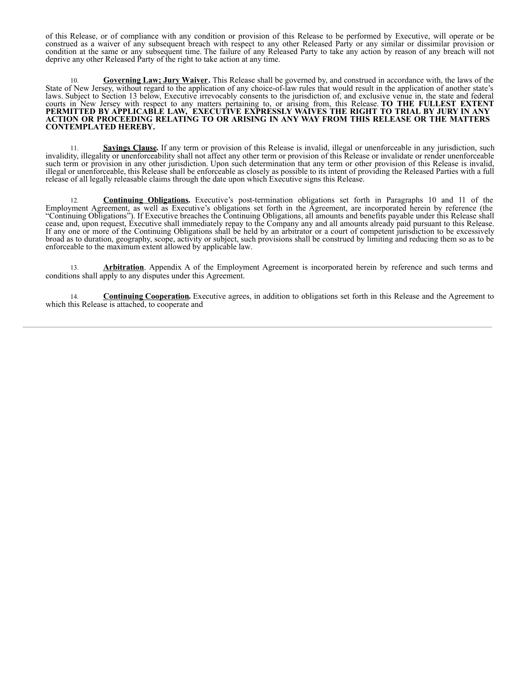of this Release, or of compliance with any condition or provision of this Release to be performed by Executive, will operate or be construed as a waiver of any subsequent breach with respect to any other Released Party or any similar or dissimilar provision or condition at the same or any subsequent time. The failure of any Released Party to take any action by reason of any breach will not deprive any other Released Party of the right to take action at any time.

10. **Governing Law; Jury Waiver.** This Release shall be governed by, and construed in accordance with, the laws of the State of New Jersey, without regard to the application of any choice-of-law rules that would result in the application of another state's laws. Subject to Section 13 below, Executive irrevocably consents to the jurisdiction of, and exclusive venue in, the state and federal courts in New Jersey with respect to any matters pertaining to, or arising from, this Release. **TO THE FULLEST EXTENT PERMITTED BY APPLICABLE LAW, EXECUTIVE EXPRESSLY WAIVES THE RIGHT TO TRIAL BY JURY IN ANY ACTION OR PROCEEDING RELATING TO OR ARISING IN ANY WAY FROM THIS RELEASE OR THE MATTERS CONTEMPLATED HEREBY.**

11. **Savings Clause.** If any term or provision of this Release is invalid, illegal or unenforceable in any jurisdiction, such invalidity, illegality or unenforceability shall not affect any other term or provision of this Release or invalidate or render unenforceable such term or provision in any other jurisdiction. Upon such determination that any term or other provision of this Release is invalid, illegal or unenforceable, this Release shall be enforceable as closely as possible to its intent of providing the Released Parties with a full release of all legally releasable claims through the date upon which Executive signs this Release.

12. **Continuing Obligations.** Executive's post-termination obligations set forth in Paragraphs 10 and 11 of the Employment Agreement, as well as Executive's obligations set forth in the Agreement, are incorporated herein by reference (the "Continuing Obligations"). If Executive breaches the Continuing Obligations, all amounts and benefits payable under this Release shall cease and, upon request, Executive shall immediately repay to the Company any and all amounts already paid pursuant to this Release. If any one or more of the Continuing Obligations shall be held by an arbitrator or a court of competent jurisdiction to be excessively broad as to duration, geography, scope, activity or subject, such provisions shall be construed by limiting and reducing them so as to be enforceable to the maximum extent allowed by applicable law.

13. **Arbitration**. Appendix A of the Employment Agreement is incorporated herein by reference and such terms and conditions shall apply to any disputes under this Agreement.

14. **Continuing Cooperation.** Executive agrees, in addition to obligations set forth in this Release and the Agreement to which this Release is attached, to cooperate and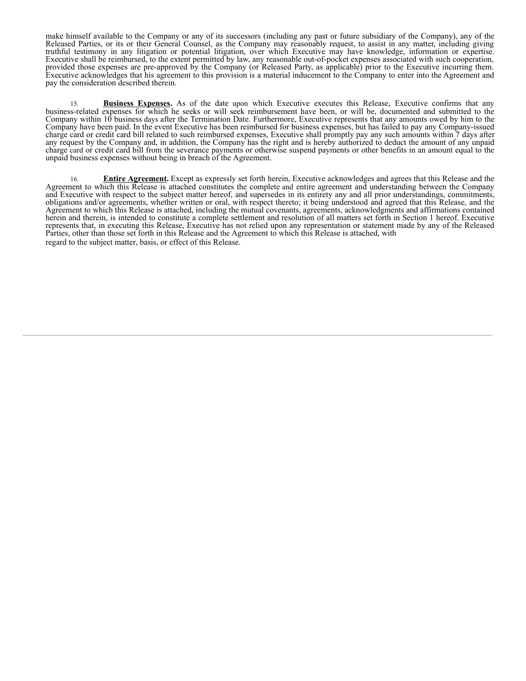make himself available to the Company or any of its successors (including any past or future subsidiary of the Company), any of the Released Parties, or its or their General Counsel, as the Company may reasonably request, to assist in any matter, including giving truthful testimony in any litigation or potential litigation, over which Executive may have knowledge, information or expertise. Executive shall be reimbursed, to the extent permitted by law, any reasonable out-of-pocket expenses associated with such cooperation, provided those expenses are pre-approved by the Company (or Released Party, as applicable) prior to the Executive incurring them. Executive acknowledges that his agreement to this provision is a material inducement to the Company to enter into the Agreement and pay the consideration described therein.

15. **Business Expenses.** As of the date upon which Executive executes this Release, Executive confirms that any business-related expenses for which he seeks or will seek reimbursement have been, or will be, documented and submitted to the Company within 10 business days after the Termination Date. Furthermore, Executive represents that any amounts owed by him to the Company have been paid. In the event Executive has been reimbursed for business expenses, but has failed to pay any Company-issued charge card or credit card bill related to such reimbursed expenses, Executive shall promptly pay any such amounts within 7 days after any request by the Company and, in addition, the Company has the right and is hereby authorized to deduct the amount of any unpaid charge card or credit card bill from the severance payments or otherwise suspend payments or other benefits in an amount equal to the unpaid business expenses without being in breach of the Agreement.

16. **Entire Agreement.** Except as expressly set forth herein, Executive acknowledges and agrees that this Release and the Agreement to which this Release is attached constitutes the complete and entire agreement and understanding between the Company and Executive with respect to the subject matter hereof, and supersedes in its entirety any and all prior understandings, commitments, obligations and/or agreements, whether written or oral, with respect thereto; it being understood and agreed that this Release, and the Agreement to which this Release is attached, including the mutual covenants, agreements, acknowledgments and affirmations contained herein and therein, is intended to constitute a complete settlement and resolution of all matters set forth in Section 1 hereof. Executive represents that, in executing this Release, Executive has not relied upon any representation or statement made by any of the Released Parties, other than those set forth in this Release and the Agreement to which this Release is attached, with regard to the subject matter, basis, or effect of this Release.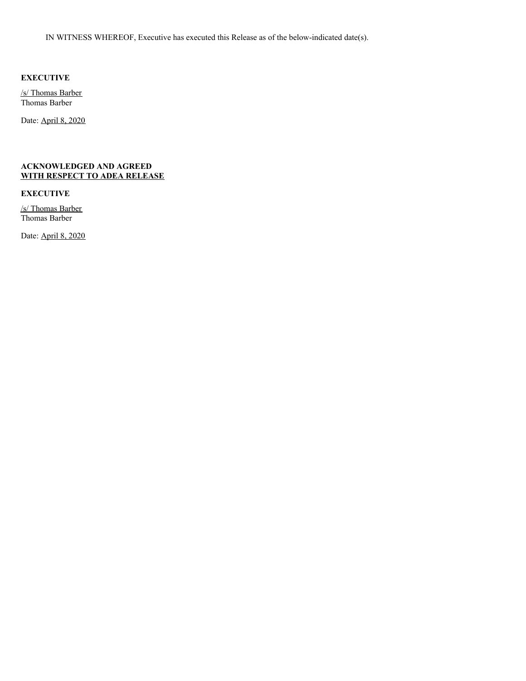IN WITNESS WHEREOF, Executive has executed this Release as of the below-indicated date(s).

# **EXECUTIVE**

/s/ Thomas Barber Thomas Barber

Date: April 8, 2020

# **ACKNOWLEDGED AND AGREED WITH RESPECT TO ADEA RELEASE**

# **EXECUTIVE**

/s/ Thomas Barber Thomas Barber

Date: April 8, 2020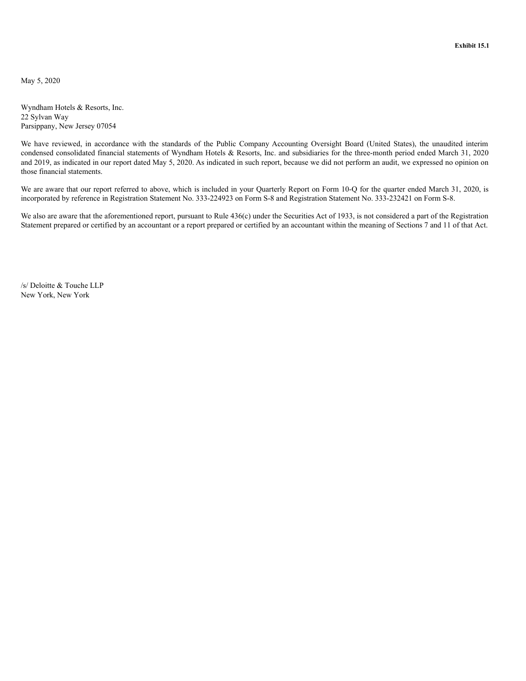<span id="page-58-0"></span>May 5, 2020

Wyndham Hotels & Resorts, Inc. 22 Sylvan Way Parsippany, New Jersey 07054

We have reviewed, in accordance with the standards of the Public Company Accounting Oversight Board (United States), the unaudited interim condensed consolidated financial statements of Wyndham Hotels & Resorts, Inc. and subsidiaries for the three-month period ended March 31, 2020 and 2019, as indicated in our report dated May 5, 2020. As indicated in such report, because we did not perform an audit, we expressed no opinion on those financial statements.

We are aware that our report referred to above, which is included in your Quarterly Report on Form 10-Q for the quarter ended March 31, 2020, is incorporated by reference in Registration Statement No. 333-224923 on Form S-8 and Registration Statement No. 333-232421 on Form S-8.

We also are aware that the aforementioned report, pursuant to Rule 436(c) under the Securities Act of 1933, is not considered a part of the Registration Statement prepared or certified by an accountant or a report prepared or certified by an accountant within the meaning of Sections 7 and 11 of that Act.

/s/ Deloitte & Touche LLP New York, New York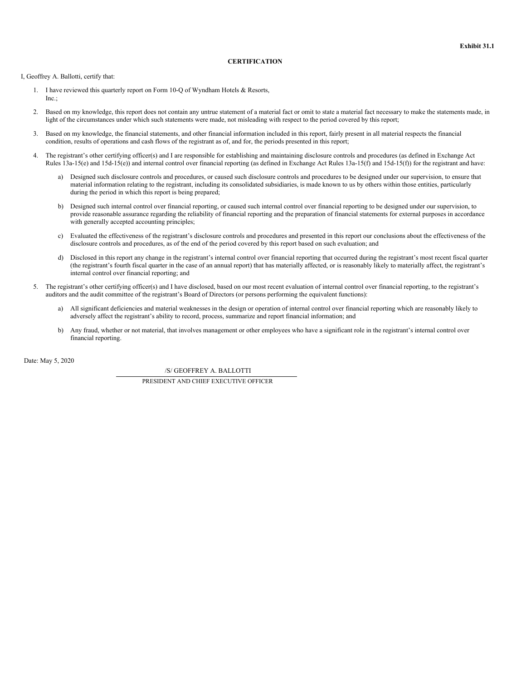# **CERTIFICATION**

<span id="page-59-0"></span>I, Geoffrey A. Ballotti, certify that:

- 1. I have reviewed this quarterly report on Form 10-Q of Wyndham Hotels & Resorts, Inc.;
- 2. Based on my knowledge, this report does not contain any untrue statement of a material fact or omit to state a material fact necessary to make the statements made, in light of the circumstances under which such statements were made, not misleading with respect to the period covered by this report;
- 3. Based on my knowledge, the financial statements, and other financial information included in this report, fairly present in all material respects the financial condition, results of operations and cash flows of the registrant as of, and for, the periods presented in this report;
- 4. The registrant's other certifying officer(s) and I are responsible for establishing and maintaining disclosure controls and procedures (as defined in Exchange Act Rules 13a-15(e) and 15d-15(e)) and internal control over financial reporting (as defined in Exchange Act Rules 13a-15(f) and 15d-15(f)) for the registrant and have:
	- a) Designed such disclosure controls and procedures, or caused such disclosure controls and procedures to be designed under our supervision, to ensure that material information relating to the registrant, including its consolidated subsidiaries, is made known to us by others within those entities, particularly during the period in which this report is being prepared;
	- b) Designed such internal control over financial reporting, or caused such internal control over financial reporting to be designed under our supervision, to provide reasonable assurance regarding the reliability of financial reporting and the preparation of financial statements for external purposes in accordance with generally accepted accounting principles;
	- c) Evaluated the effectiveness of the registrant's disclosure controls and procedures and presented in this report our conclusions about the effectiveness of the disclosure controls and procedures, as of the end of the period covered by this report based on such evaluation; and
	- d) Disclosed in this report any change in the registrant's internal control over financial reporting that occurred during the registrant's most recent fiscal quarter (the registrant's fourth fiscal quarter in the case of an annual report) that has materially affected, or is reasonably likely to materially affect, the registrant's internal control over financial reporting; and
- 5. The registrant's other certifying officer(s) and I have disclosed, based on our most recent evaluation of internal control over financial reporting, to the registrant's auditors and the audit committee of the registrant's Board of Directors (or persons performing the equivalent functions):
	- a) All significant deficiencies and material weaknesses in the design or operation of internal control over financial reporting which are reasonably likely to adversely affect the registrant's ability to record, process, summarize and report financial information; and
	- b) Any fraud, whether or not material, that involves management or other employees who have a significant role in the registrant's internal control over financial reporting.

Date: May 5, 2020

/S/ GEOFFREY A. BALLOTTI

PRESIDENT AND CHIEF EXECUTIVE OFFICER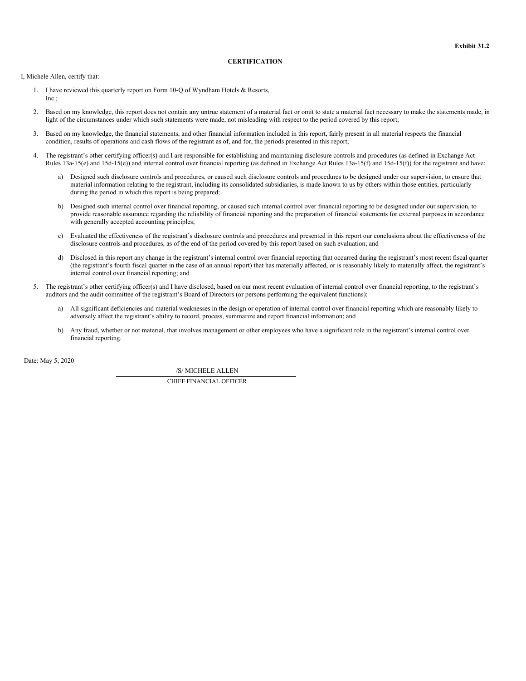# **CERTIFICATION**

<span id="page-60-0"></span>I, Michele Allen, certify that:

- 1. I have reviewed this quarterly report on Form 10-Q of Wyndham Hotels & Resorts, Inc.;
- 2. Based on my knowledge, this report does not contain any untrue statement of a material fact or omit to state a material fact necessary to make the statements made, in light of the circumstances under which such statements were made, not misleading with respect to the period covered by this report;
- 3. Based on my knowledge, the financial statements, and other financial information included in this report, fairly present in all material respects the financial condition, results of operations and cash flows of the registrant as of, and for, the periods presented in this report;
- 4. The registrant's other certifying officer(s) and I are responsible for establishing and maintaining disclosure controls and procedures (as defined in Exchange Act Rules 13a-15(e) and 15d-15(e)) and internal control over financial reporting (as defined in Exchange Act Rules 13a-15(f) and 15d-15(f)) for the registrant and have:
	- a) Designed such disclosure controls and procedures, or caused such disclosure controls and procedures to be designed under our supervision, to ensure that material information relating to the registrant, including its consolidated subsidiaries, is made known to us by others within those entities, particularly during the period in which this report is being prepared;
	- b) Designed such internal control over financial reporting, or caused such internal control over financial reporting to be designed under our supervision, to provide reasonable assurance regarding the reliability of financial reporting and the preparation of financial statements for external purposes in accordance with generally accepted accounting principles;
	- c) Evaluated the effectiveness of the registrant's disclosure controls and procedures and presented in this report our conclusions about the effectiveness of the disclosure controls and procedures, as of the end of the period covered by this report based on such evaluation; and
	- d) Disclosed in this report any change in the registrant's internal control over financial reporting that occurred during the registrant's most recent fiscal quarter (the registrant's fourth fiscal quarter in the case of an annual report) that has materially affected, or is reasonably likely to materially affect, the registrant's internal control over financial reporting; and
- 5. The registrant's other certifying officer(s) and I have disclosed, based on our most recent evaluation of internal control over financial reporting, to the registrant's auditors and the audit committee of the registrant's Board of Directors (or persons performing the equivalent functions):
	- a) All significant deficiencies and material weaknesses in the design or operation of internal control over financial reporting which are reasonably likely to adversely affect the registrant's ability to record, process, summarize and report financial information; and
	- b) Any fraud, whether or not material, that involves management or other employees who have a significant role in the registrant's internal control over financial reporting.

Date: May 5, 2020

/S/ MICHELE ALLEN

CHIEF FINANCIAL OFFICER